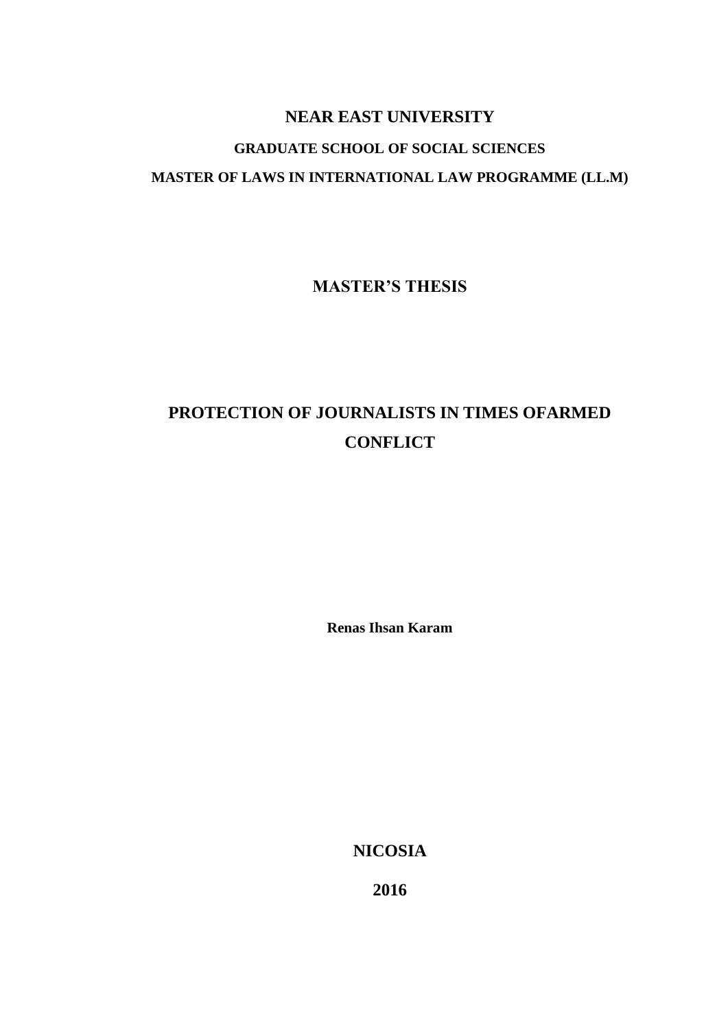# **NEAR EAST UNIVERSITY**

# **GRADUATE SCHOOL OF SOCIAL SCIENCES MASTER OF LAWS IN INTERNATIONAL LAW PROGRAMME (LL.M)**

**MASTER'S THESIS**

# **PROTECTION OF JOURNALISTS IN TIMES OFARMED CONFLICT**

**Renas Ihsan Karam**

**NICOSIA**

**2016**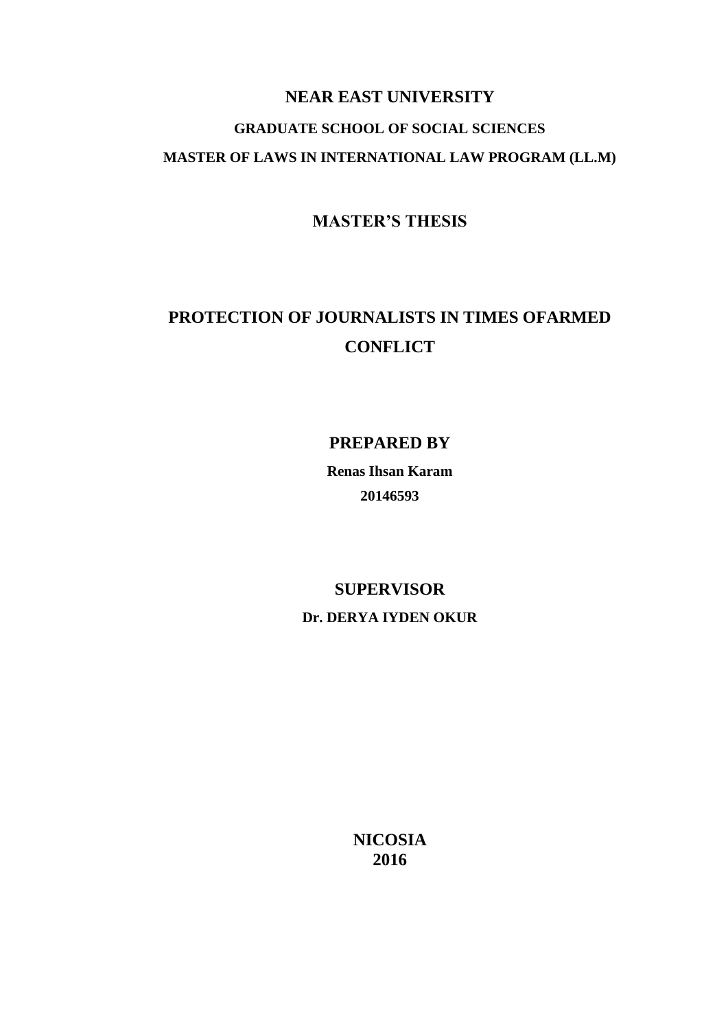# **NEAR EAST UNIVERSITY GRADUATE SCHOOL OF SOCIAL SCIENCES MASTER OF LAWS IN INTERNATIONAL LAW PROGRAM (LL.M)**

**MASTER'S THESIS**

# **PROTECTION OF JOURNALISTS IN TIMES OFARMED CONFLICT**

**PREPARED BY**

**Renas Ihsan Karam 20146593**

# **SUPERVISOR Dr. DERYA IYDEN OKUR**

**NICOSIA 2016**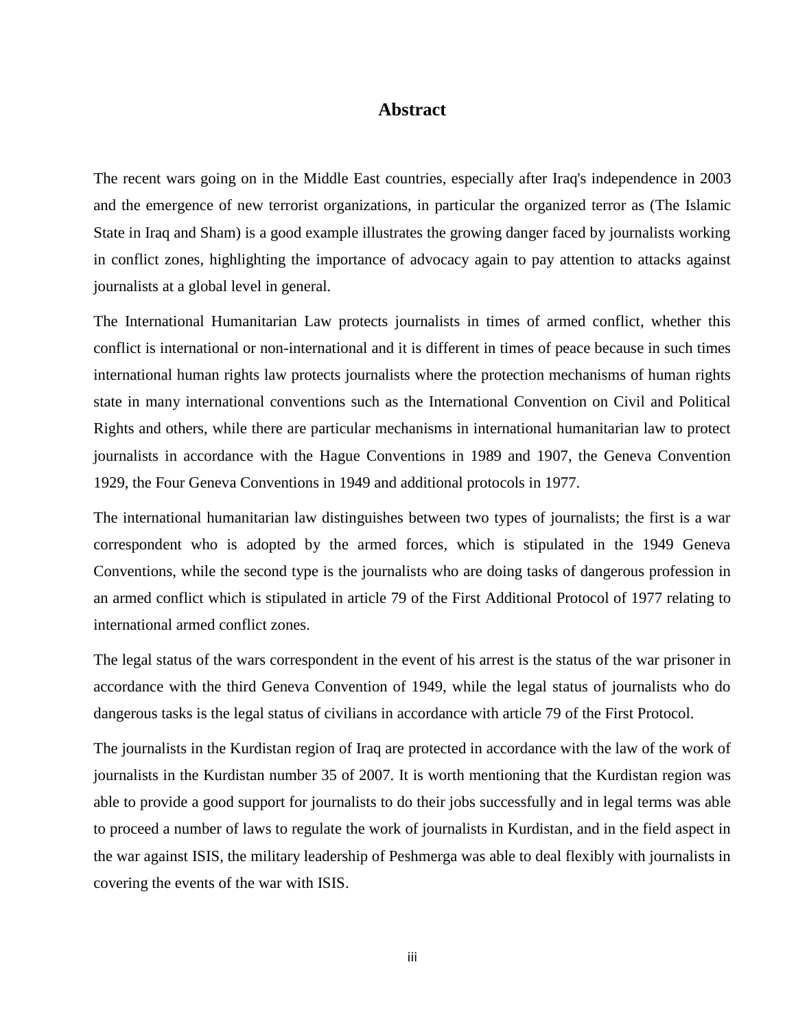# **Abstract**

<span id="page-2-0"></span>The recent wars going on in the Middle East countries, especially after Iraq's independence in 2003 and the emergence of new terrorist organizations, in particular the organized terror as (The Islamic State in Iraq and Sham) is a good example illustrates the growing danger faced by journalists working in conflict zones, highlighting the importance of advocacy again to pay attention to attacks against journalists at a global level in general.

The International Humanitarian Law protects journalists in times of armed conflict, whether this conflict is international or non-international and it is different in times of peace because in such times international human rights law protects journalists where the protection mechanisms of human rights state in many international conventions such as the International Convention on Civil and Political Rights and others, while there are particular mechanisms in international humanitarian law to protect journalists in accordance with the Hague Conventions in 1989 and 1907, the Geneva Convention 1929, the Four Geneva Conventions in 1949 and additional protocols in 1977.

The international humanitarian law distinguishes between two types of journalists; the first is a war correspondent who is adopted by the armed forces, which is stipulated in the 1949 Geneva Conventions, while the second type is the journalists who are doing tasks of dangerous profession in an armed conflict which is stipulated in article 79 of the First Additional Protocol of 1977 relating to international armed conflict zones.

The legal status of the wars correspondent in the event of his arrest is the status of the war prisoner in accordance with the third Geneva Convention of 1949, while the legal status of journalists who do dangerous tasks is the legal status of civilians in accordance with article 79 of the First Protocol.

The journalists in the Kurdistan region of Iraq are protected in accordance with the law of the work of journalists in the Kurdistan number 35 of 2007. It is worth mentioning that the Kurdistan region was able to provide a good support for journalists to do their jobs successfully and in legal terms was able to proceed a number of laws to regulate the work of journalists in Kurdistan, and in the field aspect in the war against ISIS, the military leadership of Peshmerga was able to deal flexibly with journalists in covering the events of the war with ISIS.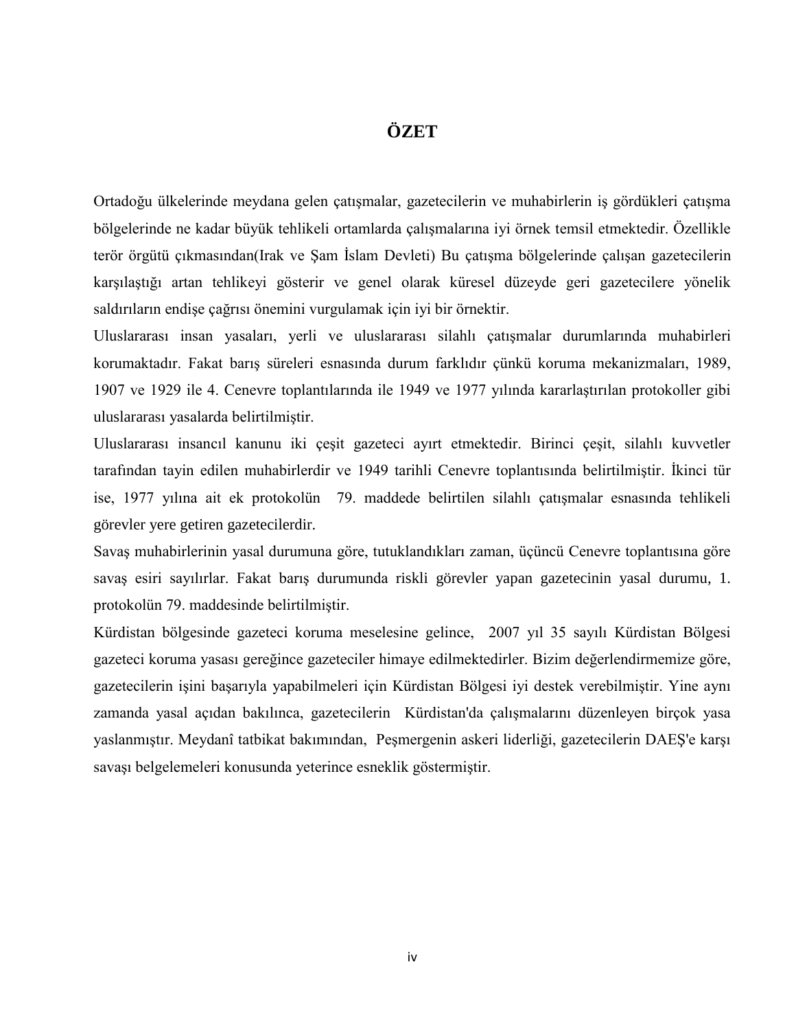# **ÖZET**

<span id="page-3-0"></span>Ortadoğu ülkelerinde meydana gelen çatışmalar, gazetecilerin ve muhabirlerin iş gördükleri çatışma bölgelerinde ne kadar büyük tehlikeli ortamlarda çalışmalarına iyi örnek temsil etmektedir. Özellikle terör örgütü çıkmasından(Irak ve Şam İslam Devleti) Bu çatışma bölgelerinde çalışan gazetecilerin karşılaştığı artan tehlikeyi gösterir ve genel olarak küresel düzeyde geri gazetecilere yönelik saldırıların endişe çağrısı önemini vurgulamak için iyi bir örnektir.

Uluslararası insan yasaları, yerli ve uluslararası silahlı çatışmalar durumlarında muhabirleri korumaktadır. Fakat barış süreleri esnasında durum farklıdır çünkü koruma mekanizmaları, 1989, 1907 ve 1929 ile 4. Cenevre toplantılarında ile 1949 ve 1977 yılında kararlaştırılan protokoller gibi uluslararası yasalarda belirtilmiştir.

Uluslararası insancıl kanunu iki çeşit gazeteci ayırt etmektedir. Birinci çeşit, silahlı kuvvetler tarafından tayin edilen muhabirlerdir ve 1949 tarihli Cenevre toplantısında belirtilmiştir. İkinci tür ise, 1977 yılına ait ek protokolün 79. maddede belirtilen silahlı çatışmalar esnasında tehlikeli görevler yere getiren gazetecilerdir.

Savaş muhabirlerinin yasal durumuna göre, tutuklandıkları zaman, üçüncü Cenevre toplantısına göre savaş esiri sayılırlar. Fakat barış durumunda riskli görevler yapan gazetecinin yasal durumu, 1. protokolün 79. maddesinde belirtilmiştir.

Kürdistan bölgesinde gazeteci koruma meselesine gelince, 2007 yıl 35 sayılı Kürdistan Bölgesi gazeteci koruma yasası gereğince gazeteciler himaye edilmektedirler. Bizim değerlendirmemize göre, gazetecilerin işini başarıyla yapabilmeleri için Kürdistan Bölgesi iyi destek verebilmiştir. Yine aynı zamanda yasal açıdan bakılınca, gazetecilerin Kürdistan'da çalışmalarını düzenleyen birçok yasa yaslanmıştır. Meydanî tatbikat bakımından, Peşmergenin askeri liderliği, gazetecilerin DAEŞ'e karşı savaşı belgelemeleri konusunda yeterince esneklik göstermiştir.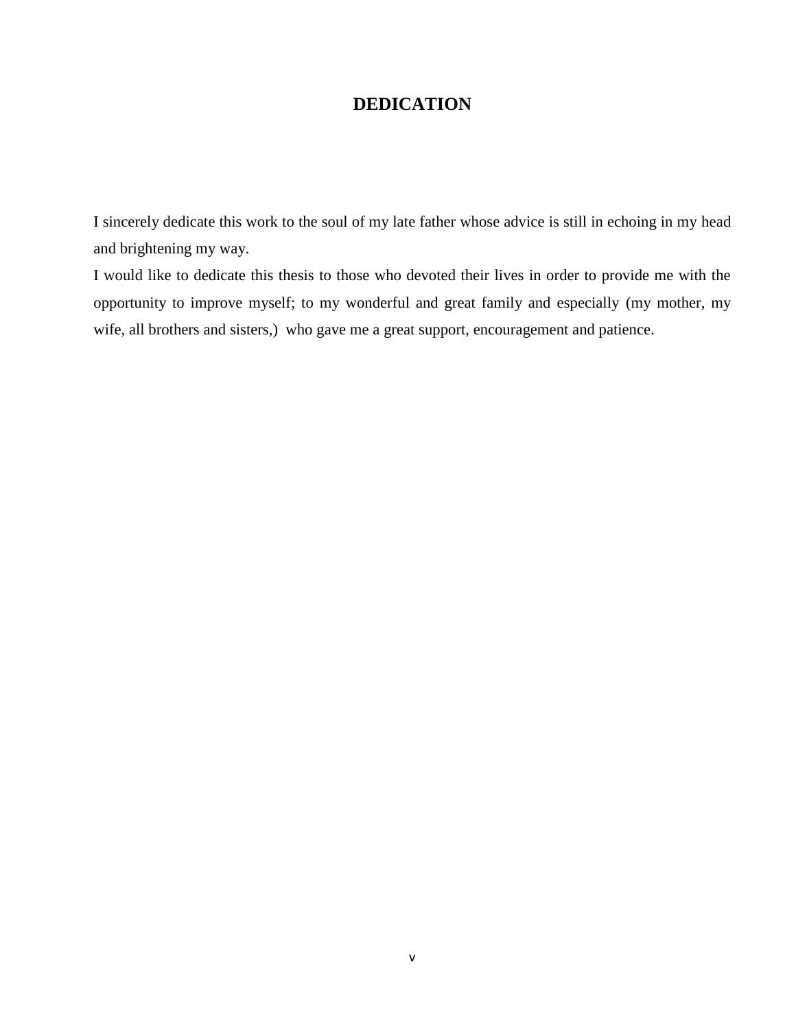# **DEDICATION**

<span id="page-4-0"></span>I sincerely dedicate this work to the soul of my late father whose advice is still in echoing in my head and brightening my way.

I would like to dedicate this thesis to those who devoted their lives in order to provide me with the opportunity to improve myself; to my wonderful and great family and especially (my mother, my wife, all brothers and sisters,) who gave me a great support, encouragement and patience.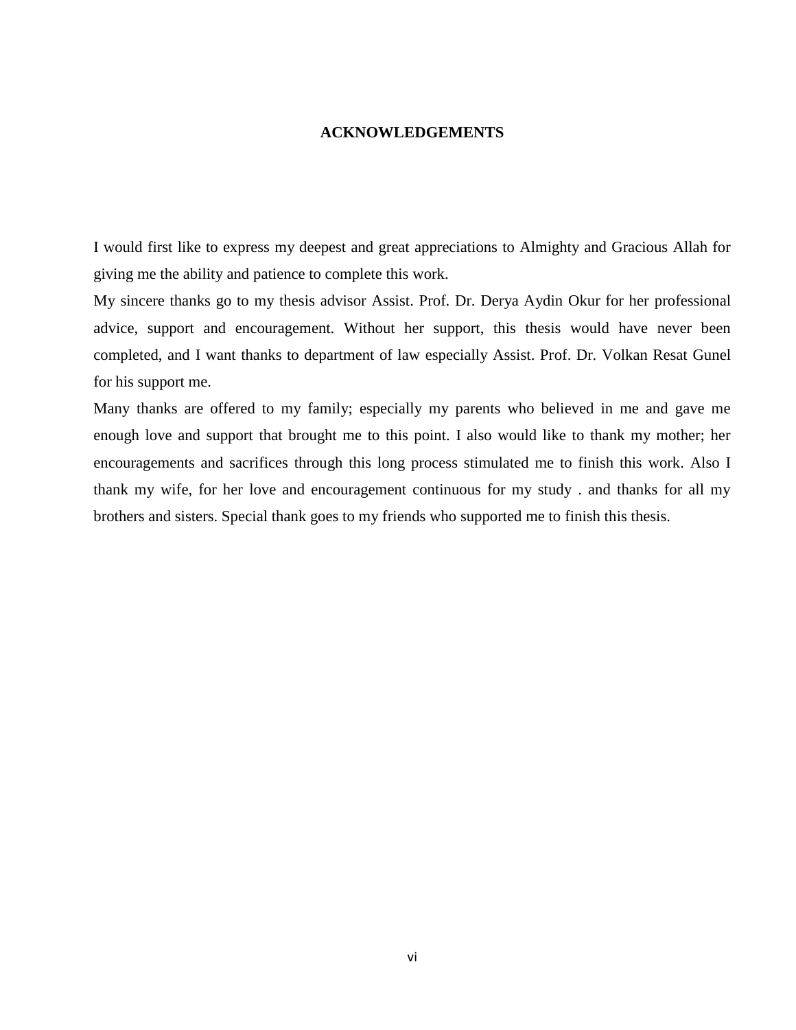#### **ACKNOWLEDGEMENTS**

<span id="page-5-0"></span>I would first like to express my deepest and great appreciations to Almighty and Gracious Allah for giving me the ability and patience to complete this work.

My sincere thanks go to my thesis advisor Assist. Prof. Dr. Derya Aydin Okur for her professional advice, support and encouragement. Without her support, this thesis would have never been completed, and I want thanks to department of law especially Assist. Prof. Dr. Volkan Resat Gunel for his support me.

Many thanks are offered to my family; especially my parents who believed in me and gave me enough love and support that brought me to this point. I also would like to thank my mother; her encouragements and sacrifices through this long process stimulated me to finish this work. Also I thank my wife, for her love and encouragement continuous for my study . and thanks for all my brothers and sisters. Special thank goes to my friends who supported me to finish this thesis.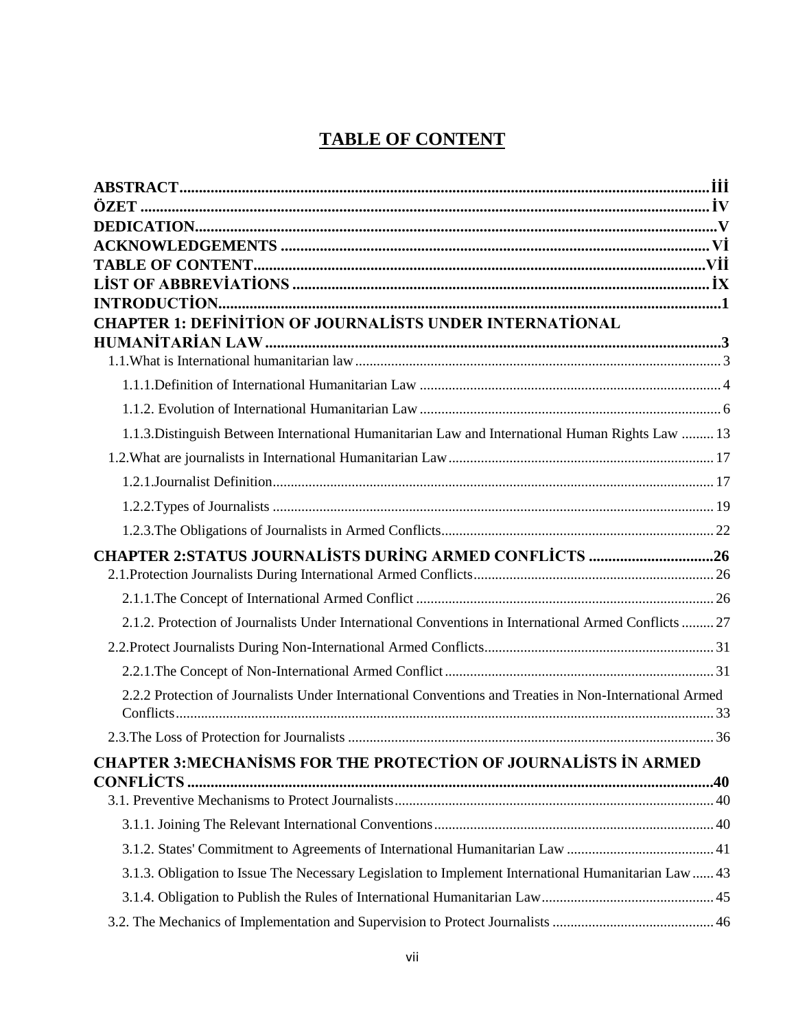# **TABLE OF CONTENT**

<span id="page-6-0"></span>

| <b>CHAPTER 1: DEFINITION OF JOURNALISTS UNDER INTERNATIONAL</b>                                         |  |
|---------------------------------------------------------------------------------------------------------|--|
|                                                                                                         |  |
|                                                                                                         |  |
|                                                                                                         |  |
|                                                                                                         |  |
| 1.1.3. Distinguish Between International Humanitarian Law and International Human Rights Law  13        |  |
|                                                                                                         |  |
|                                                                                                         |  |
|                                                                                                         |  |
|                                                                                                         |  |
| <b>CHAPTER 2:STATUS JOURNALISTS DURING ARMED CONFLICTS 26</b>                                           |  |
|                                                                                                         |  |
| 2.1.2. Protection of Journalists Under International Conventions in International Armed Conflicts  27   |  |
|                                                                                                         |  |
|                                                                                                         |  |
| 2.2.2 Protection of Journalists Under International Conventions and Treaties in Non-International Armed |  |
|                                                                                                         |  |
| <b>CHAPTER 3:MECHANISMS FOR THE PROTECTION OF JOURNALISTS IN ARMED</b>                                  |  |
| <b>CONFLICTS.</b>                                                                                       |  |
|                                                                                                         |  |
|                                                                                                         |  |
|                                                                                                         |  |
| 3.1.3. Obligation to Issue The Necessary Legislation to Implement International Humanitarian Law  43    |  |
|                                                                                                         |  |
|                                                                                                         |  |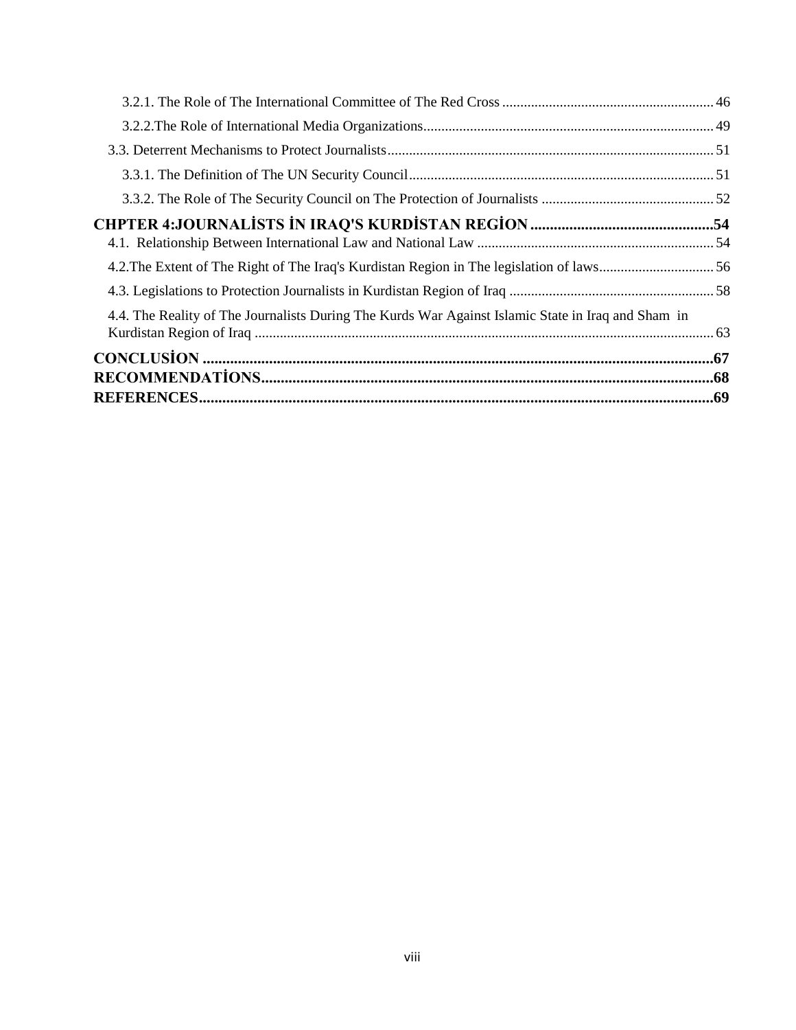| 4.4. The Reality of The Journalists During The Kurds War Against Islamic State in Iraq and Sham in |  |
|----------------------------------------------------------------------------------------------------|--|
|                                                                                                    |  |
|                                                                                                    |  |
|                                                                                                    |  |
|                                                                                                    |  |
|                                                                                                    |  |
|                                                                                                    |  |
|                                                                                                    |  |
|                                                                                                    |  |
|                                                                                                    |  |
|                                                                                                    |  |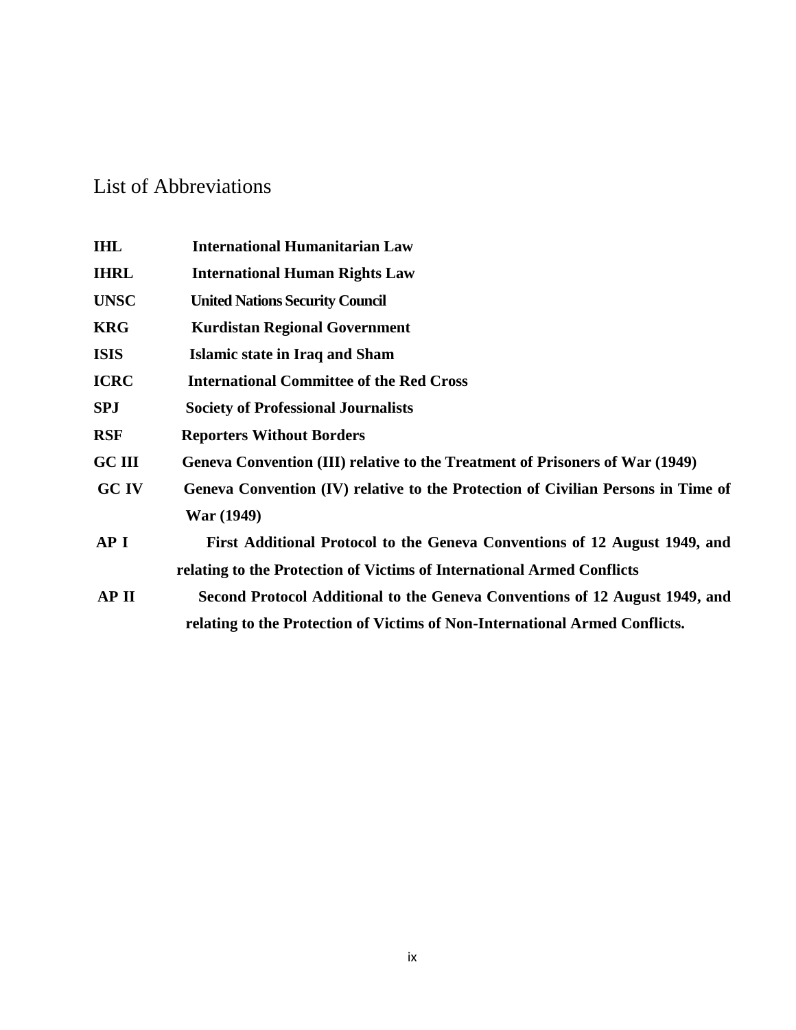# <span id="page-8-0"></span>List of Abbreviations

| <b>IHL</b>    | <b>International Humanitarian Law</b>                                            |
|---------------|----------------------------------------------------------------------------------|
| <b>IHRL</b>   | <b>International Human Rights Law</b>                                            |
| <b>UNSC</b>   | <b>United Nations Security Council</b>                                           |
| <b>KRG</b>    | <b>Kurdistan Regional Government</b>                                             |
| <b>ISIS</b>   | Islamic state in Iraq and Sham                                                   |
| <b>ICRC</b>   | <b>International Committee of the Red Cross</b>                                  |
| <b>SPJ</b>    | <b>Society of Professional Journalists</b>                                       |
| <b>RSF</b>    | <b>Reporters Without Borders</b>                                                 |
| <b>GC III</b> | Geneva Convention (III) relative to the Treatment of Prisoners of War (1949)     |
| <b>GC IV</b>  | Geneva Convention (IV) relative to the Protection of Civilian Persons in Time of |
|               | War (1949)                                                                       |
| <b>API</b>    | First Additional Protocol to the Geneva Conventions of 12 August 1949, and       |
|               | relating to the Protection of Victims of International Armed Conflicts           |
| AP II         | Second Protocol Additional to the Geneva Conventions of 12 August 1949, and      |
|               | relating to the Protection of Victims of Non-International Armed Conflicts.      |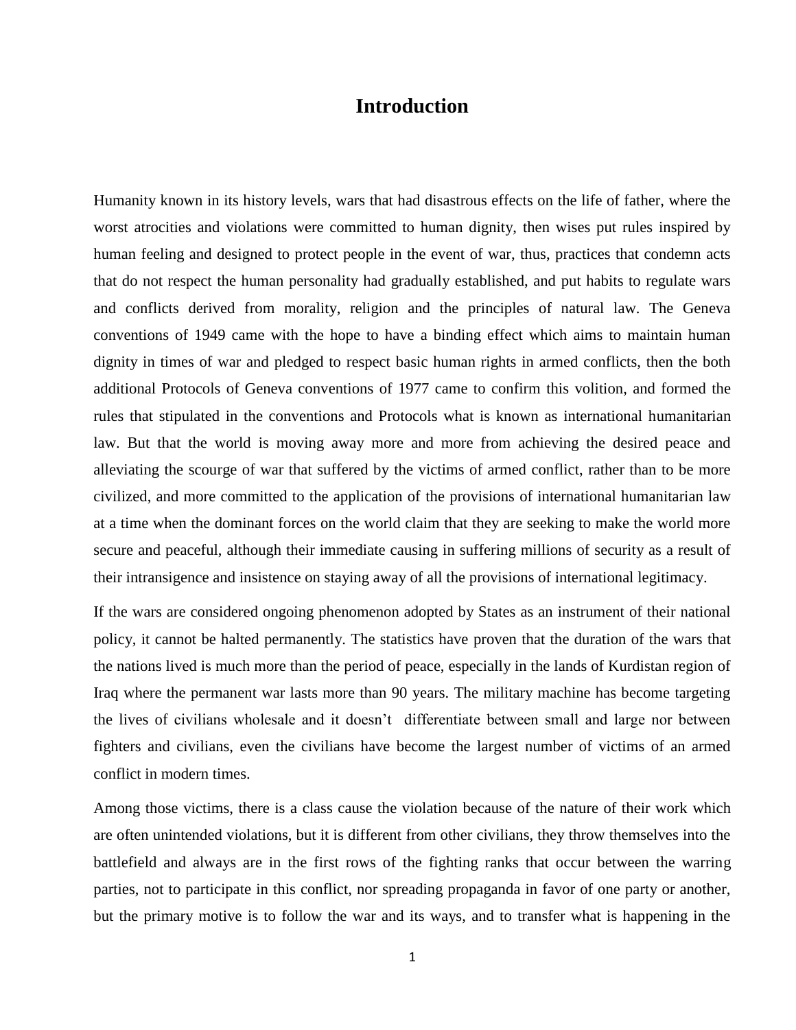# **Introduction**

<span id="page-9-0"></span>Humanity known in its history levels, wars that had disastrous effects on the life of father, where the worst atrocities and violations were committed to human dignity, then wises put rules inspired by human feeling and designed to protect people in the event of war, thus, practices that condemn acts that do not respect the human personality had gradually established, and put habits to regulate wars and conflicts derived from morality, religion and the principles of natural law. The Geneva conventions of 1949 came with the hope to have a binding effect which aims to maintain human dignity in times of war and pledged to respect basic human rights in armed conflicts, then the both additional Protocols of Geneva conventions of 1977 came to confirm this volition, and formed the rules that stipulated in the conventions and Protocols what is known as international humanitarian law. But that the world is moving away more and more from achieving the desired peace and alleviating the scourge of war that suffered by the victims of armed conflict, rather than to be more civilized, and more committed to the application of the provisions of international humanitarian law at a time when the dominant forces on the world claim that they are seeking to make the world more secure and peaceful, although their immediate causing in suffering millions of security as a result of their intransigence and insistence on staying away of all the provisions of international legitimacy.

If the wars are considered ongoing phenomenon adopted by States as an instrument of their national policy, it cannot be halted permanently. The statistics have proven that the duration of the wars that the nations lived is much more than the period of peace, especially in the lands of Kurdistan region of Iraq where the permanent war lasts more than 90 years. The military machine has become targeting the lives of civilians wholesale and it doesn't differentiate between small and large nor between fighters and civilians, even the civilians have become the largest number of victims of an armed conflict in modern times.

Among those victims, there is a class cause the violation because of the nature of their work which are often unintended violations, but it is different from other civilians, they throw themselves into the battlefield and always are in the first rows of the fighting ranks that occur between the warring parties, not to participate in this conflict, nor spreading propaganda in favor of one party or another, but the primary motive is to follow the war and its ways, and to transfer what is happening in the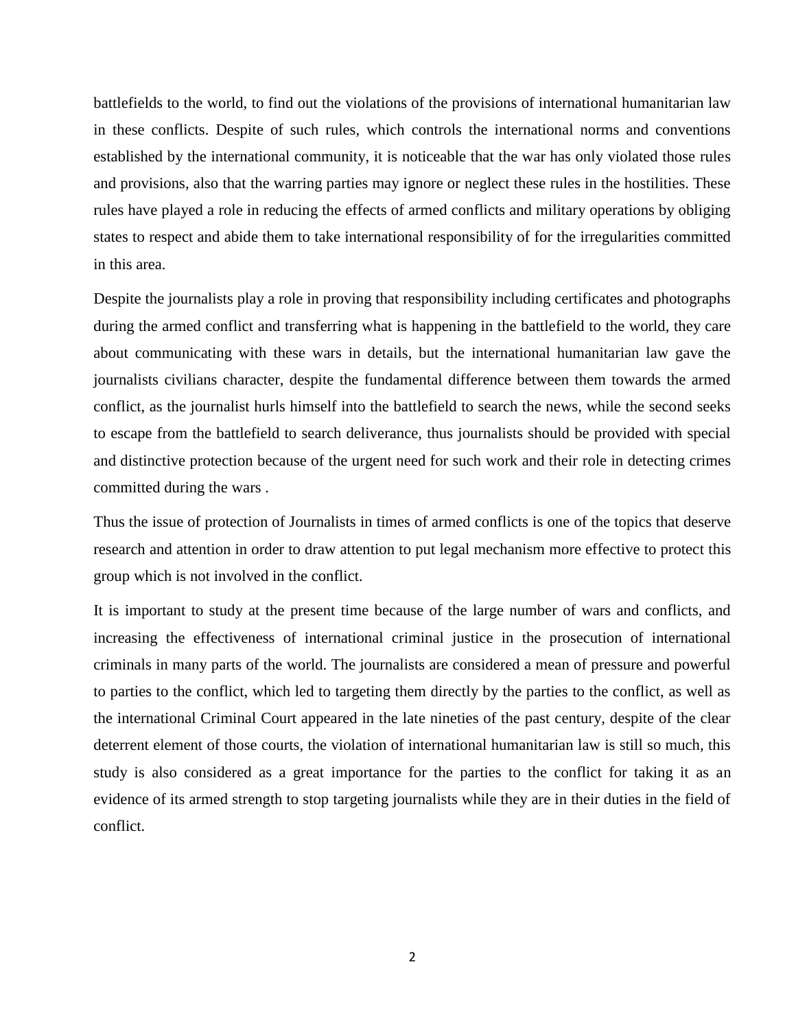battlefields to the world, to find out the violations of the provisions of international humanitarian law in these conflicts. Despite of such rules, which controls the international norms and conventions established by the international community, it is noticeable that the war has only violated those rules and provisions, also that the warring parties may ignore or neglect these rules in the hostilities. These rules have played a role in reducing the effects of armed conflicts and military operations by obliging states to respect and abide them to take international responsibility of for the irregularities committed in this area.

Despite the journalists play a role in proving that responsibility including certificates and photographs during the armed conflict and transferring what is happening in the battlefield to the world, they care about communicating with these wars in details, but the international humanitarian law gave the journalists civilians character, despite the fundamental difference between them towards the armed conflict, as the journalist hurls himself into the battlefield to search the news, while the second seeks to escape from the battlefield to search deliverance, thus journalists should be provided with special and distinctive protection because of the urgent need for such work and their role in detecting crimes committed during the wars .

Thus the issue of protection of Journalists in times of armed conflicts is one of the topics that deserve research and attention in order to draw attention to put legal mechanism more effective to protect this group which is not involved in the conflict.

It is important to study at the present time because of the large number of wars and conflicts, and increasing the effectiveness of international criminal justice in the prosecution of international criminals in many parts of the world. The journalists are considered a mean of pressure and powerful to parties to the conflict, which led to targeting them directly by the parties to the conflict, as well as the international Criminal Court appeared in the late nineties of the past century, despite of the clear deterrent element of those courts, the violation of international humanitarian law is still so much, this study is also considered as a great importance for the parties to the conflict for taking it as an evidence of its armed strength to stop targeting journalists while they are in their duties in the field of conflict.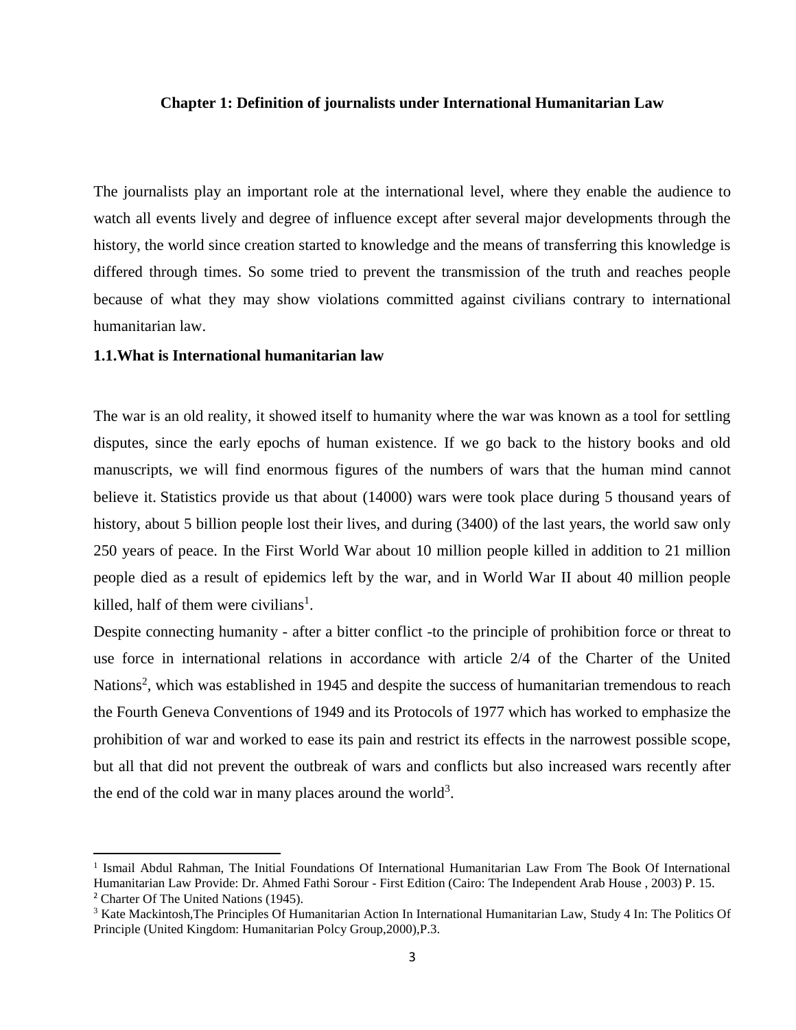#### <span id="page-11-0"></span>**Chapter 1: Definition of journalists under International Humanitarian Law**

The journalists play an important role at the international level, where they enable the audience to watch all events lively and degree of influence except after several major developments through the history, the world since creation started to knowledge and the means of transferring this knowledge is differed through times. So some tried to prevent the transmission of the truth and reaches people because of what they may show violations committed against civilians contrary to international humanitarian law.

#### <span id="page-11-1"></span>**1.1.What is International humanitarian law**

 $\overline{a}$ 

The war is an old reality, it showed itself to humanity where the war was known as a tool for settling disputes, since the early epochs of human existence. If we go back to the history books and old manuscripts, we will find enormous figures of the numbers of wars that the human mind cannot believe it. Statistics provide us that about (14000) wars were took place during 5 thousand years of history, about 5 billion people lost their lives, and during (3400) of the last years, the world saw only 250 years of peace. In the First World War about 10 million people killed in addition to 21 million people died as a result of epidemics left by the war, and in World War II about 40 million people killed, half of them were civilians<sup>1</sup>.

Despite connecting humanity - after a bitter conflict -to the principle of prohibition force or threat to use force in international relations in accordance with article 2/4 of the Charter of the United Nations<sup>2</sup>, which was established in 1945 and despite the success of humanitarian tremendous to reach the Fourth Geneva Conventions of 1949 and its Protocols of 1977 which has worked to emphasize the prohibition of war and worked to ease its pain and restrict its effects in the narrowest possible scope, but all that did not prevent the outbreak of wars and conflicts but also increased wars recently after the end of the cold war in many places around the world<sup>3</sup>.

<sup>&</sup>lt;sup>1</sup> Ismail Abdul Rahman, The Initial Foundations Of International Humanitarian Law From The Book Of International Humanitarian Law Provide: Dr. Ahmed Fathi Sorour - First Edition (Cairo: The Independent Arab House , 2003) P. 15. <sup>2</sup> Charter Of The United Nations (1945).

<sup>&</sup>lt;sup>3</sup> Kate Mackintosh, The Principles Of Humanitarian Action In International Humanitarian Law, Study 4 In: The Politics Of Principle (United Kingdom: Humanitarian Polcy Group,2000),P.3.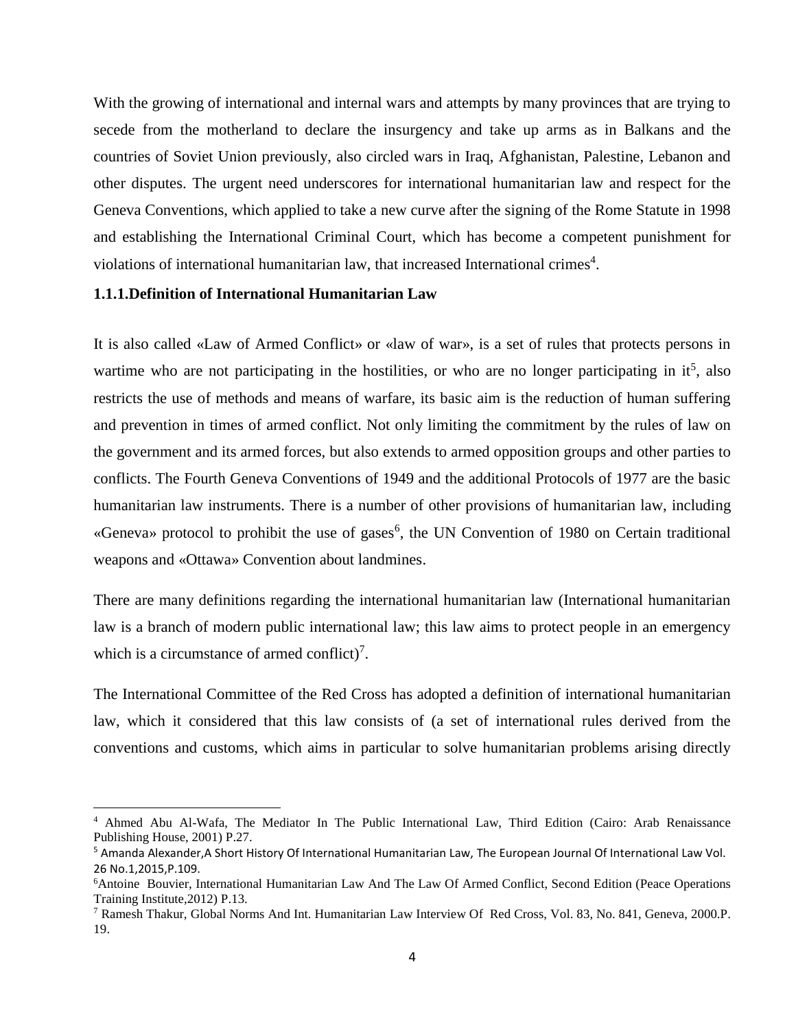With the growing of international and internal wars and attempts by many provinces that are trying to secede from the motherland to declare the insurgency and take up arms as in Balkans and the countries of Soviet Union previously, also circled wars in Iraq, Afghanistan, Palestine, Lebanon and other disputes. The urgent need underscores for international humanitarian law and respect for the Geneva Conventions, which applied to take a new curve after the signing of the Rome Statute in 1998 and establishing the International Criminal Court, which has become a competent punishment for violations of international humanitarian law, that increased International crimes<sup>4</sup>.

## <span id="page-12-0"></span>**1.1.1.Definition of International Humanitarian Law**

l

It is also called «Law of Armed Conflict» or «law of war», is a set of rules that protects persons in wartime who are not participating in the hostilities, or who are no longer participating in  $it^5$ , also restricts the use of methods and means of warfare, its basic aim is the reduction of human suffering and prevention in times of armed conflict. Not only limiting the commitment by the rules of law on the government and its armed forces, but also extends to armed opposition groups and other parties to conflicts. The Fourth Geneva Conventions of 1949 and the additional Protocols of 1977 are the basic humanitarian law instruments. There is a number of other provisions of humanitarian law, including «Geneva» protocol to prohibit the use of gases<sup>6</sup>, the UN Convention of 1980 on Certain traditional weapons and «Ottawa» Convention about landmines.

There are many definitions regarding the international humanitarian law (International humanitarian law is a branch of modern public international law; this law aims to protect people in an emergency which is a circumstance of armed conflict)<sup>7</sup>.

The International Committee of the Red Cross has adopted a definition of international humanitarian law, which it considered that this law consists of (a set of international rules derived from the conventions and customs, which aims in particular to solve humanitarian problems arising directly

<sup>4</sup> Ahmed Abu Al-Wafa, The Mediator In The Public International Law, Third Edition (Cairo: Arab Renaissance Publishing House, 2001) P.27.

<sup>5</sup> Amanda Alexander,A Short History Of International Humanitarian Law, The European Journal Of International Law Vol. 26 No.1,2015,P.109.

<sup>6</sup>Antoine Bouvier, International Humanitarian Law And The Law Of Armed Conflict, Second Edition (Peace Operations Training Institute,2012) P.13.

<sup>7</sup> Ramesh Thakur, Global Norms And Int. Humanitarian Law Interview Of Red Cross, Vol. 83, No. 841, Geneva, 2000.P. 19.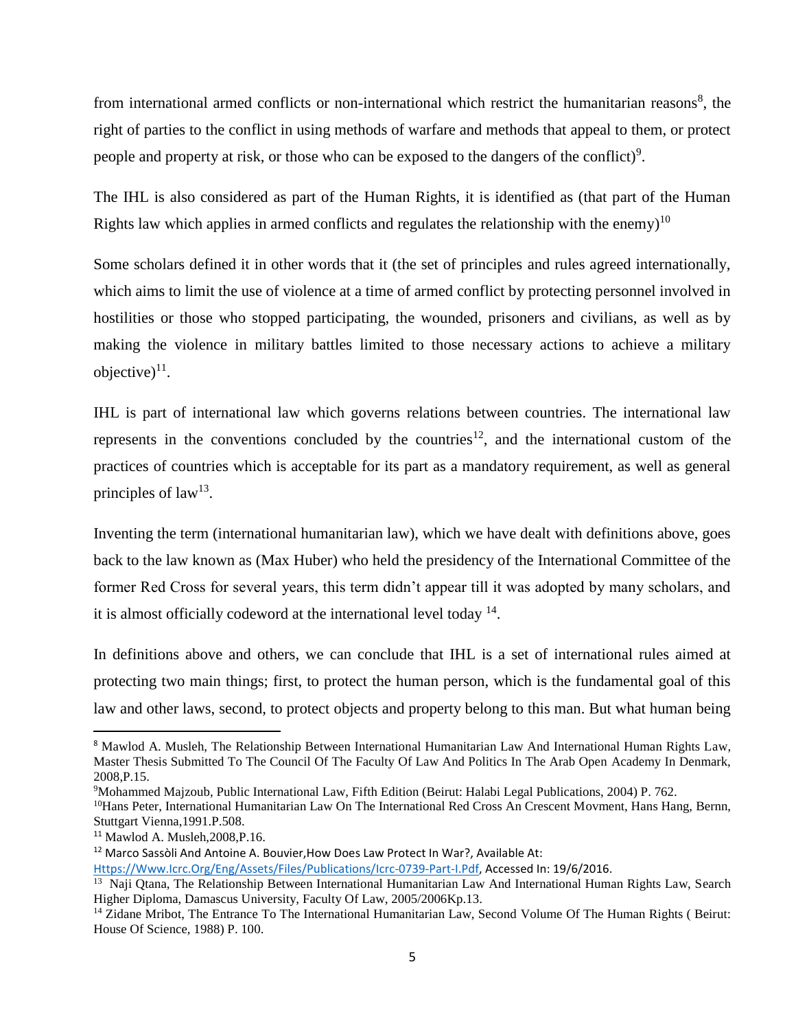from international armed conflicts or non-international which restrict the humanitarian reasons<sup>8</sup>, the right of parties to the conflict in using methods of warfare and methods that appeal to them, or protect people and property at risk, or those who can be exposed to the dangers of the conflict)<sup>9</sup>.

The IHL is also considered as part of the Human Rights, it is identified as (that part of the Human Rights law which applies in armed conflicts and regulates the relationship with the enemy)<sup>10</sup>

Some scholars defined it in other words that it (the set of principles and rules agreed internationally, which aims to limit the use of violence at a time of armed conflict by protecting personnel involved in hostilities or those who stopped participating, the wounded, prisoners and civilians, as well as by making the violence in military battles limited to those necessary actions to achieve a military objective) $^{11}$ .

IHL is part of international law which governs relations between countries. The international law represents in the conventions concluded by the countries<sup>12</sup>, and the international custom of the practices of countries which is acceptable for its part as a mandatory requirement, as well as general principles of  $law<sup>13</sup>$ .

Inventing the term (international humanitarian law), which we have dealt with definitions above, goes back to the law known as (Max Huber) who held the presidency of the International Committee of the former Red Cross for several years, this term didn't appear till it was adopted by many scholars, and it is almost officially codeword at the international level today <sup>14</sup>.

In definitions above and others, we can conclude that IHL is a set of international rules aimed at protecting two main things; first, to protect the human person, which is the fundamental goal of this law and other laws, second, to protect objects and property belong to this man. But what human being

 $\overline{a}$ 

<sup>8</sup> Mawlod A. Musleh, The Relationship Between International Humanitarian Law And International Human Rights Law, Master Thesis Submitted To The Council Of The Faculty Of Law And Politics In The Arab Open Academy In Denmark, 2008,P.15.

<sup>9</sup>Mohammed Majzoub, Public International Law, Fifth Edition (Beirut: Halabi Legal Publications, 2004) P. 762.

<sup>&</sup>lt;sup>10</sup>Hans Peter, International Humanitarian Law On The International Red Cross An Crescent Movment, Hans Hang, Bernn, Stuttgart Vienna,1991.P.508.

<sup>11</sup> Mawlod A. Musleh,2008,P.16.

<sup>&</sup>lt;sup>12</sup> Marco Sassòli And Antoine A. Bouvier, How Does Law Protect In War?, Available At:

[Https://Www.Icrc.Org/Eng/Assets/Files/Publications/Icrc-0739-Part-I.Pdf,](https://www.icrc.org/eng/assets/files/publications/icrc-0739-part-i.pdf) Accessed In: 19/6/2016.

<sup>&</sup>lt;sup>13</sup> Naji Qtana, The Relationship Between International Humanitarian Law And International Human Rights Law, Search Higher Diploma, Damascus University, Faculty Of Law, 2005/2006Kp.13.

<sup>&</sup>lt;sup>14</sup> Zidane Mribot, The Entrance To The International Humanitarian Law, Second Volume Of The Human Rights (Beirut: House Of Science, 1988) P. 100.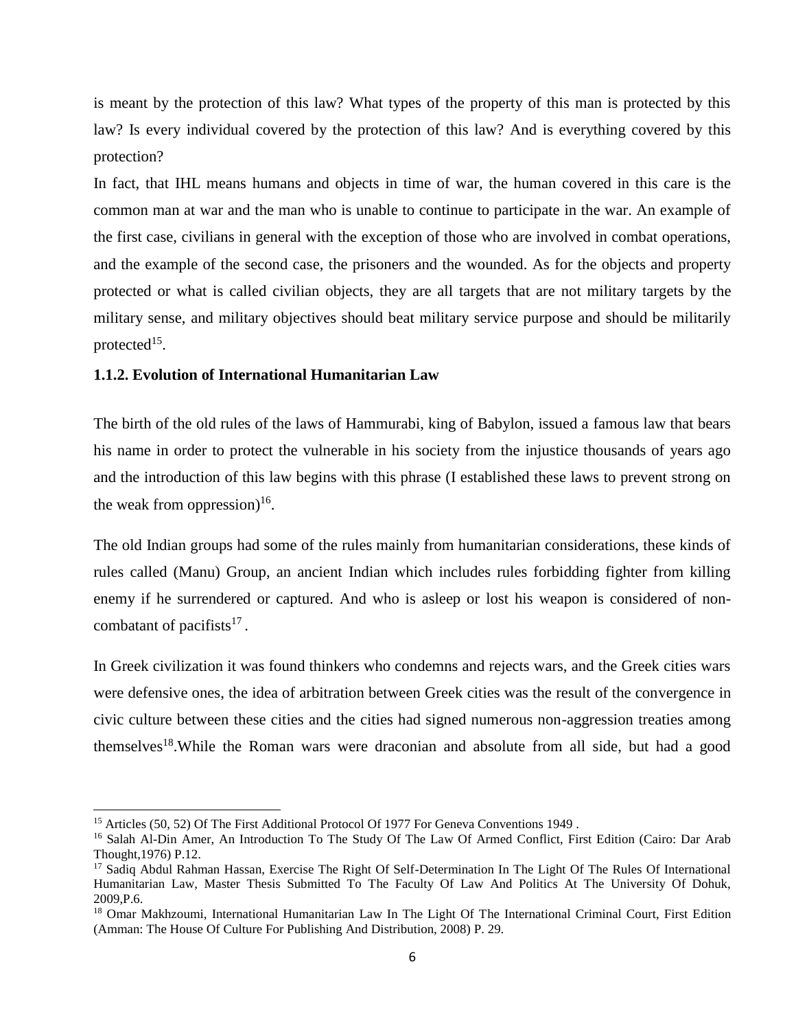is meant by the protection of this law? What types of the property of this man is protected by this law? Is every individual covered by the protection of this law? And is everything covered by this protection?

In fact, that IHL means humans and objects in time of war, the human covered in this care is the common man at war and the man who is unable to continue to participate in the war. An example of the first case, civilians in general with the exception of those who are involved in combat operations, and the example of the second case, the prisoners and the wounded. As for the objects and property protected or what is called civilian objects, they are all targets that are not military targets by the military sense, and military objectives should beat military service purpose and should be militarily protected $15$ .

#### <span id="page-14-0"></span>**1.1.2. Evolution of International Humanitarian Law**

The birth of the old rules of the laws of Hammurabi, king of Babylon, issued a famous law that bears his name in order to protect the vulnerable in his society from the injustice thousands of years ago and the introduction of this law begins with this phrase (I established these laws to prevent strong on the weak from oppression)<sup>16</sup>.

The old Indian groups had some of the rules mainly from humanitarian considerations, these kinds of rules called (Manu) Group, an ancient Indian which includes rules forbidding fighter from killing enemy if he surrendered or captured. And who is asleep or lost his weapon is considered of noncombatant of pacifists $17$ .

In Greek civilization it was found thinkers who condemns and rejects wars, and the Greek cities wars were defensive ones, the idea of arbitration between Greek cities was the result of the convergence in civic culture between these cities and the cities had signed numerous non-aggression treaties among themselves<sup>18</sup>. While the Roman wars were draconian and absolute from all side, but had a good

 $\overline{a}$ 

<sup>&</sup>lt;sup>15</sup> Articles (50, 52) Of The First Additional Protocol Of 1977 For Geneva Conventions 1949.

<sup>&</sup>lt;sup>16</sup> Salah Al-Din Amer, An Introduction To The Study Of The Law Of Armed Conflict, First Edition (Cairo: Dar Arab Thought,1976) P.12.

<sup>&</sup>lt;sup>17</sup> Sadiq Abdul Rahman Hassan, Exercise The Right Of Self-Determination In The Light Of The Rules Of International Humanitarian Law, Master Thesis Submitted To The Faculty Of Law And Politics At The University Of Dohuk, 2009,P.6.

<sup>&</sup>lt;sup>18</sup> Omar Makhzoumi, International Humanitarian Law In The Light Of The International Criminal Court, First Edition (Amman: The House Of Culture For Publishing And Distribution, 2008) P. 29.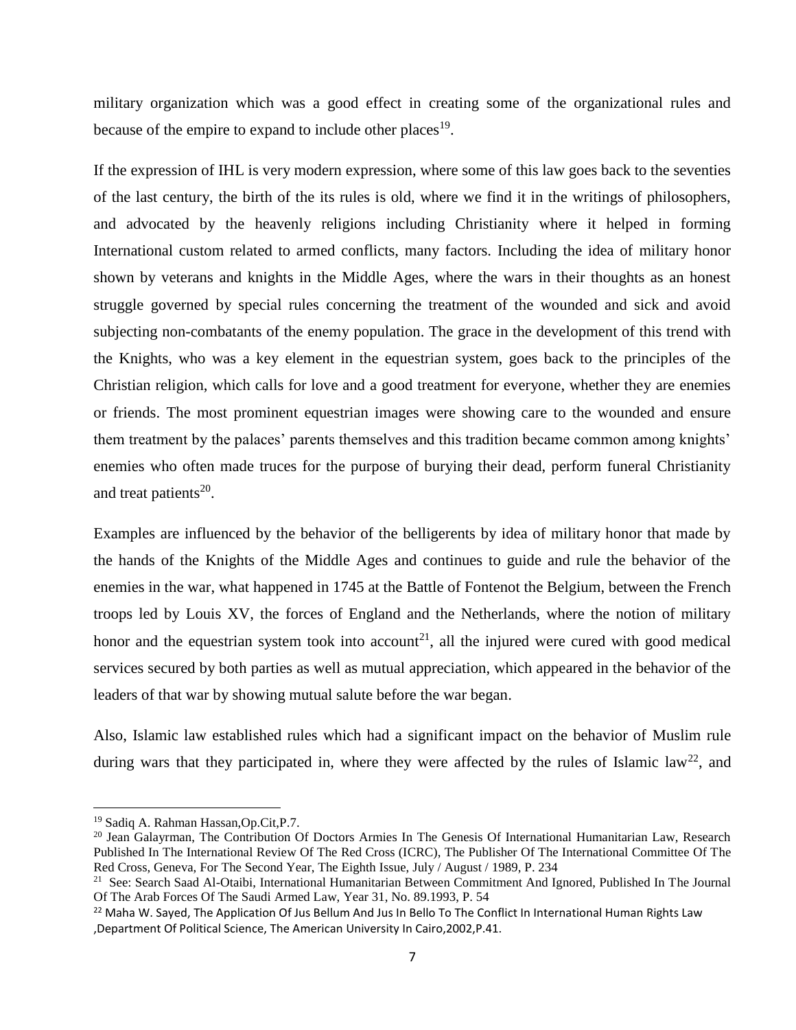military organization which was a good effect in creating some of the organizational rules and because of the empire to expand to include other places<sup>19</sup>.

If the expression of IHL is very modern expression, where some of this law goes back to the seventies of the last century, the birth of the its rules is old, where we find it in the writings of philosophers, and advocated by the heavenly religions including Christianity where it helped in forming International custom related to armed conflicts, many factors. Including the idea of military honor shown by veterans and knights in the Middle Ages, where the wars in their thoughts as an honest struggle governed by special rules concerning the treatment of the wounded and sick and avoid subjecting non-combatants of the enemy population. The grace in the development of this trend with the Knights, who was a key element in the equestrian system, goes back to the principles of the Christian religion, which calls for love and a good treatment for everyone, whether they are enemies or friends. The most prominent equestrian images were showing care to the wounded and ensure them treatment by the palaces' parents themselves and this tradition became common among knights' enemies who often made truces for the purpose of burying their dead, perform funeral Christianity and treat patients $20$ .

Examples are influenced by the behavior of the belligerents by idea of military honor that made by the hands of the Knights of the Middle Ages and continues to guide and rule the behavior of the enemies in the war, what happened in 1745 at the Battle of Fontenot the Belgium, between the French troops led by Louis XV, the forces of England and the Netherlands, where the notion of military honor and the equestrian system took into account<sup>21</sup>, all the injured were cured with good medical services secured by both parties as well as mutual appreciation, which appeared in the behavior of the leaders of that war by showing mutual salute before the war began.

Also, Islamic law established rules which had a significant impact on the behavior of Muslim rule during wars that they participated in, where they were affected by the rules of Islamic law<sup>22</sup>, and

l

<sup>19</sup> Sadiq A. Rahman Hassan,Op.Cit,P.7.

<sup>&</sup>lt;sup>20</sup> Jean Galayrman, The Contribution Of Doctors Armies In The Genesis Of International Humanitarian Law, Research Published In The International Review Of The Red Cross (ICRC), The Publisher Of The International Committee Of The Red Cross, Geneva, For The Second Year, The Eighth Issue, July / August / 1989, P. 234

<sup>&</sup>lt;sup>21</sup> See: Search Saad Al-Otaibi, International Humanitarian Between Commitment And Ignored, Published In The Journal Of The Arab Forces Of The Saudi Armed Law, Year 31, No. 89.1993, P. 54

<sup>&</sup>lt;sup>22</sup> Maha W. Sayed, The Application Of Jus Bellum And Jus In Bello To The Conflict In International Human Rights Law ,Department Of Political Science, The American University In Cairo,2002,P.41.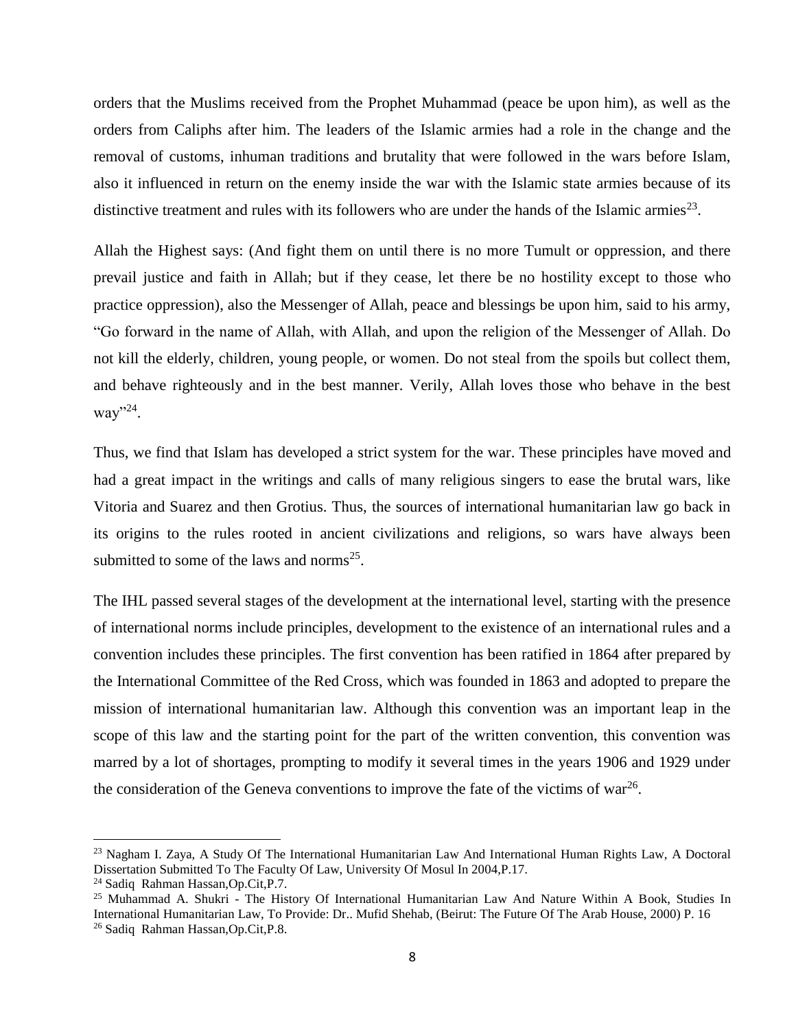orders that the Muslims received from the Prophet Muhammad (peace be upon him), as well as the orders from Caliphs after him. The leaders of the Islamic armies had a role in the change and the removal of customs, inhuman traditions and brutality that were followed in the wars before Islam, also it influenced in return on the enemy inside the war with the Islamic state armies because of its distinctive treatment and rules with its followers who are under the hands of the Islamic armies<sup>23</sup>.

Allah the Highest says: (And fight them on until there is no more Tumult or oppression, and there prevail justice and faith in Allah; but if they cease, let there be no hostility except to those who practice oppression), also the Messenger of Allah, peace and blessings be upon him, said to his army, "Go forward in the name of Allah, with Allah, and upon the religion of the Messenger of Allah. Do not kill the elderly, children, young people, or women. Do not steal from the spoils but collect them, and behave righteously and in the best manner. Verily, Allah loves those who behave in the best way"<sup>24</sup>.

Thus, we find that Islam has developed a strict system for the war. These principles have moved and had a great impact in the writings and calls of many religious singers to ease the brutal wars, like Vitoria and Suarez and then Grotius. Thus, the sources of international humanitarian law go back in its origins to the rules rooted in ancient civilizations and religions, so wars have always been submitted to some of the laws and norms<sup>25</sup>.

The IHL passed several stages of the development at the international level, starting with the presence of international norms include principles, development to the existence of an international rules and a convention includes these principles. The first convention has been ratified in 1864 after prepared by the International Committee of the Red Cross, which was founded in 1863 and adopted to prepare the mission of international humanitarian law. Although this convention was an important leap in the scope of this law and the starting point for the part of the written convention, this convention was marred by a lot of shortages, prompting to modify it several times in the years 1906 and 1929 under the consideration of the Geneva conventions to improve the fate of the victims of war<sup>26</sup>.

l

<sup>23</sup> Nagham I. Zaya, A Study Of The International Humanitarian Law And International Human Rights Law, A Doctoral Dissertation Submitted To The Faculty Of Law, University Of Mosul In 2004,P.17.

<sup>24</sup> Sadiq Rahman Hassan,Op.Cit,P.7.

<sup>25</sup> Muhammad A. Shukri - The History Of International Humanitarian Law And Nature Within A Book, Studies In International Humanitarian Law, To Provide: Dr.. Mufid Shehab, (Beirut: The Future Of The Arab House, 2000) P. 16 <sup>26</sup> Sadiq Rahman Hassan,Op.Cit,P.8.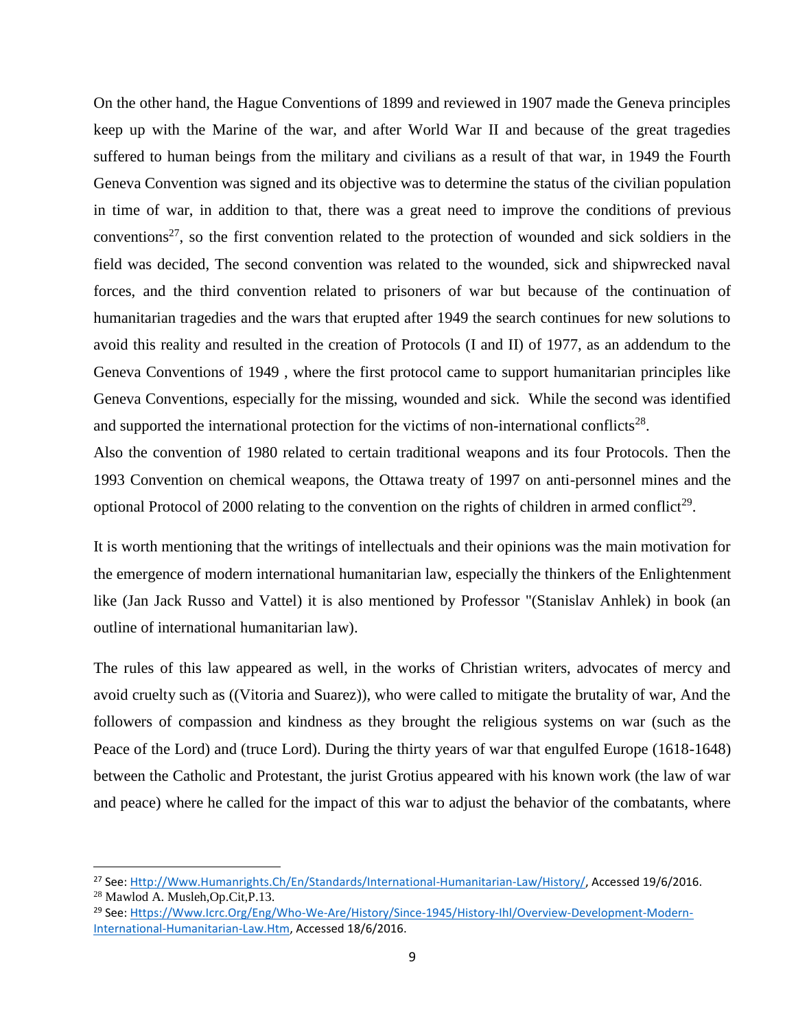On the other hand, the Hague Conventions of 1899 and reviewed in 1907 made the Geneva principles keep up with the Marine of the war, and after World War II and because of the great tragedies suffered to human beings from the military and civilians as a result of that war, in 1949 the Fourth Geneva Convention was signed and its objective was to determine the status of the civilian population in time of war, in addition to that, there was a great need to improve the conditions of previous conventions<sup>27</sup>, so the first convention related to the protection of wounded and sick soldiers in the field was decided, The second convention was related to the wounded, sick and shipwrecked naval forces, and the third convention related to prisoners of war but because of the continuation of humanitarian tragedies and the wars that erupted after 1949 the search continues for new solutions to avoid this reality and resulted in the creation of Protocols (I and II) of 1977, as an addendum to the Geneva Conventions of 1949 , where the first protocol came to support humanitarian principles like Geneva Conventions, especially for the missing, wounded and sick. While the second was identified and supported the international protection for the victims of non-international conflicts<sup>28</sup>.

Also the convention of 1980 related to certain traditional weapons and its four Protocols. Then the 1993 Convention on chemical weapons, the Ottawa treaty of 1997 on anti-personnel mines and the optional Protocol of 2000 relating to the convention on the rights of children in armed conflict<sup>29</sup>.

It is worth mentioning that the writings of intellectuals and their opinions was the main motivation for the emergence of modern international humanitarian law, especially the thinkers of the Enlightenment like (Jan Jack Russo and Vattel) it is also mentioned by Professor "(Stanislav Anhlek) in book (an outline of international humanitarian law).

The rules of this law appeared as well, in the works of Christian writers, advocates of mercy and avoid cruelty such as ((Vitoria and Suarez)), who were called to mitigate the brutality of war, And the followers of compassion and kindness as they brought the religious systems on war (such as the Peace of the Lord) and (truce Lord). During the thirty years of war that engulfed Europe (1618-1648) between the Catholic and Protestant, the jurist Grotius appeared with his known work (the law of war and peace) where he called for the impact of this war to adjust the behavior of the combatants, where

 $\overline{a}$ 

<sup>27</sup> See: [Http://Www.Humanrights.Ch/En/Standards/International-Humanitarian-Law/History/,](http://www.humanrights.ch/en/standards/international-humanitarian-law/history/) Accessed 19/6/2016. <sup>28</sup> Mawlod A. Musleh,Op.Cit,P.13.

<sup>29</sup> See: [Https://Www.Icrc.Org/Eng/Who-We-Are/History/Since-1945/History-Ihl/Overview-Development-Modern-](https://www.icrc.org/eng/who-we-are/history/since-1945/history-ihl/overview-development-modern-international-humanitarian-law.htm)[International-Humanitarian-Law.Htm,](https://www.icrc.org/eng/who-we-are/history/since-1945/history-ihl/overview-development-modern-international-humanitarian-law.htm) Accessed 18/6/2016.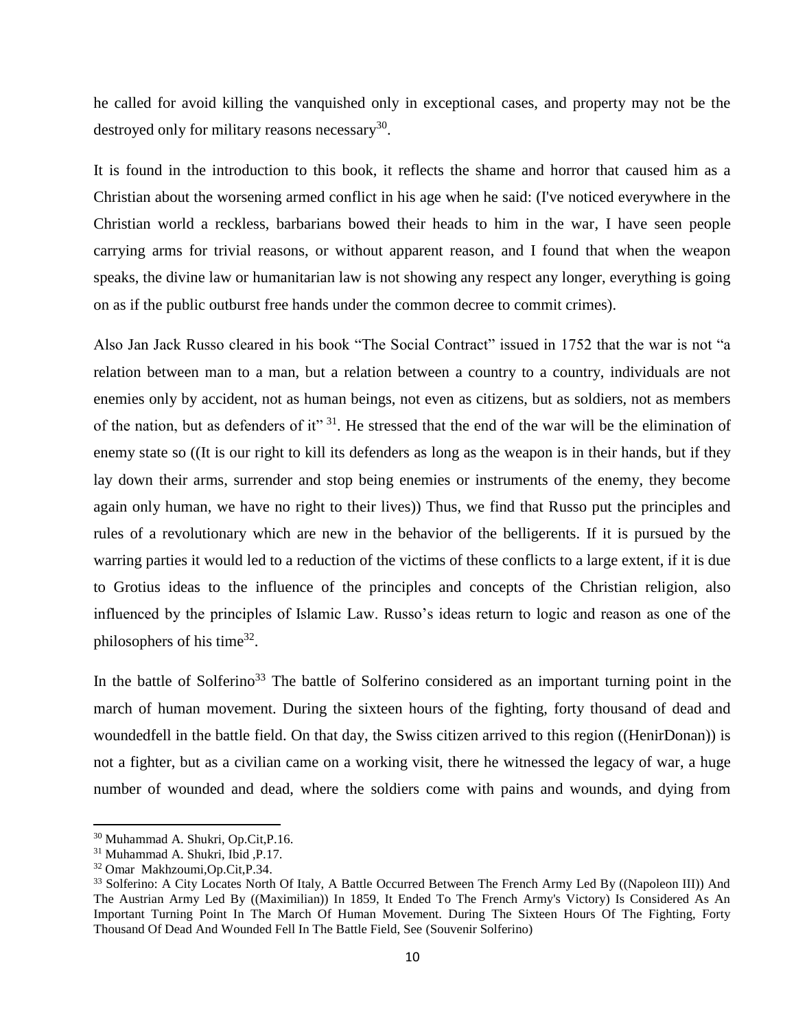he called for avoid killing the vanquished only in exceptional cases, and property may not be the destroyed only for military reasons necessary<sup>30</sup>.

It is found in the introduction to this book, it reflects the shame and horror that caused him as a Christian about the worsening armed conflict in his age when he said: (I've noticed everywhere in the Christian world a reckless, barbarians bowed their heads to him in the war, I have seen people carrying arms for trivial reasons, or without apparent reason, and I found that when the weapon speaks, the divine law or humanitarian law is not showing any respect any longer, everything is going on as if the public outburst free hands under the common decree to commit crimes).

Also Jan Jack Russo cleared in his book "The Social Contract" issued in 1752 that the war is not "a relation between man to a man, but a relation between a country to a country, individuals are not enemies only by accident, not as human beings, not even as citizens, but as soldiers, not as members of the nation, but as defenders of it"  $31$ . He stressed that the end of the war will be the elimination of enemy state so ((It is our right to kill its defenders as long as the weapon is in their hands, but if they lay down their arms, surrender and stop being enemies or instruments of the enemy, they become again only human, we have no right to their lives)) Thus, we find that Russo put the principles and rules of a revolutionary which are new in the behavior of the belligerents. If it is pursued by the warring parties it would led to a reduction of the victims of these conflicts to a large extent, if it is due to Grotius ideas to the influence of the principles and concepts of the Christian religion, also influenced by the principles of Islamic Law. Russo's ideas return to logic and reason as one of the philosophers of his time<sup>32</sup>.

In the battle of Solferino<sup>33</sup> The battle of Solferino considered as an important turning point in the march of human movement. During the sixteen hours of the fighting, forty thousand of dead and woundedfell in the battle field. On that day, the Swiss citizen arrived to this region ((HenirDonan)) is not a fighter, but as a civilian came on a working visit, there he witnessed the legacy of war, a huge number of wounded and dead, where the soldiers come with pains and wounds, and dying from

<sup>30</sup> Muhammad A. Shukri, Op.Cit,P.16.

<sup>31</sup> Muhammad A. Shukri, Ibid ,P.17.

<sup>32</sup> Omar Makhzoumi,Op.Cit,P.34.

<sup>&</sup>lt;sup>33</sup> Solferino: A City Locates North Of Italy, A Battle Occurred Between The French Army Led By ((Napoleon III)) And The Austrian Army Led By ((Maximilian)) In 1859, It Ended To The French Army's Victory) Is Considered As An Important Turning Point In The March Of Human Movement. During The Sixteen Hours Of The Fighting, Forty Thousand Of Dead And Wounded Fell In The Battle Field, See (Souvenir Solferino)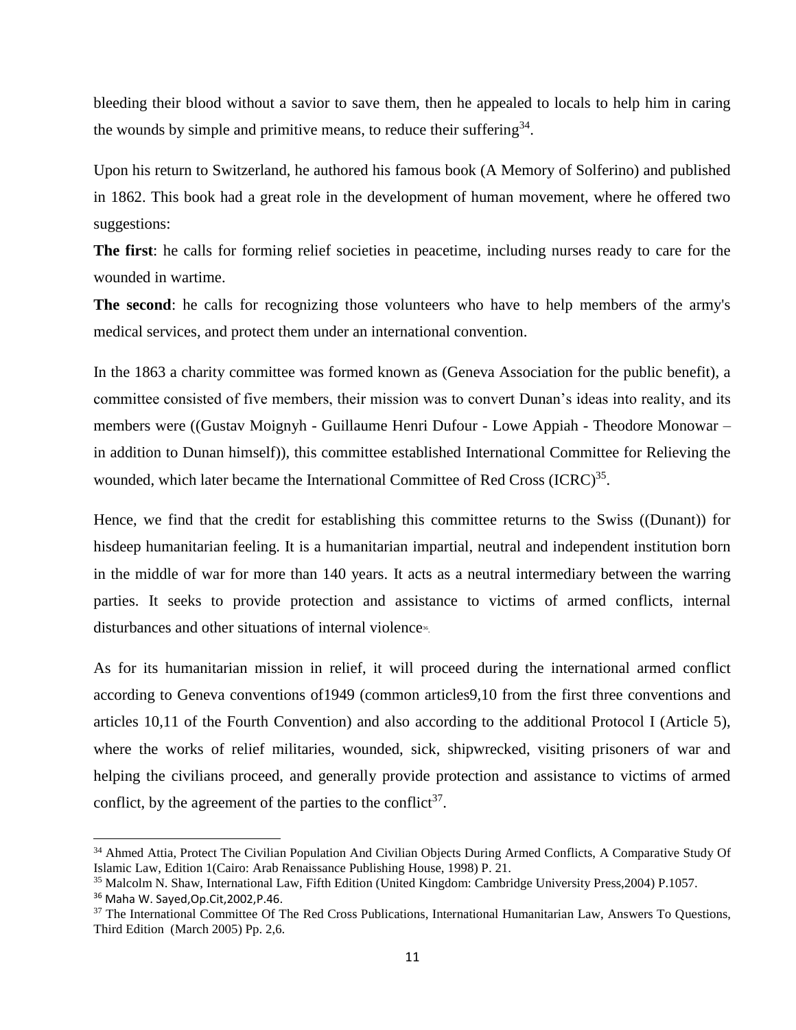bleeding their blood without a savior to save them, then he appealed to locals to help him in caring the wounds by simple and primitive means, to reduce their suffering  $34$ .

Upon his return to Switzerland, he authored his famous book (A Memory of Solferino) and published in 1862. This book had a great role in the development of human movement, where he offered two suggestions:

**The first**: he calls for forming relief societies in peacetime, including nurses ready to care for the wounded in wartime.

**The second**: he calls for recognizing those volunteers who have to help members of the army's medical services, and protect them under an international convention.

In the 1863 a charity committee was formed known as (Geneva Association for the public benefit), a committee consisted of five members, their mission was to convert Dunan's ideas into reality, and its members were ((Gustav Moignyh - Guillaume Henri Dufour - Lowe Appiah - Theodore Monowar – in addition to Dunan himself)), this committee established International Committee for Relieving the wounded, which later became the International Committee of Red Cross (ICRC)<sup>35</sup>.

Hence, we find that the credit for establishing this committee returns to the Swiss ((Dunant)) for hisdeep humanitarian feeling. It is a humanitarian impartial, neutral and independent institution born in the middle of war for more than 140 years. It acts as a neutral intermediary between the warring parties. It seeks to provide protection and assistance to victims of armed conflicts, internal disturbances and other situations of internal violence<sup>36</sup>.

As for its humanitarian mission in relief, it will proceed during the international armed conflict according to Geneva conventions of1949 (common articles9,10 from the first three conventions and articles 10,11 of the Fourth Convention) and also according to the additional Protocol I (Article 5), where the works of relief militaries, wounded, sick, shipwrecked, visiting prisoners of war and helping the civilians proceed, and generally provide protection and assistance to victims of armed conflict, by the agreement of the parties to the conflict<sup>37</sup>.

<sup>&</sup>lt;sup>34</sup> Ahmed Attia, Protect The Civilian Population And Civilian Objects During Armed Conflicts, A Comparative Study Of Islamic Law, Edition 1(Cairo: Arab Renaissance Publishing House, 1998) P. 21.

<sup>35</sup> Malcolm N. Shaw, International Law, Fifth Edition (United Kingdom: Cambridge University Press,2004) P.1057.

<sup>36</sup> Maha W. Sayed,Op.Cit,2002,P.46.

<sup>37</sup> The International Committee Of The Red Cross Publications, International Humanitarian Law, Answers To Questions, Third Edition (March 2005) Pp. 2,6.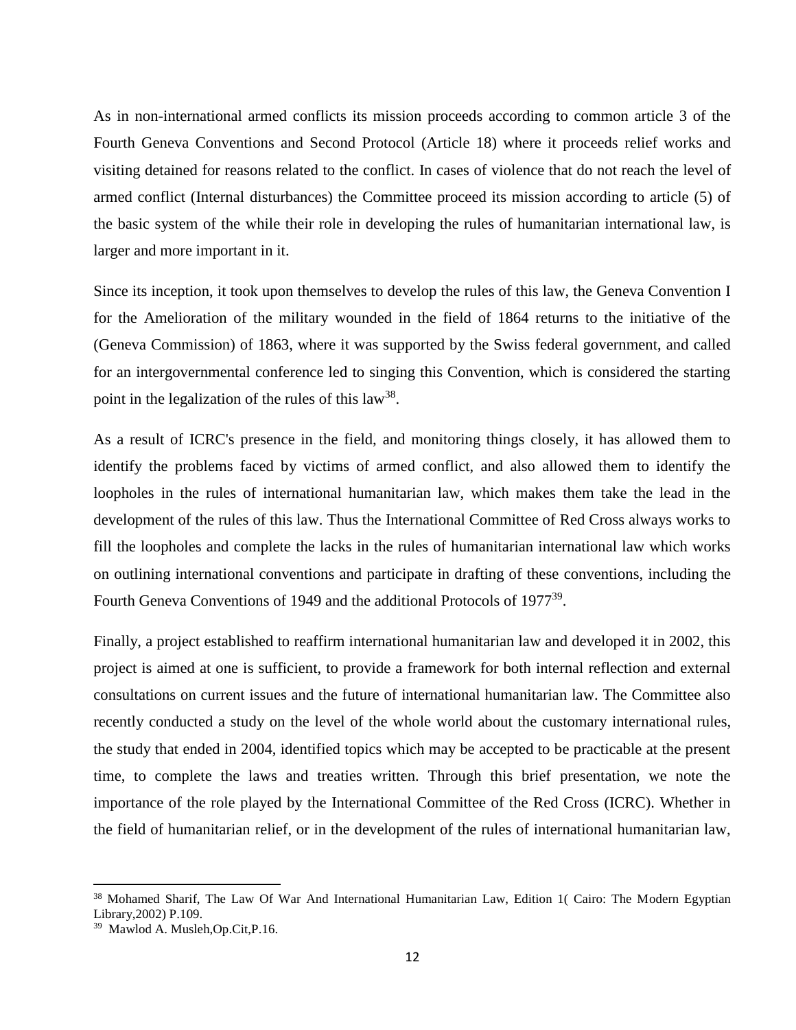As in non-international armed conflicts its mission proceeds according to common article 3 of the Fourth Geneva Conventions and Second Protocol (Article 18) where it proceeds relief works and visiting detained for reasons related to the conflict. In cases of violence that do not reach the level of armed conflict (Internal disturbances) the Committee proceed its mission according to article (5) of the basic system of the while their role in developing the rules of humanitarian international law, is larger and more important in it.

Since its inception, it took upon themselves to develop the rules of this law, the Geneva Convention I for the Amelioration of the military wounded in the field of 1864 returns to the initiative of the (Geneva Commission) of 1863, where it was supported by the Swiss federal government, and called for an intergovernmental conference led to singing this Convention, which is considered the starting point in the legalization of the rules of this law<sup>38</sup>.

As a result of ICRC's presence in the field, and monitoring things closely, it has allowed them to identify the problems faced by victims of armed conflict, and also allowed them to identify the loopholes in the rules of international humanitarian law, which makes them take the lead in the development of the rules of this law. Thus the International Committee of Red Cross always works to fill the loopholes and complete the lacks in the rules of humanitarian international law which works on outlining international conventions and participate in drafting of these conventions, including the Fourth Geneva Conventions of 1949 and the additional Protocols of 1977<sup>39</sup>.

Finally, a project established to reaffirm international humanitarian law and developed it in 2002, this project is aimed at one is sufficient, to provide a framework for both internal reflection and external consultations on current issues and the future of international humanitarian law. The Committee also recently conducted a study on the level of the whole world about the customary international rules, the study that ended in 2004, identified topics which may be accepted to be practicable at the present time, to complete the laws and treaties written. Through this brief presentation, we note the importance of the role played by the International Committee of the Red Cross (ICRC). Whether in the field of humanitarian relief, or in the development of the rules of international humanitarian law,

<sup>&</sup>lt;sup>38</sup> Mohamed Sharif, The Law Of War And International Humanitarian Law, Edition 1( Cairo: The Modern Egyptian Library,2002) P.109.

<sup>39</sup> Mawlod A. Musleh,Op.Cit,P.16.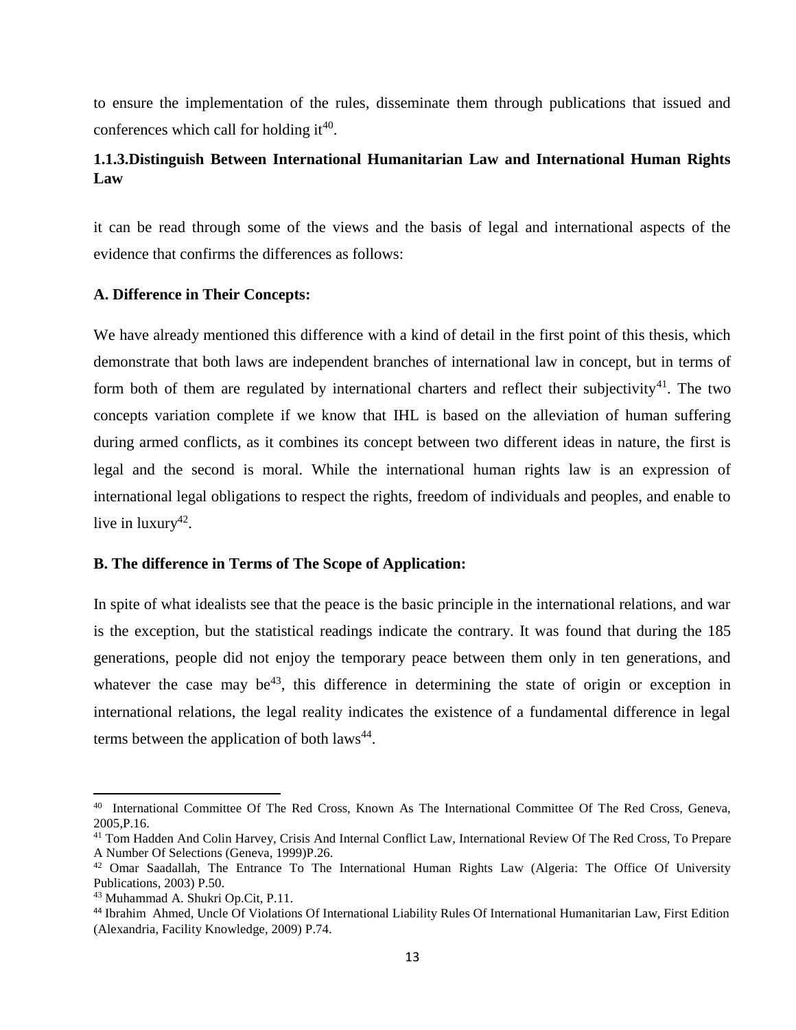to ensure the implementation of the rules, disseminate them through publications that issued and conferences which call for holding it<sup>40</sup>.

# <span id="page-21-0"></span>**1.1.3.Distinguish Between International Humanitarian Law and International Human Rights Law**

it can be read through some of the views and the basis of legal and international aspects of the evidence that confirms the differences as follows:

### **A. Difference in Their Concepts:**

We have already mentioned this difference with a kind of detail in the first point of this thesis, which demonstrate that both laws are independent branches of international law in concept, but in terms of form both of them are regulated by international charters and reflect their subjectivity<sup>41</sup>. The two concepts variation complete if we know that IHL is based on the alleviation of human suffering during armed conflicts, as it combines its concept between two different ideas in nature, the first is legal and the second is moral. While the international human rights law is an expression of international legal obligations to respect the rights, freedom of individuals and peoples, and enable to live in luxury<sup>42</sup>.

### **B. The difference in Terms of The Scope of Application:**

In spite of what idealists see that the peace is the basic principle in the international relations, and war is the exception, but the statistical readings indicate the contrary. It was found that during the 185 generations, people did not enjoy the temporary peace between them only in ten generations, and whatever the case may be<sup>43</sup>, this difference in determining the state of origin or exception in international relations, the legal reality indicates the existence of a fundamental difference in legal terms between the application of both  $laws^{44}$ .

<sup>40</sup> International Committee Of The Red Cross, Known As The International Committee Of The Red Cross, Geneva, 2005,P.16.

<sup>&</sup>lt;sup>41</sup> Tom Hadden And Colin Harvey, Crisis And Internal Conflict Law, International Review Of The Red Cross, To Prepare A Number Of Selections (Geneva, 1999)P.26.

<sup>&</sup>lt;sup>42</sup> Omar Saadallah, The Entrance To The International Human Rights Law (Algeria: The Office Of University Publications, 2003) P.50.

<sup>43</sup> Muhammad A. Shukri Op.Cit, P.11.

<sup>44</sup> Ibrahim Ahmed, Uncle Of Violations Of International Liability Rules Of International Humanitarian Law, First Edition (Alexandria, Facility Knowledge, 2009) P.74.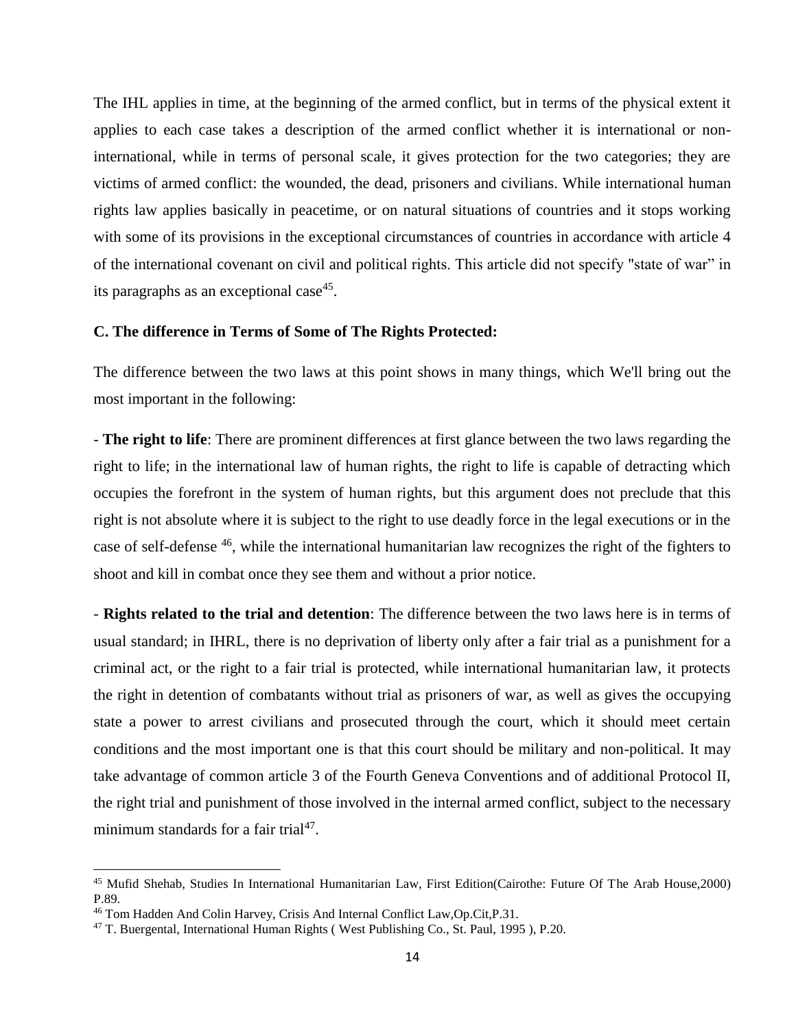The IHL applies in time, at the beginning of the armed conflict, but in terms of the physical extent it applies to each case takes a description of the armed conflict whether it is international or noninternational, while in terms of personal scale, it gives protection for the two categories; they are victims of armed conflict: the wounded, the dead, prisoners and civilians. While international human rights law applies basically in peacetime, or on natural situations of countries and it stops working with some of its provisions in the exceptional circumstances of countries in accordance with article 4 of the international covenant on civil and political rights. This article did not specify "state of war" in its paragraphs as an exceptional case<sup>45</sup>.

#### **C. The difference in Terms of Some of The Rights Protected:**

The difference between the two laws at this point shows in many things, which We'll bring out the most important in the following:

- **The right to life**: There are prominent differences at first glance between the two laws regarding the right to life; in the international law of human rights, the right to life is capable of detracting which occupies the forefront in the system of human rights, but this argument does not preclude that this right is not absolute where it is subject to the right to use deadly force in the legal executions or in the case of self-defense <sup>46</sup>, while the international humanitarian law recognizes the right of the fighters to shoot and kill in combat once they see them and without a prior notice.

- **Rights related to the trial and detention**: The difference between the two laws here is in terms of usual standard; in IHRL, there is no deprivation of liberty only after a fair trial as a punishment for a criminal act, or the right to a fair trial is protected, while international humanitarian law, it protects the right in detention of combatants without trial as prisoners of war, as well as gives the occupying state a power to arrest civilians and prosecuted through the court, which it should meet certain conditions and the most important one is that this court should be military and non-political. It may take advantage of common article 3 of the Fourth Geneva Conventions and of additional Protocol II, the right trial and punishment of those involved in the internal armed conflict, subject to the necessary minimum standards for a fair trial<sup>47</sup>.

<sup>45</sup> Mufid Shehab, Studies In International Humanitarian Law, First Edition(Cairothe: Future Of The Arab House,2000) P.89.

<sup>46</sup> Tom Hadden And Colin Harvey, Crisis And Internal Conflict Law,Op.Cit,P.31.

<sup>&</sup>lt;sup>47</sup> T. Buergental, International Human Rights (West Publishing Co., St. Paul, 1995), P.20.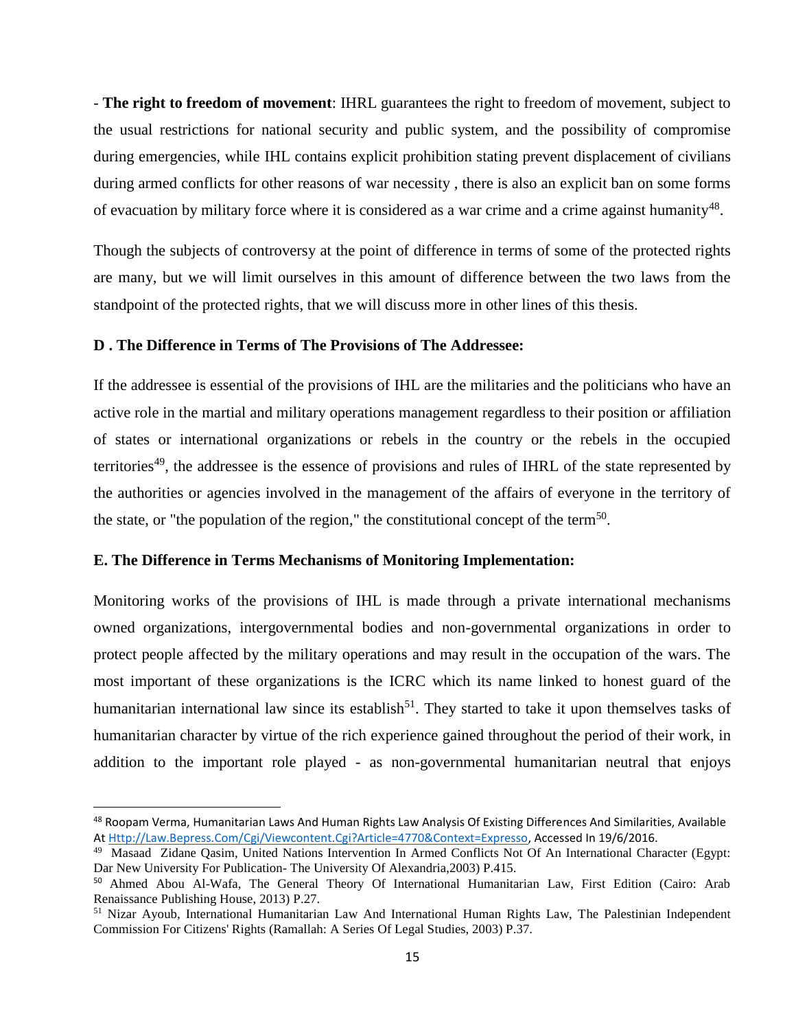- **The right to freedom of movement**: IHRL guarantees the right to freedom of movement, subject to the usual restrictions for national security and public system, and the possibility of compromise during emergencies, while IHL contains explicit prohibition stating prevent displacement of civilians during armed conflicts for other reasons of war necessity , there is also an explicit ban on some forms of evacuation by military force where it is considered as a war crime and a crime against humanity<sup>48</sup>.

Though the subjects of controversy at the point of difference in terms of some of the protected rights are many, but we will limit ourselves in this amount of difference between the two laws from the standpoint of the protected rights, that we will discuss more in other lines of this thesis.

#### **D . The Difference in Terms of The Provisions of The Addressee:**

If the addressee is essential of the provisions of IHL are the militaries and the politicians who have an active role in the martial and military operations management regardless to their position or affiliation of states or international organizations or rebels in the country or the rebels in the occupied territories<sup>49</sup>, the addressee is the essence of provisions and rules of IHRL of the state represented by the authorities or agencies involved in the management of the affairs of everyone in the territory of the state, or "the population of the region," the constitutional concept of the term<sup>50</sup>.

#### **E. The Difference in Terms Mechanisms of Monitoring Implementation:**

l

Monitoring works of the provisions of IHL is made through a private international mechanisms owned organizations, intergovernmental bodies and non-governmental organizations in order to protect people affected by the military operations and may result in the occupation of the wars. The most important of these organizations is the ICRC which its name linked to honest guard of the humanitarian international law since its establish<sup>51</sup>. They started to take it upon themselves tasks of humanitarian character by virtue of the rich experience gained throughout the period of their work, in addition to the important role played - as non-governmental humanitarian neutral that enjoys

<sup>&</sup>lt;sup>48</sup> Roopam Verma, Humanitarian Laws And Human Rights Law Analysis Of Existing Differences And Similarities, Available A[t Http://Law.Bepress.Com/Cgi/Viewcontent.Cgi?Article=4770&Context=Expresso,](http://law.bepress.com/cgi/viewcontent.cgi?article=4770&context=expresso) Accessed In 19/6/2016.

<sup>&</sup>lt;sup>49</sup> Masaad Zidane Qasim, United Nations Intervention In Armed Conflicts Not Of An International Character (Egypt: Dar New University For Publication- The University Of Alexandria,2003) P.415.

<sup>50</sup> Ahmed Abou Al-Wafa, The General Theory Of International Humanitarian Law, First Edition (Cairo: Arab Renaissance Publishing House, 2013) P.27.

<sup>51</sup> Nizar Ayoub, International Humanitarian Law And International Human Rights Law, The Palestinian Independent Commission For Citizens' Rights (Ramallah: A Series Of Legal Studies, 2003) P.37.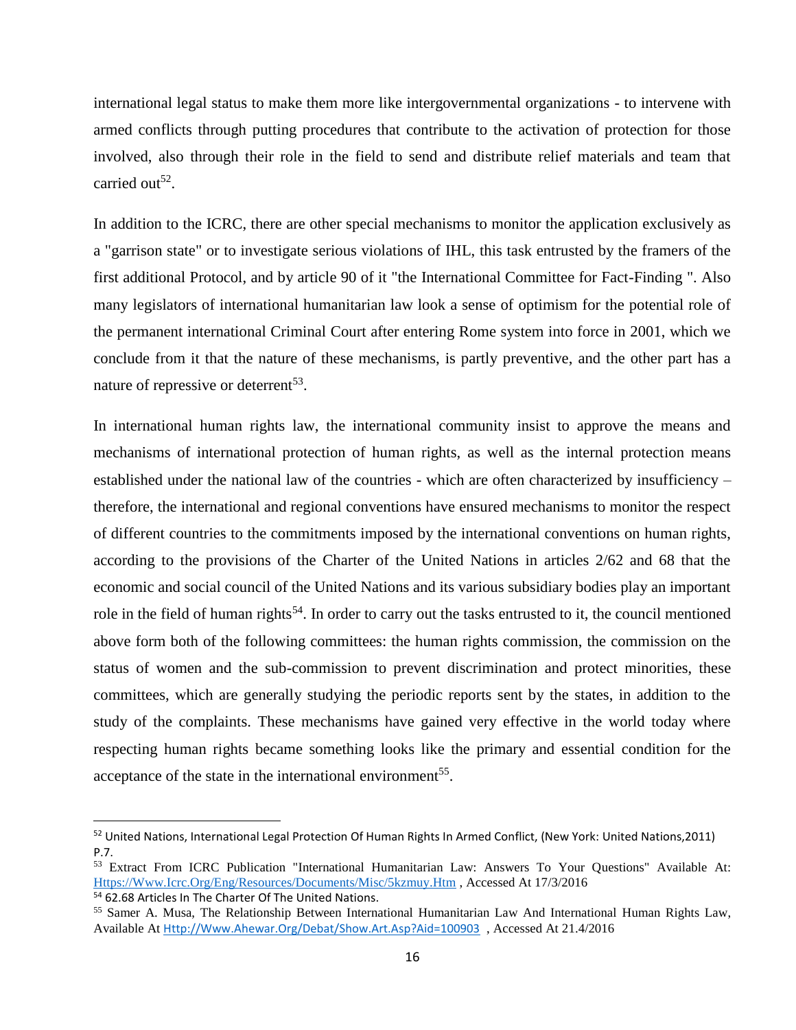international legal status to make them more like intergovernmental organizations - to intervene with armed conflicts through putting procedures that contribute to the activation of protection for those involved, also through their role in the field to send and distribute relief materials and team that carried out<sup>52</sup>.

In addition to the ICRC, there are other special mechanisms to monitor the application exclusively as a "garrison state" or to investigate serious violations of IHL, this task entrusted by the framers of the first additional Protocol, and by article 90 of it "the International Committee for Fact-Finding ". Also many legislators of international humanitarian law look a sense of optimism for the potential role of the permanent international Criminal Court after entering Rome system into force in 2001, which we conclude from it that the nature of these mechanisms, is partly preventive, and the other part has a nature of repressive or deterrent<sup>53</sup>.

In international human rights law, the international community insist to approve the means and mechanisms of international protection of human rights, as well as the internal protection means established under the national law of the countries - which are often characterized by insufficiency – therefore, the international and regional conventions have ensured mechanisms to monitor the respect of different countries to the commitments imposed by the international conventions on human rights, according to the provisions of the Charter of the United Nations in articles 2/62 and 68 that the economic and social council of the United Nations and its various subsidiary bodies play an important role in the field of human rights<sup>54</sup>. In order to carry out the tasks entrusted to it, the council mentioned above form both of the following committees: the human rights commission, the commission on the status of women and the sub-commission to prevent discrimination and protect minorities, these committees, which are generally studying the periodic reports sent by the states, in addition to the study of the complaints. These mechanisms have gained very effective in the world today where respecting human rights became something looks like the primary and essential condition for the acceptance of the state in the international environment<sup>55</sup>.

 $\overline{a}$ 

<sup>&</sup>lt;sup>52</sup> United Nations, International Legal Protection Of Human Rights In Armed Conflict, (New York: United Nations,2011) P.7.

<sup>53</sup> Extract From ICRC Publication "International Humanitarian Law: Answers To Your Questions" Available At: [Https://Www.Icrc.Org/Eng/Resources/Documents/Misc/5kzmuy.Htm](https://www.icrc.org/eng/resources/documents/misc/5kzmuy.htm) , Accessed At 17/3/2016

<sup>54</sup> 62.68 Articles In The Charter Of The United Nations.

<sup>55</sup> Samer A. Musa, The Relationship Between International Humanitarian Law And International Human Rights Law, Available At [Http://Www.Ahewar.Org/Debat/Show.Art.Asp?Aid=100903](http://www.ahewar.org/debat/show.art.asp?aid=100903) , Accessed At 21.4/2016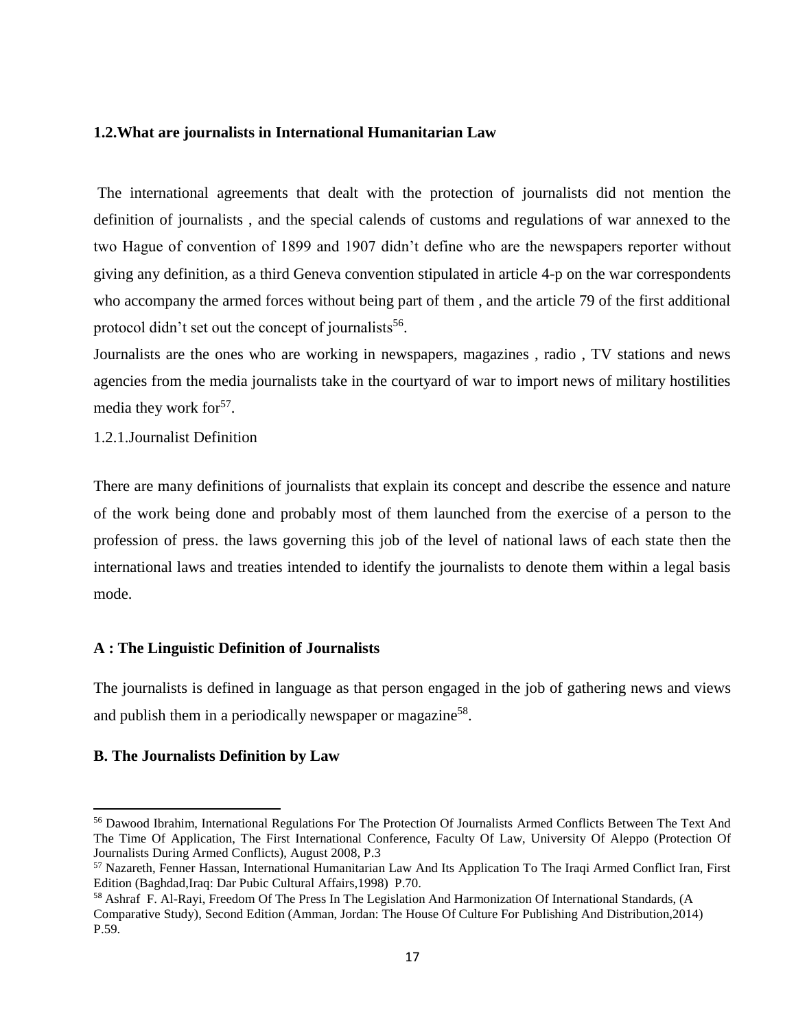### <span id="page-25-0"></span>**1.2.What are journalists in International Humanitarian Law**

The international agreements that dealt with the protection of journalists did not mention the definition of journalists , and the special calends of customs and regulations of war annexed to the two Hague of convention of 1899 and 1907 didn't define who are the newspapers reporter without giving any definition, as a third Geneva convention stipulated in article 4-p on the war correspondents who accompany the armed forces without being part of them , and the article 79 of the first additional protocol didn't set out the concept of journalists<sup>56</sup>.

Journalists are the ones who are working in newspapers, magazines , radio , TV stations and news agencies from the media journalists take in the courtyard of war to import news of military hostilities media they work for<sup>57</sup>.

## <span id="page-25-1"></span>1.2.1.Journalist Definition

There are many definitions of journalists that explain its concept and describe the essence and nature of the work being done and probably most of them launched from the exercise of a person to the profession of press. the laws governing this job of the level of national laws of each state then the international laws and treaties intended to identify the journalists to denote them within a legal basis mode.

# **A : The Linguistic Definition of Journalists**

The journalists is defined in language as that person engaged in the job of gathering news and views and publish them in a periodically newspaper or magazine<sup>58</sup>.

# **B. The Journalists Definition by Law**

l

<sup>56</sup> Dawood Ibrahim, International Regulations For The Protection Of Journalists Armed Conflicts Between The Text And The Time Of Application, The First International Conference, Faculty Of Law, University Of Aleppo (Protection Of Journalists During Armed Conflicts), August 2008, P.3

<sup>57</sup> Nazareth, Fenner Hassan, International Humanitarian Law And Its Application To The Iraqi Armed Conflict Iran, First Edition (Baghdad,Iraq: Dar Pubic Cultural Affairs,1998) P.70.

<sup>58</sup> Ashraf F. Al-Rayi, Freedom Of The Press In The Legislation And Harmonization Of International Standards, (A Comparative Study), Second Edition (Amman, Jordan: The House Of Culture For Publishing And Distribution,2014) P.59.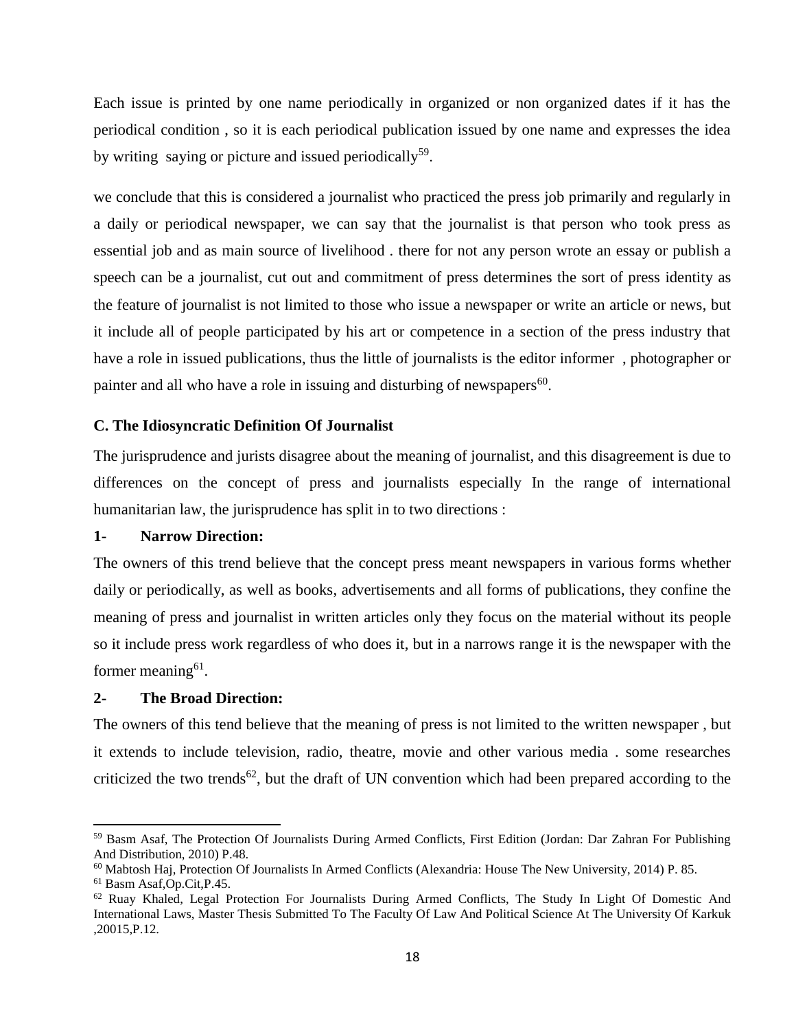Each issue is printed by one name periodically in organized or non organized dates if it has the periodical condition , so it is each periodical publication issued by one name and expresses the idea by writing saying or picture and issued periodically<sup>59</sup>.

we conclude that this is considered a journalist who practiced the press job primarily and regularly in a daily or periodical newspaper, we can say that the journalist is that person who took press as essential job and as main source of livelihood . there for not any person wrote an essay or publish a speech can be a journalist, cut out and commitment of press determines the sort of press identity as the feature of journalist is not limited to those who issue a newspaper or write an article or news, but it include all of people participated by his art or competence in a section of the press industry that have a role in issued publications, thus the little of journalists is the editor informer , photographer or painter and all who have a role in issuing and disturbing of newspapers<sup>60</sup>.

## **C. The Idiosyncratic Definition Of Journalist**

The jurisprudence and jurists disagree about the meaning of journalist, and this disagreement is due to differences on the concept of press and journalists especially In the range of international humanitarian law, the jurisprudence has split in to two directions :

#### **1- Narrow Direction:**

The owners of this trend believe that the concept press meant newspapers in various forms whether daily or periodically, as well as books, advertisements and all forms of publications, they confine the meaning of press and journalist in written articles only they focus on the material without its people so it include press work regardless of who does it, but in a narrows range it is the newspaper with the former meaning<sup>61</sup>.

### **2- The Broad Direction:**

The owners of this tend believe that the meaning of press is not limited to the written newspaper , but it extends to include television, radio, theatre, movie and other various media . some researches criticized the two trends<sup>62</sup>, but the draft of UN convention which had been prepared according to the

<sup>59</sup> Basm Asaf, The Protection Of Journalists During Armed Conflicts, First Edition (Jordan: Dar Zahran For Publishing And Distribution, 2010) P.48.

<sup>60</sup> Mabtosh Haj, Protection Of Journalists In Armed Conflicts (Alexandria: House The New University, 2014) P. 85.

<sup>61</sup> Basm Asaf,Op.Cit,P.45.

<sup>62</sup> Ruay Khaled, Legal Protection For Journalists During Armed Conflicts, The Study In Light Of Domestic And International Laws, Master Thesis Submitted To The Faculty Of Law And Political Science At The University Of Karkuk ,20015,P.12.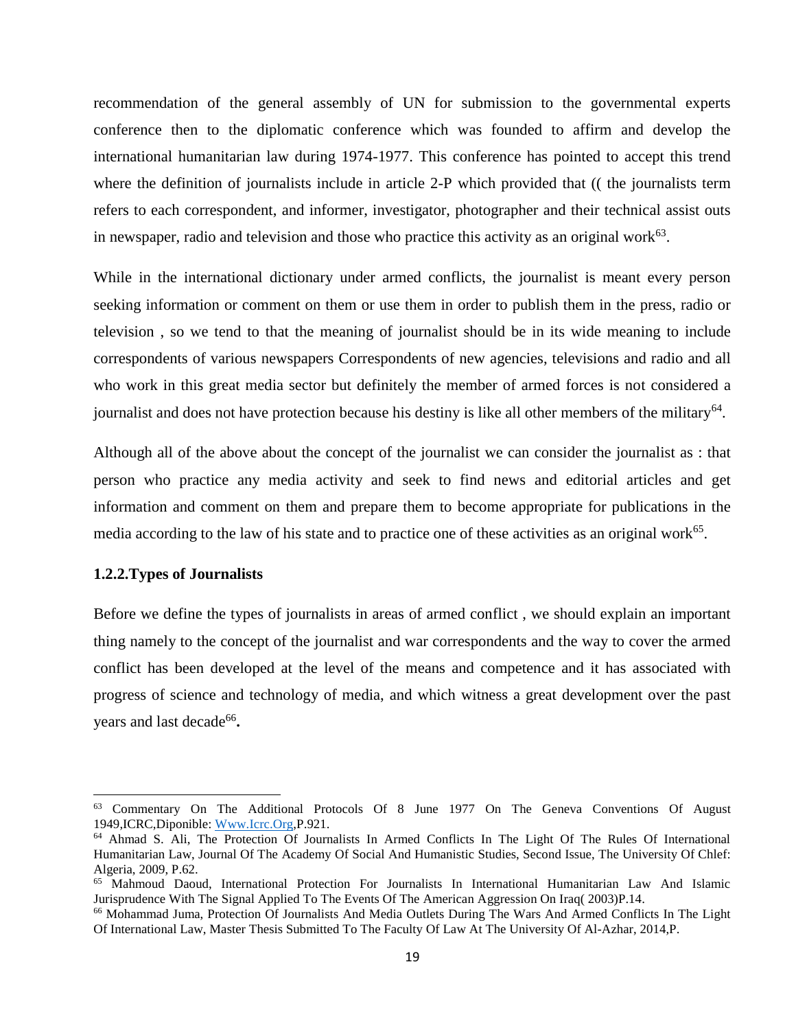recommendation of the general assembly of UN for submission to the governmental experts conference then to the diplomatic conference which was founded to affirm and develop the international humanitarian law during 1974-1977. This conference has pointed to accept this trend where the definition of journalists include in article 2-P which provided that ((the journalists term refers to each correspondent, and informer, investigator, photographer and their technical assist outs in newspaper, radio and television and those who practice this activity as an original work $63$ .

While in the international dictionary under armed conflicts, the journalist is meant every person seeking information or comment on them or use them in order to publish them in the press, radio or television , so we tend to that the meaning of journalist should be in its wide meaning to include correspondents of various newspapers Correspondents of new agencies, televisions and radio and all who work in this great media sector but definitely the member of armed forces is not considered a journalist and does not have protection because his destiny is like all other members of the military<sup>64</sup>.

Although all of the above about the concept of the journalist we can consider the journalist as : that person who practice any media activity and seek to find news and editorial articles and get information and comment on them and prepare them to become appropriate for publications in the media according to the law of his state and to practice one of these activities as an original work<sup>65</sup>.

#### <span id="page-27-0"></span>**1.2.2.Types of Journalists**

 $\overline{\phantom{a}}$ 

Before we define the types of journalists in areas of armed conflict , we should explain an important thing namely to the concept of the journalist and war correspondents and the way to cover the armed conflict has been developed at the level of the means and competence and it has associated with progress of science and technology of media, and which witness a great development over the past years and last decade<sup>66</sup>.

<sup>63</sup> Commentary On The Additional Protocols Of 8 June 1977 On The Geneva Conventions Of August 1949,ICRC,Diponible: [Www.Icrc.Org,](http://www.icrc.org/)P.921.

<sup>64</sup> Ahmad S. Ali, The Protection Of Journalists In Armed Conflicts In The Light Of The Rules Of International Humanitarian Law, Journal Of The Academy Of Social And Humanistic Studies, Second Issue, The University Of Chlef: Algeria, 2009, P.62.

<sup>&</sup>lt;sup>65</sup> Mahmoud Daoud, International Protection For Journalists In International Humanitarian Law And Islamic Jurisprudence With The Signal Applied To The Events Of The American Aggression On Iraq( 2003)P.14.

<sup>66</sup> Mohammad Juma, Protection Of Journalists And Media Outlets During The Wars And Armed Conflicts In The Light Of International Law, Master Thesis Submitted To The Faculty Of Law At The University Of Al-Azhar, 2014,P.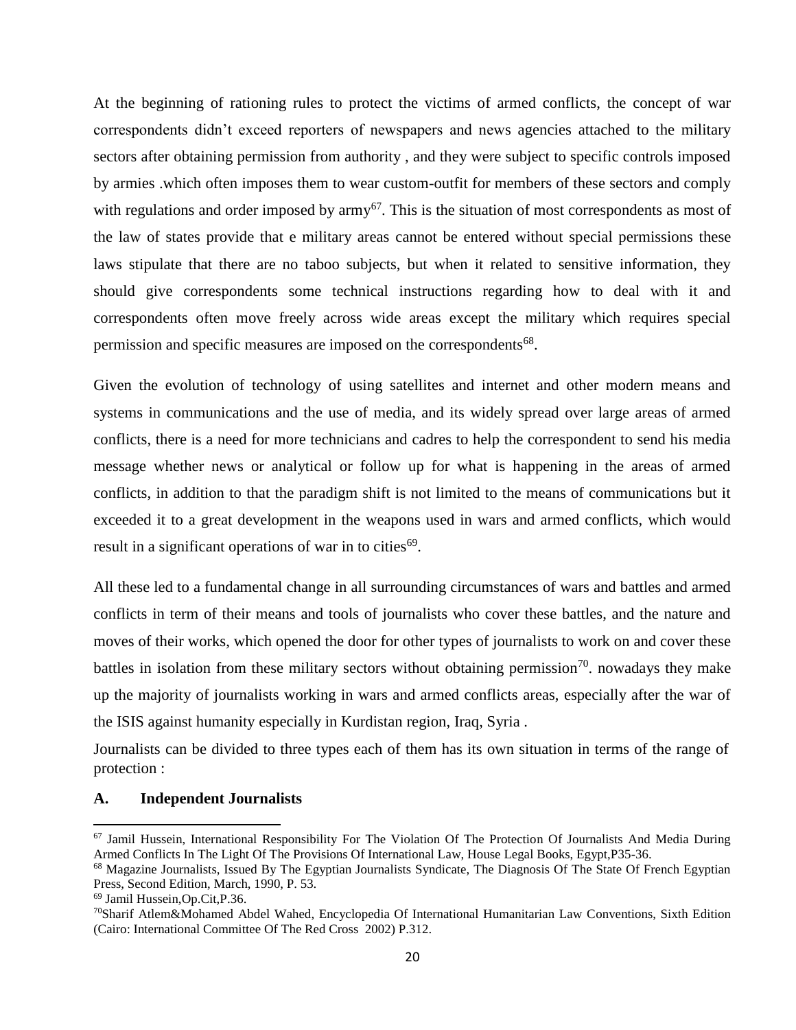At the beginning of rationing rules to protect the victims of armed conflicts, the concept of war correspondents didn't exceed reporters of newspapers and news agencies attached to the military sectors after obtaining permission from authority , and they were subject to specific controls imposed by armies .which often imposes them to wear custom-outfit for members of these sectors and comply with regulations and order imposed by army<sup>67</sup>. This is the situation of most correspondents as most of the law of states provide that e military areas cannot be entered without special permissions these laws stipulate that there are no taboo subjects, but when it related to sensitive information, they should give correspondents some technical instructions regarding how to deal with it and correspondents often move freely across wide areas except the military which requires special permission and specific measures are imposed on the correspondents<sup>68</sup>.

Given the evolution of technology of using satellites and internet and other modern means and systems in communications and the use of media, and its widely spread over large areas of armed conflicts, there is a need for more technicians and cadres to help the correspondent to send his media message whether news or analytical or follow up for what is happening in the areas of armed conflicts, in addition to that the paradigm shift is not limited to the means of communications but it exceeded it to a great development in the weapons used in wars and armed conflicts, which would result in a significant operations of war in to cities<sup>69</sup>.

All these led to a fundamental change in all surrounding circumstances of wars and battles and armed conflicts in term of their means and tools of journalists who cover these battles, and the nature and moves of their works, which opened the door for other types of journalists to work on and cover these battles in isolation from these military sectors without obtaining permission<sup>70</sup>. nowadays they make up the majority of journalists working in wars and armed conflicts areas, especially after the war of the ISIS against humanity especially in Kurdistan region, Iraq, Syria .

Journalists can be divided to three types each of them has its own situation in terms of the range of protection :

### **A. Independent Journalists**

 $67$  Jamil Hussein, International Responsibility For The Violation Of The Protection Of Journalists And Media During Armed Conflicts In The Light Of The Provisions Of International Law, House Legal Books, Egypt,P35-36.

<sup>&</sup>lt;sup>68</sup> Magazine Journalists, Issued By The Egyptian Journalists Syndicate, The Diagnosis Of The State Of French Egyptian Press, Second Edition, March, 1990, P. 53.

<sup>69</sup> Jamil Hussein,Op.Cit,P.36.

<sup>70</sup>Sharif Atlem&Mohamed Abdel Wahed, Encyclopedia Of International Humanitarian Law Conventions, Sixth Edition (Cairo: International Committee Of The Red Cross 2002) P.312.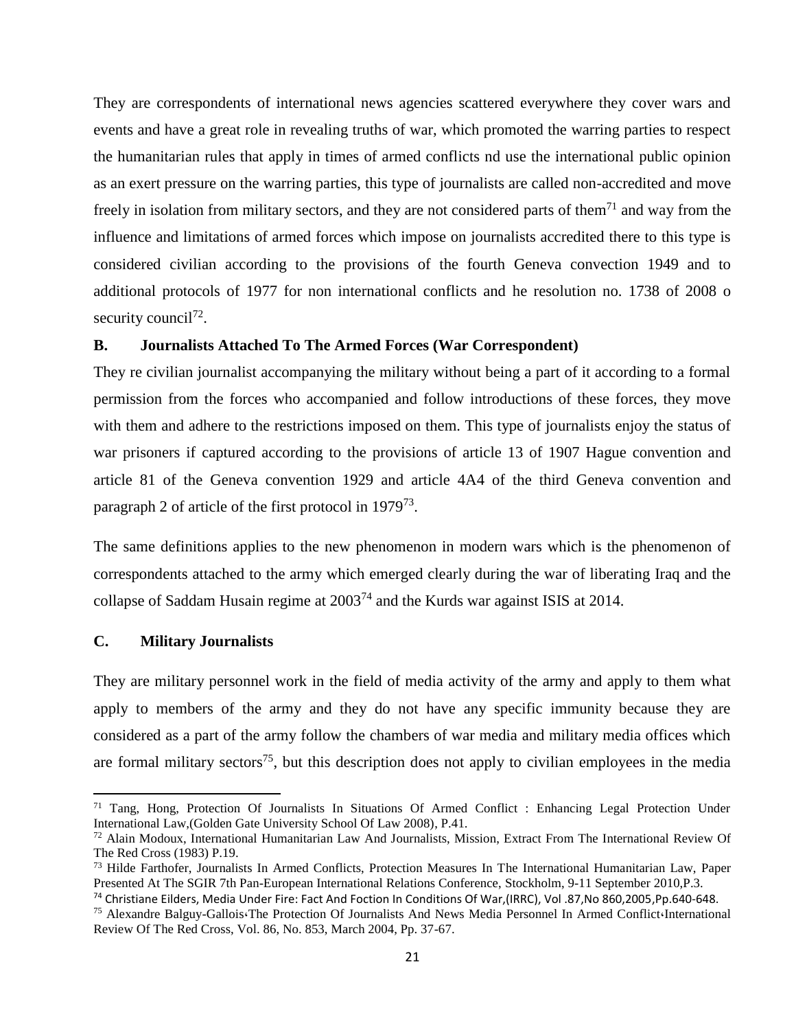They are correspondents of international news agencies scattered everywhere they cover wars and events and have a great role in revealing truths of war, which promoted the warring parties to respect the humanitarian rules that apply in times of armed conflicts nd use the international public opinion as an exert pressure on the warring parties, this type of journalists are called non-accredited and move freely in isolation from military sectors, and they are not considered parts of them<sup>71</sup> and way from the influence and limitations of armed forces which impose on journalists accredited there to this type is considered civilian according to the provisions of the fourth Geneva convection 1949 and to additional protocols of 1977 for non international conflicts and he resolution no. 1738 of 2008 o security council<sup>72</sup>.

#### **B. Journalists Attached To The Armed Forces (War Correspondent)**

They re civilian journalist accompanying the military without being a part of it according to a formal permission from the forces who accompanied and follow introductions of these forces, they move with them and adhere to the restrictions imposed on them. This type of journalists enjoy the status of war prisoners if captured according to the provisions of article 13 of 1907 Hague convention and article 81 of the Geneva convention 1929 and article 4A4 of the third Geneva convention and paragraph 2 of article of the first protocol in 1979<sup>73</sup>.

The same definitions applies to the new phenomenon in modern wars which is the phenomenon of correspondents attached to the army which emerged clearly during the war of liberating Iraq and the collapse of Saddam Husain regime at 2003<sup>74</sup> and the Kurds war against ISIS at 2014.

#### **C. Military Journalists**

 $\overline{\phantom{a}}$ 

They are military personnel work in the field of media activity of the army and apply to them what apply to members of the army and they do not have any specific immunity because they are considered as a part of the army follow the chambers of war media and military media offices which are formal military sectors<sup>75</sup>, but this description does not apply to civilian employees in the media

<sup>&</sup>lt;sup>71</sup> Tang, Hong, Protection Of Journalists In Situations Of Armed Conflict : Enhancing Legal Protection Under International Law,(Golden Gate University School Of Law 2008), P.41.

<sup>72</sup> Alain Modoux, International Humanitarian Law And Journalists, Mission, Extract From The International Review Of The Red Cross (1983) P.19.

<sup>73</sup> Hilde Farthofer, Journalists In Armed Conflicts, Protection Measures In The International Humanitarian Law, Paper Presented At The SGIR 7th Pan-European International Relations Conference, Stockholm, 9-11 September 2010,P.3.

<sup>74</sup> Christiane Eilders, Media Under Fire: Fact And Foction In Conditions Of War,(IRRC), Vol .87,No 860,2005,Pp.640-648. <sup>75</sup> Alexandre Balguy-Gallois،The Protection Of Journalists And News Media Personnel In Armed Conflict،International Review Of The Red Cross, Vol. 86, No. 853, March 2004, Pp. 37-67.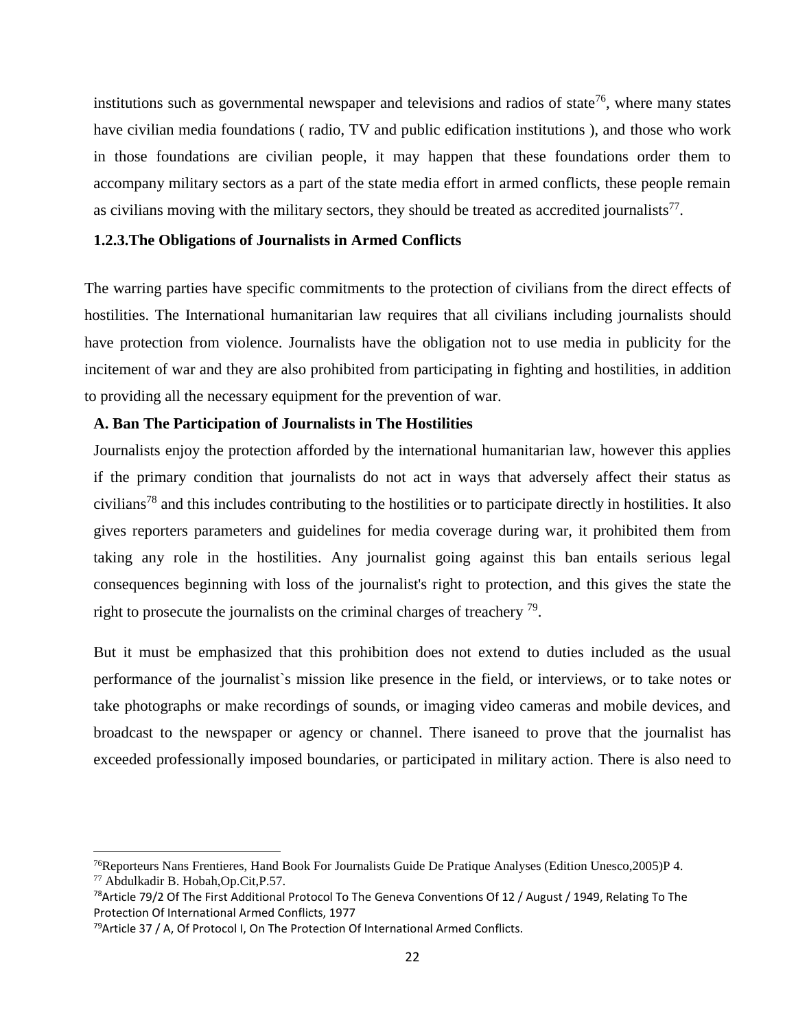institutions such as governmental newspaper and televisions and radios of state<sup>76</sup>, where many states have civilian media foundations ( radio, TV and public edification institutions ), and those who work in those foundations are civilian people, it may happen that these foundations order them to accompany military sectors as a part of the state media effort in armed conflicts, these people remain as civilians moving with the military sectors, they should be treated as accredited journalists $^{77}$ .

# <span id="page-30-0"></span>**1.2.3.The Obligations of Journalists in Armed Conflicts**

The warring parties have specific commitments to the protection of civilians from the direct effects of hostilities. The International humanitarian law requires that all civilians including journalists should have protection from violence. Journalists have the obligation not to use media in publicity for the incitement of war and they are also prohibited from participating in fighting and hostilities, in addition to providing all the necessary equipment for the prevention of war.

#### **A. Ban The Participation of Journalists in The Hostilities**

Journalists enjoy the protection afforded by the international humanitarian law, however this applies if the primary condition that journalists do not act in ways that adversely affect their status as civilians<sup>78</sup> and this includes contributing to the hostilities or to participate directly in hostilities. It also gives reporters parameters and guidelines for media coverage during war, it prohibited them from taking any role in the hostilities. Any journalist going against this ban entails serious legal consequences beginning with loss of the journalist's right to protection, and this gives the state the right to prosecute the journalists on the criminal charges of treachery  $\frac{79}{2}$ .

But it must be emphasized that this prohibition does not extend to duties included as the usual performance of the journalist`s mission like presence in the field, or interviews, or to take notes or take photographs or make recordings of sounds, or imaging video cameras and mobile devices, and broadcast to the newspaper or agency or channel. There isaneed to prove that the journalist has exceeded professionally imposed boundaries, or participated in military action. There is also need to

l

<sup>76</sup>Reporteurs Nans Frentieres, Hand Book For Journalists Guide De Pratique Analyses (Edition Unesco,2005)P 4. <sup>77</sup> Abdulkadir B. Hobah,Op.Cit,P.57.

<sup>&</sup>lt;sup>78</sup>Article 79/2 Of The First Additional Protocol To The Geneva Conventions Of 12 / August / 1949, Relating To The Protection Of International Armed Conflicts, 1977

 $79$ Article 37 / A, Of Protocol I, On The Protection Of International Armed Conflicts.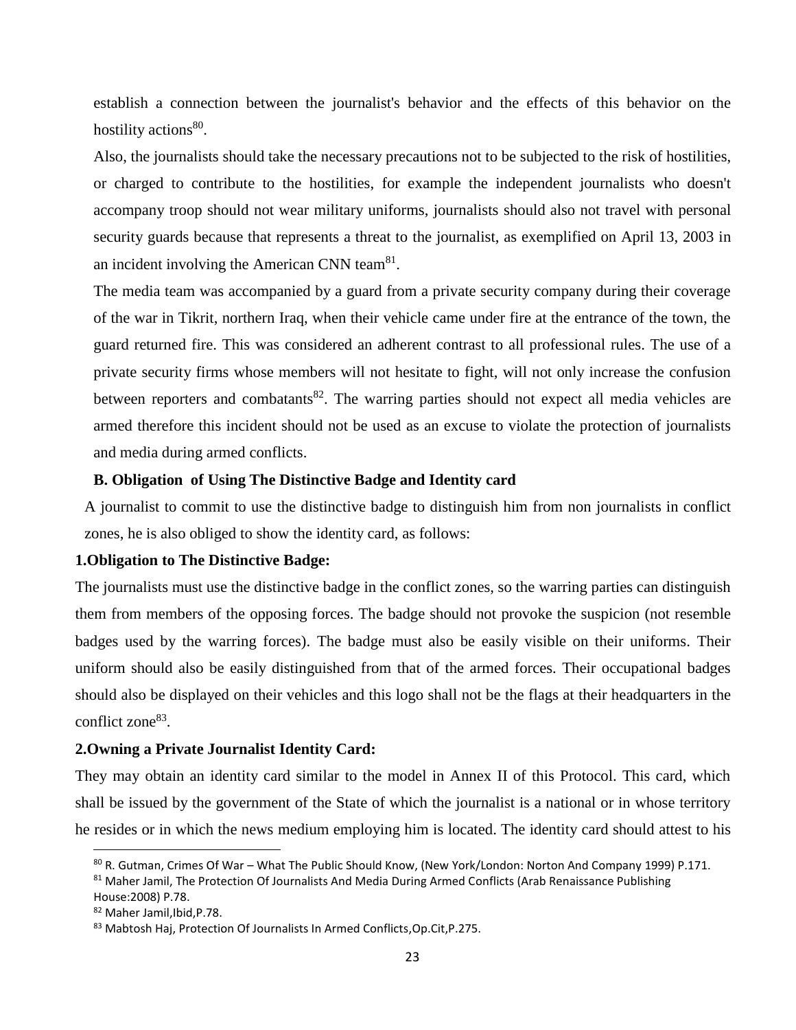establish a connection between the journalist's behavior and the effects of this behavior on the hostility actions<sup>80</sup>.

Also, the journalists should take the necessary precautions not to be subjected to the risk of hostilities, or charged to contribute to the hostilities, for example the independent journalists who doesn't accompany troop should not wear military uniforms, journalists should also not travel with personal security guards because that represents a threat to the journalist, as exemplified on April 13, 2003 in an incident involving the American CNN team<sup>81</sup>.

The media team was accompanied by a guard from a private security company during their coverage of the war in Tikrit, northern Iraq, when their vehicle came under fire at the entrance of the town, the guard returned fire. This was considered an adherent contrast to all professional rules. The use of a private security firms whose members will not hesitate to fight, will not only increase the confusion between reporters and combatants<sup>82</sup>. The warring parties should not expect all media vehicles are armed therefore this incident should not be used as an excuse to violate the protection of journalists and media during armed conflicts.

## **B. Obligation of Using The Distinctive Badge and Identity card**

A journalist to commit to use the distinctive badge to distinguish him from non journalists in conflict zones, he is also obliged to show the identity card, as follows:

### **1.Obligation to The Distinctive Badge:**

The journalists must use the distinctive badge in the conflict zones, so the warring parties can distinguish them from members of the opposing forces. The badge should not provoke the suspicion (not resemble badges used by the warring forces). The badge must also be easily visible on their uniforms. Their uniform should also be easily distinguished from that of the armed forces. Their occupational badges should also be displayed on their vehicles and this logo shall not be the flags at their headquarters in the conflict zone<sup>83</sup>.

#### **2.Owning a Private Journalist Identity Card:**

They may obtain an identity card similar to the model in Annex II of this Protocol. This card, which shall be issued by the government of the State of which the journalist is a national or in whose territory he resides or in which the news medium employing him is located. The identity card should attest to his

<sup>80</sup> R. Gutman, Crimes Of War – What The Public Should Know, (New York/London: Norton And Company 1999) P.171. 81 Maher Jamil, The Protection Of Journalists And Media During Armed Conflicts (Arab Renaissance Publishing

House:2008) P.78.

<sup>82</sup> Maher Jamil,Ibid,P.78.

<sup>83</sup> Mabtosh Haj, Protection Of Journalists In Armed Conflicts, Op. Cit, P.275.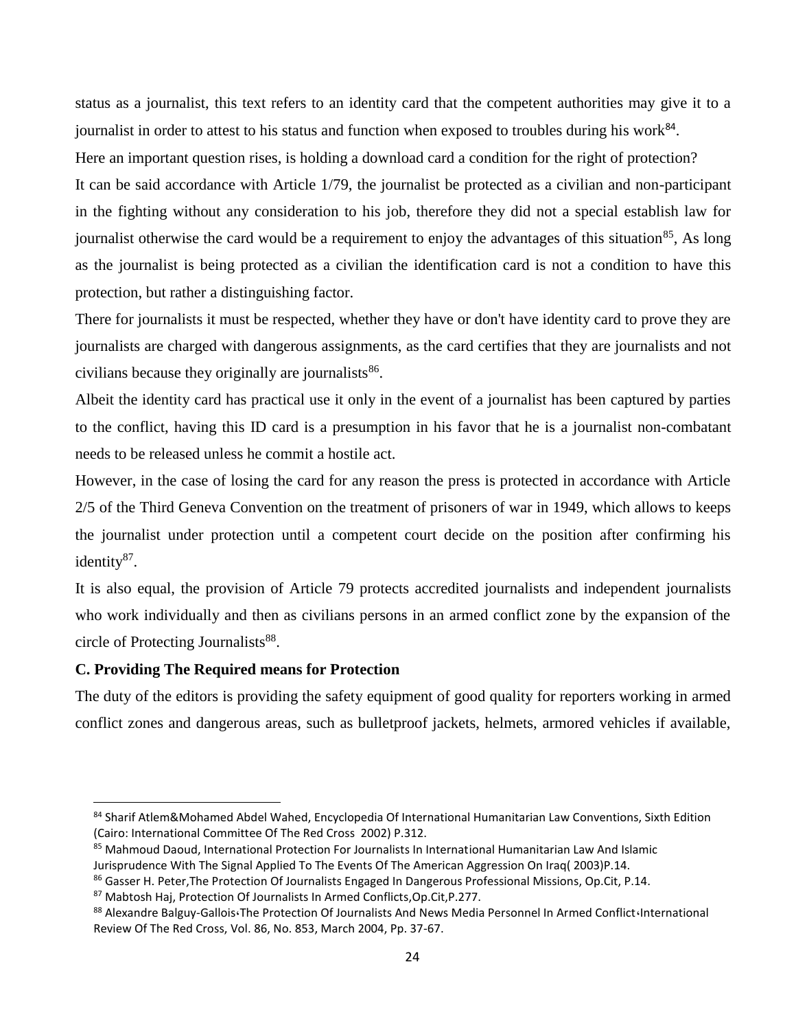status as a journalist, this text refers to an identity card that the competent authorities may give it to a journalist in order to attest to his status and function when exposed to troubles during his work<sup>84</sup>. Here an important question rises, is holding a download card a condition for the right of protection? It can be said accordance with Article 1/79, the journalist be protected as a civilian and non-participant in the fighting without any consideration to his job, therefore they did not a special establish law for journalist otherwise the card would be a requirement to enjoy the advantages of this situation<sup>85</sup>. As long as the journalist is being protected as a civilian the identification card is not a condition to have this protection, but rather a distinguishing factor.

There for journalists it must be respected, whether they have or don't have identity card to prove they are journalists are charged with dangerous assignments, as the card certifies that they are journalists and not civilians because they originally are journalists<sup>86</sup>.

Albeit the identity card has practical use it only in the event of a journalist has been captured by parties to the conflict, having this ID card is a presumption in his favor that he is a journalist non-combatant needs to be released unless he commit a hostile act.

However, in the case of losing the card for any reason the press is protected in accordance with Article 2/5 of the Third Geneva Convention on the treatment of prisoners of war in 1949, which allows to keeps the journalist under protection until a competent court decide on the position after confirming his identity<sup>87</sup>.

It is also equal, the provision of Article 79 protects accredited journalists and independent journalists who work individually and then as civilians persons in an armed conflict zone by the expansion of the circle of Protecting Journalists<sup>88</sup>.

# **C. Providing The Required means for Protection**

 $\overline{\phantom{a}}$ 

The duty of the editors is providing the safety equipment of good quality for reporters working in armed conflict zones and dangerous areas, such as bulletproof jackets, helmets, armored vehicles if available,

<sup>84</sup> Sharif Atlem&Mohamed Abdel Wahed, Encyclopedia Of International Humanitarian Law Conventions, Sixth Edition (Cairo: International Committee Of The Red Cross 2002) P.312.

<sup>85</sup> Mahmoud Daoud, International Protection For Journalists In International Humanitarian Law And Islamic Jurisprudence With The Signal Applied To The Events Of The American Aggression On Iraq( 2003)P.14.

<sup>86</sup> Gasser H. Peter, The Protection Of Journalists Engaged In Dangerous Professional Missions, Op.Cit, P.14.

<sup>87</sup> Mabtosh Haj, Protection Of Journalists In Armed Conflicts,Op.Cit,P.277.

<sup>88</sup> Alexandre Balguy-Gallois:The Protection Of Journalists And News Media Personnel In Armed Conflict:International Review Of The Red Cross, Vol. 86, No. 853, March 2004, Pp. 37-67.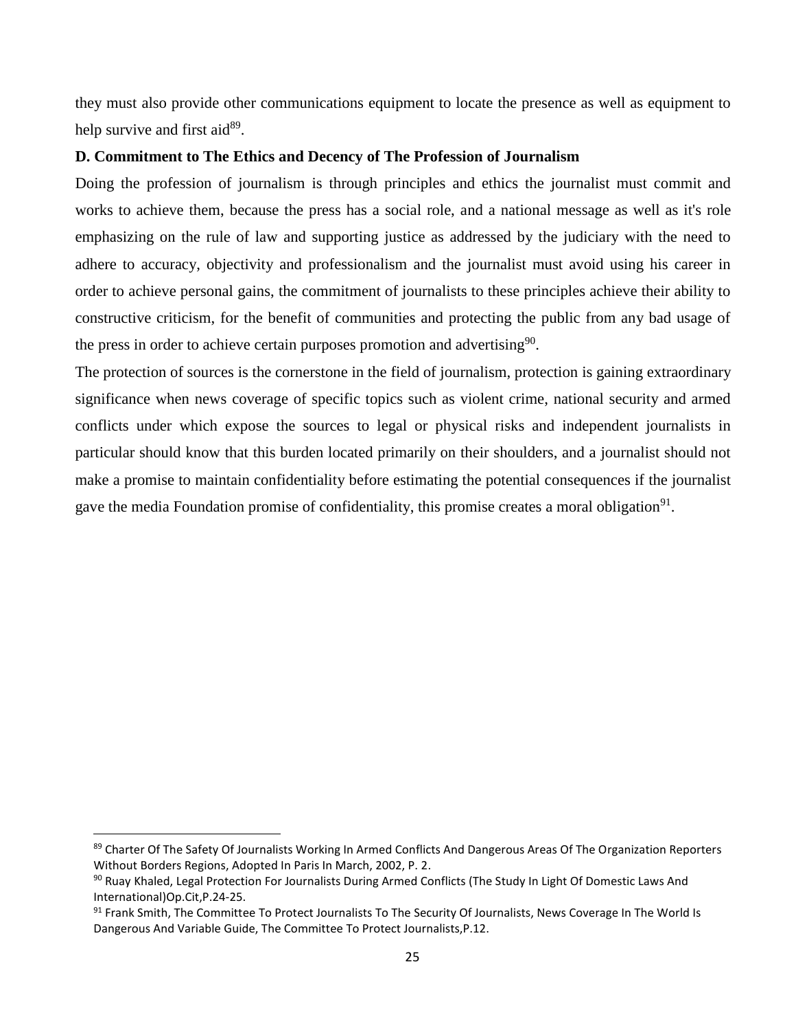they must also provide other communications equipment to locate the presence as well as equipment to help survive and first aid<sup>89</sup>.

## **D. Commitment to The Ethics and Decency of The Profession of Journalism**

Doing the profession of journalism is through principles and ethics the journalist must commit and works to achieve them, because the press has a social role, and a national message as well as it's role emphasizing on the rule of law and supporting justice as addressed by the judiciary with the need to adhere to accuracy, objectivity and professionalism and the journalist must avoid using his career in order to achieve personal gains, the commitment of journalists to these principles achieve their ability to constructive criticism, for the benefit of communities and protecting the public from any bad usage of the press in order to achieve certain purposes promotion and advertising $90$ .

The protection of sources is the cornerstone in the field of journalism, protection is gaining extraordinary significance when news coverage of specific topics such as violent crime, national security and armed conflicts under which expose the sources to legal or physical risks and independent journalists in particular should know that this burden located primarily on their shoulders, and a journalist should not make a promise to maintain confidentiality before estimating the potential consequences if the journalist gave the media Foundation promise of confidentiality, this promise creates a moral obligation<sup>91</sup>.

 $\overline{a}$ 

<sup>89</sup> Charter Of The Safety Of Journalists Working In Armed Conflicts And Dangerous Areas Of The Organization Reporters Without Borders Regions, Adopted In Paris In March, 2002, P. 2.

<sup>90</sup> Ruay Khaled, Legal Protection For Journalists During Armed Conflicts (The Study In Light Of Domestic Laws And International)Op.Cit,P.24-25.

<sup>&</sup>lt;sup>91</sup> Frank Smith, The Committee To Protect Journalists To The Security Of Journalists, News Coverage In The World Is Dangerous And Variable Guide, The Committee To Protect Journalists,P.12.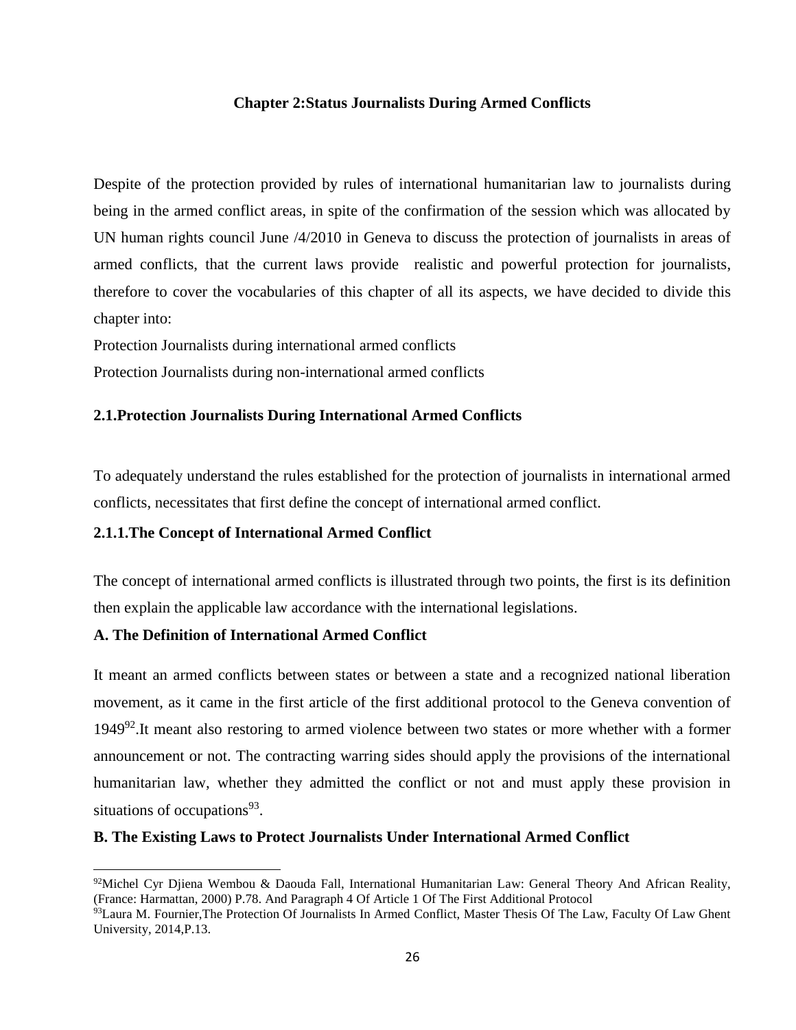## **Chapter 2:Status Journalists During Armed Conflicts**

<span id="page-34-0"></span>Despite of the protection provided by rules of international humanitarian law to journalists during being in the armed conflict areas, in spite of the confirmation of the session which was allocated by UN human rights council June /4/2010 in Geneva to discuss the protection of journalists in areas of armed conflicts, that the current laws provide realistic and powerful protection for journalists, therefore to cover the vocabularies of this chapter of all its aspects, we have decided to divide this chapter into:

Protection Journalists during international armed conflicts

Protection Journalists during non-international armed conflicts

# <span id="page-34-1"></span>**2.1.Protection Journalists During International Armed Conflicts**

To adequately understand the rules established for the protection of journalists in international armed conflicts, necessitates that first define the concept of international armed conflict.

# <span id="page-34-2"></span>**2.1.1.The Concept of International Armed Conflict**

The concept of international armed conflicts is illustrated through two points, the first is its definition then explain the applicable law accordance with the international legislations.

# **A. The Definition of International Armed Conflict**

 $\overline{\phantom{a}}$ 

It meant an armed conflicts between states or between a state and a recognized national liberation movement, as it came in the first article of the first additional protocol to the Geneva convention of 1949 $92$ . It meant also restoring to armed violence between two states or more whether with a former announcement or not. The contracting warring sides should apply the provisions of the international humanitarian law, whether they admitted the conflict or not and must apply these provision in situations of occupations<sup>93</sup>.

# **B. The Existing Laws to Protect Journalists Under International Armed Conflict**

<sup>92</sup>Michel Cyr Djiena Wembou & Daouda Fall, International Humanitarian Law: General Theory And African Reality, (France: Harmattan, 2000) P.78. And Paragraph 4 Of Article 1 Of The First Additional Protocol

<sup>93</sup>Laura M. Fournier, The Protection Of Journalists In Armed Conflict, Master Thesis Of The Law, Faculty Of Law Ghent University, 2014,P.13.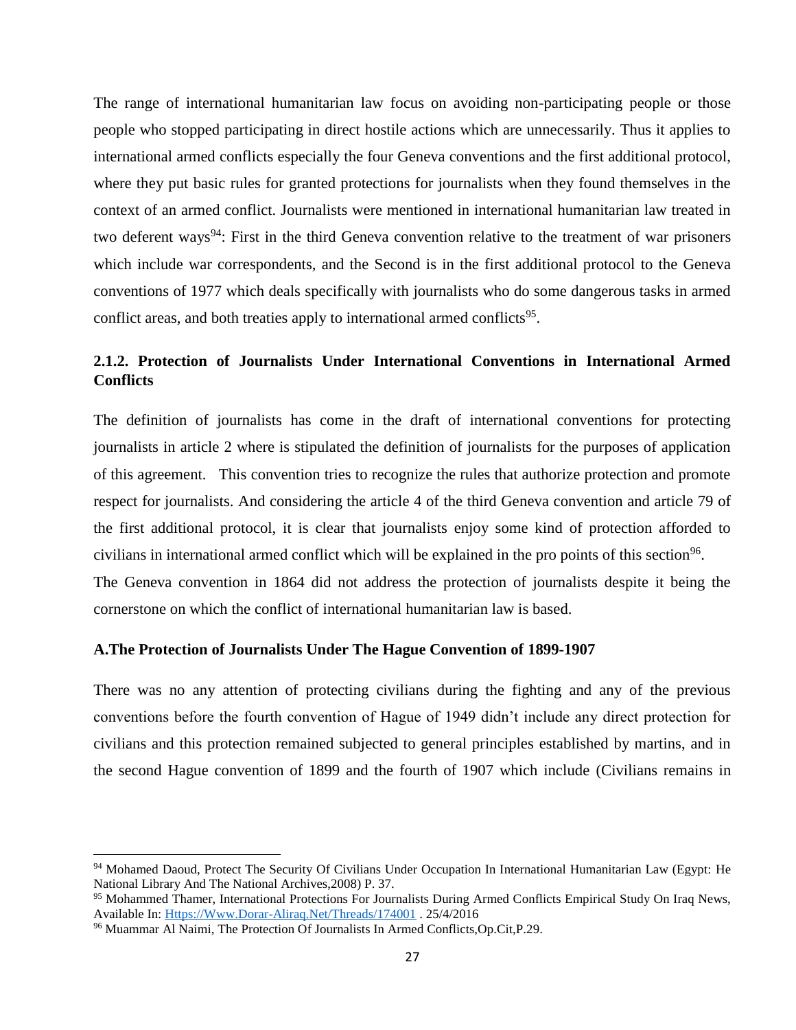The range of international humanitarian law focus on avoiding non-participating people or those people who stopped participating in direct hostile actions which are unnecessarily. Thus it applies to international armed conflicts especially the four Geneva conventions and the first additional protocol, where they put basic rules for granted protections for journalists when they found themselves in the context of an armed conflict. Journalists were mentioned in international humanitarian law treated in two deferent ways<sup>94</sup>: First in the third Geneva convention relative to the treatment of war prisoners which include war correspondents, and the Second is in the first additional protocol to the Geneva conventions of 1977 which deals specifically with journalists who do some dangerous tasks in armed conflict areas, and both treaties apply to international armed conflicts<sup>95</sup>.

# <span id="page-35-0"></span>**2.1.2. Protection of Journalists Under International Conventions in International Armed Conflicts**

The definition of journalists has come in the draft of international conventions for protecting journalists in article 2 where is stipulated the definition of journalists for the purposes of application of this agreement. This convention tries to recognize the rules that authorize protection and promote respect for journalists. And considering the article 4 of the third Geneva convention and article 79 of the first additional protocol, it is clear that journalists enjoy some kind of protection afforded to civilians in international armed conflict which will be explained in the pro points of this section<sup>96</sup>. The Geneva convention in 1864 did not address the protection of journalists despite it being the cornerstone on which the conflict of international humanitarian law is based.

#### **A.The Protection of Journalists Under The Hague Convention of 1899-1907**

There was no any attention of protecting civilians during the fighting and any of the previous conventions before the fourth convention of Hague of 1949 didn't include any direct protection for civilians and this protection remained subjected to general principles established by martins, and in the second Hague convention of 1899 and the fourth of 1907 which include (Civilians remains in

 $\overline{a}$ 

<sup>94</sup> Mohamed Daoud, Protect The Security Of Civilians Under Occupation In International Humanitarian Law (Egypt: He National Library And The National Archives,2008) P. 37.

<sup>95</sup> Mohammed Thamer, International Protections For Journalists During Armed Conflicts Empirical Study On Iraq News, Available In: [Https://Www.Dorar-Aliraq.Net/Threads/174001](https://www.dorar-aliraq.net/threads/174001) . 25/4/2016

<sup>96</sup> Muammar Al Naimi, The Protection Of Journalists In Armed Conflicts,Op.Cit,P.29.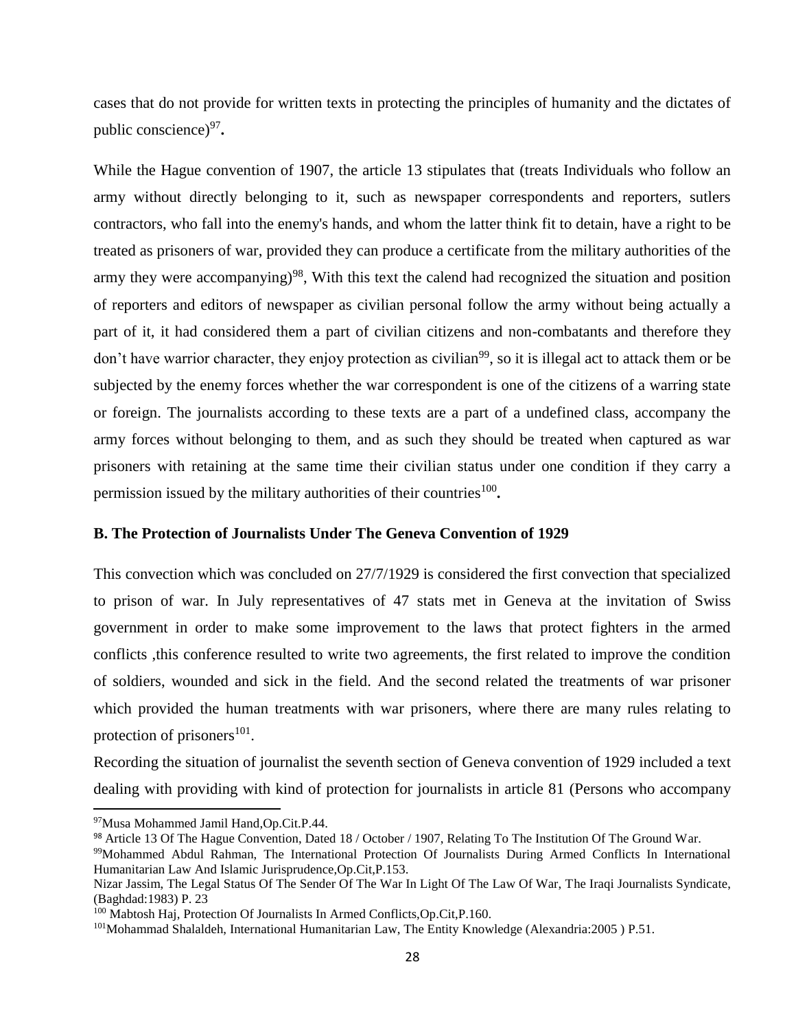cases that do not provide for written texts in protecting the principles of humanity and the dictates of public conscience)<sup>97</sup>.

While the Hague convention of 1907, the article 13 stipulates that (treats Individuals who follow an army without directly belonging to it, such as newspaper correspondents and reporters, sutlers contractors, who fall into the enemy's hands, and whom the latter think fit to detain, have a right to be treated as prisoners of war, provided they can produce a certificate from the military authorities of the army they were accompanying)<sup>98</sup>, With this text the calend had recognized the situation and position of reporters and editors of newspaper as civilian personal follow the army without being actually a part of it, it had considered them a part of civilian citizens and non-combatants and therefore they don't have warrior character, they enjoy protection as civilian<sup>99</sup>, so it is illegal act to attack them or be subjected by the enemy forces whether the war correspondent is one of the citizens of a warring state or foreign. The journalists according to these texts are a part of a undefined class, accompany the army forces without belonging to them, and as such they should be treated when captured as war prisoners with retaining at the same time their civilian status under one condition if they carry a permission issued by the military authorities of their countries<sup>100</sup>.

### **B. The Protection of Journalists Under The Geneva Convention of 1929**

This convection which was concluded on 27/7/1929 is considered the first convection that specialized to prison of war. In July representatives of 47 stats met in Geneva at the invitation of Swiss government in order to make some improvement to the laws that protect fighters in the armed conflicts ,this conference resulted to write two agreements, the first related to improve the condition of soldiers, wounded and sick in the field. And the second related the treatments of war prisoner which provided the human treatments with war prisoners, where there are many rules relating to protection of prisoners $^{101}$ .

Recording the situation of journalist the seventh section of Geneva convention of 1929 included a text dealing with providing with kind of protection for journalists in article 81 (Persons who accompany

l

<sup>97</sup>Musa Mohammed Jamil Hand,Op.Cit.P.44.

<sup>98</sup> Article 13 Of The Hague Convention, Dated 18 / October / 1907, Relating To The Institution Of The Ground War.

<sup>99</sup>Mohammed Abdul Rahman, The International Protection Of Journalists During Armed Conflicts In International Humanitarian Law And Islamic Jurisprudence,Op.Cit,P.153.

Nizar Jassim, The Legal Status Of The Sender Of The War In Light Of The Law Of War, The Iraqi Journalists Syndicate, (Baghdad:1983) P. 23

<sup>100</sup> Mabtosh Haj, Protection Of Journalists In Armed Conflicts,Op.Cit,P.160.

<sup>&</sup>lt;sup>101</sup>Mohammad Shalaldeh, International Humanitarian Law, The Entity Knowledge (Alexandria:2005) P.51.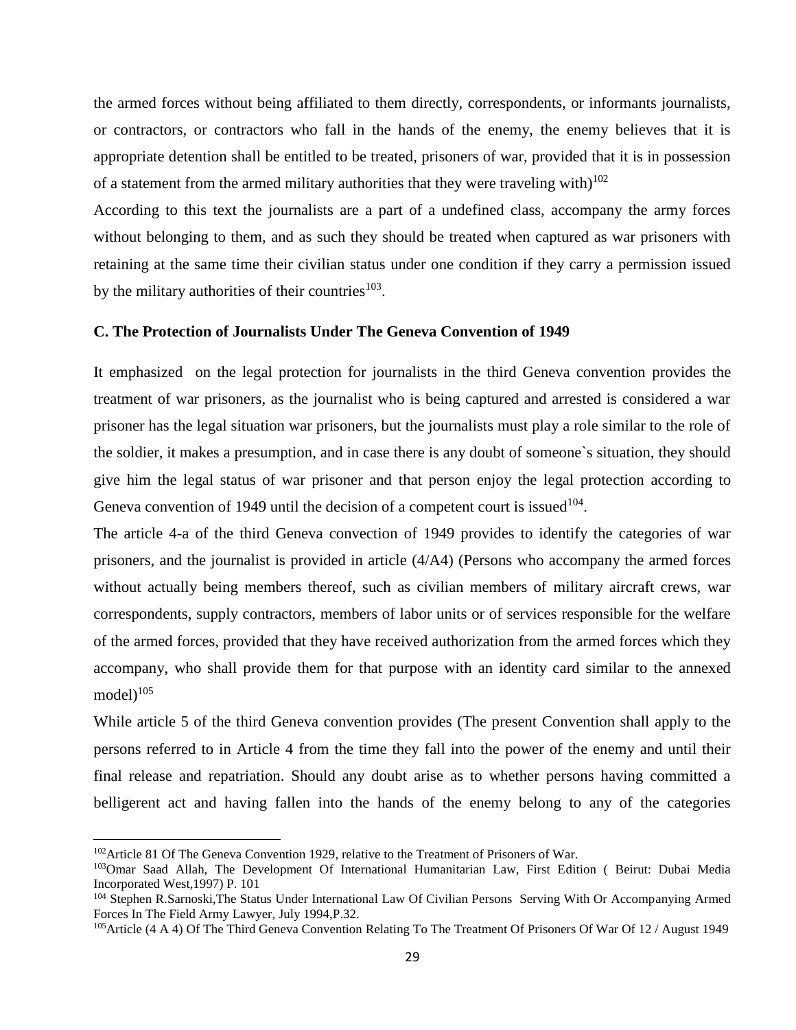the armed forces without being affiliated to them directly, correspondents, or informants journalists, or contractors, or contractors who fall in the hands of the enemy, the enemy believes that it is appropriate detention shall be entitled to be treated, prisoners of war, provided that it is in possession of a statement from the armed military authorities that they were traveling with $10^{102}$ 

According to this text the journalists are a part of a undefined class, accompany the army forces without belonging to them, and as such they should be treated when captured as war prisoners with retaining at the same time their civilian status under one condition if they carry a permission issued by the military authorities of their countries  $103$ .

### **C. The Protection of Journalists Under The Geneva Convention of 1949**

It emphasized on the legal protection for journalists in the third Geneva convention provides the treatment of war prisoners, as the journalist who is being captured and arrested is considered a war prisoner has the legal situation war prisoners, but the journalists must play a role similar to the role of the soldier, it makes a presumption, and in case there is any doubt of someone`s situation, they should give him the legal status of war prisoner and that person enjoy the legal protection according to Geneva convention of 1949 until the decision of a competent court is issued  $104$ .

The article 4-a of the third Geneva convection of 1949 provides to identify the categories of war prisoners, and the journalist is provided in article (4/A4) (Persons who accompany the armed forces without actually being members thereof, such as civilian members of military aircraft crews, war correspondents, supply contractors, members of labor units or of services responsible for the welfare of the armed forces, provided that they have received authorization from the armed forces which they accompany, who shall provide them for that purpose with an identity card similar to the annexed model $1^{105}$ 

While article 5 of the third Geneva convention provides (The present Convention shall apply to the persons referred to in Article 4 from the time they fall into the power of the enemy and until their final release and repatriation. Should any doubt arise as to whether persons having committed a belligerent act and having fallen into the hands of the enemy belong to any of the categories

l

<sup>&</sup>lt;sup>102</sup>Article 81 Of The Geneva Convention 1929, relative to the Treatment of Prisoners of War.

<sup>103</sup>Omar Saad Allah, The Development Of International Humanitarian Law, First Edition ( Beirut: Dubai Media Incorporated West,1997) P. 101

<sup>&</sup>lt;sup>104</sup> Stephen R.Sarnoski,The Status Under International Law Of Civilian Persons Serving With Or Accompanying Armed Forces In The Field Army Lawyer, July 1994,P.32.

<sup>&</sup>lt;sup>105</sup>Article (4 A 4) Of The Third Geneva Convention Relating To The Treatment Of Prisoners Of War Of 12 / August 1949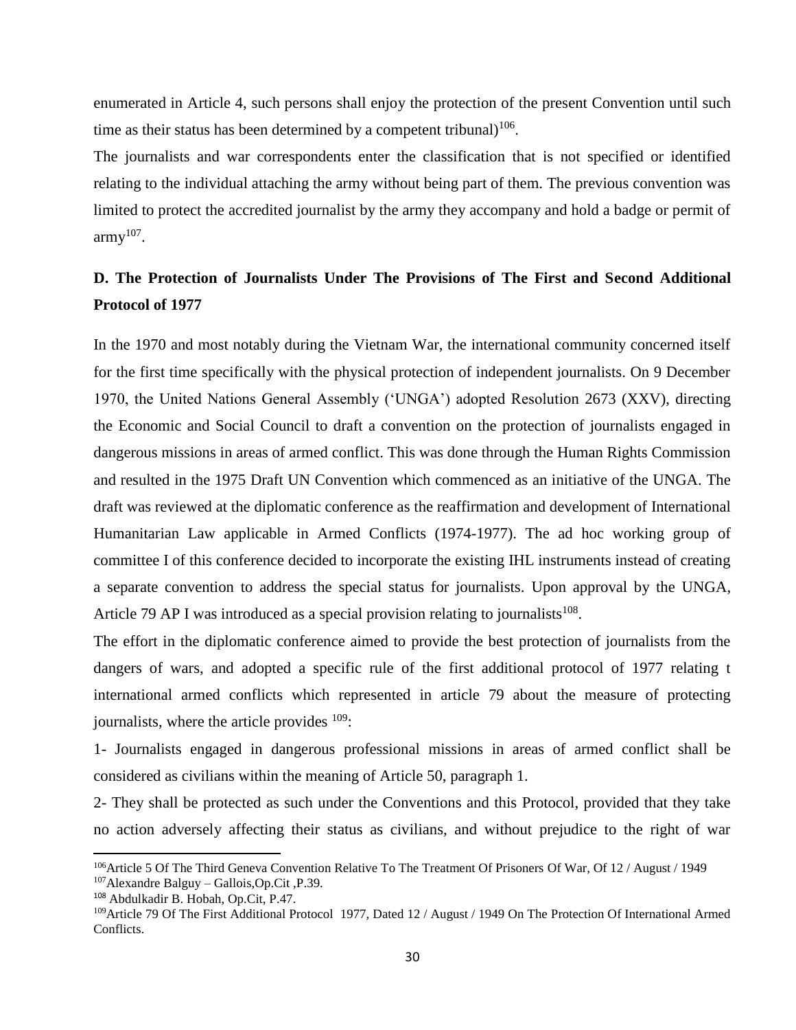enumerated in Article 4, such persons shall enjoy the protection of the present Convention until such time as their status has been determined by a competent tribunal) $106$ .

The journalists and war correspondents enter the classification that is not specified or identified relating to the individual attaching the army without being part of them. The previous convention was limited to protect the accredited journalist by the army they accompany and hold a badge or permit of  $army<sup>107</sup>$ .

# **D. The Protection of Journalists Under The Provisions of The First and Second Additional Protocol of 1977**

In the 1970 and most notably during the Vietnam War, the international community concerned itself for the first time specifically with the physical protection of independent journalists. On 9 December 1970, the United Nations General Assembly ('UNGA') adopted Resolution 2673 (XXV), directing the Economic and Social Council to draft a convention on the protection of journalists engaged in dangerous missions in areas of armed conflict. This was done through the Human Rights Commission and resulted in the 1975 Draft UN Convention which commenced as an initiative of the UNGA. The draft was reviewed at the diplomatic conference as the reaffirmation and development of International Humanitarian Law applicable in Armed Conflicts (1974-1977). The ad hoc working group of committee I of this conference decided to incorporate the existing IHL instruments instead of creating a separate convention to address the special status for journalists. Upon approval by the UNGA, Article 79 AP I was introduced as a special provision relating to journalists<sup>108</sup>.

The effort in the diplomatic conference aimed to provide the best protection of journalists from the dangers of wars, and adopted a specific rule of the first additional protocol of 1977 relating t international armed conflicts which represented in article 79 about the measure of protecting journalists, where the article provides  $109$ :

1- Journalists engaged in dangerous professional missions in areas of armed conflict shall be considered as civilians within the meaning of Article 50, paragraph 1.

2- They shall be protected as such under the Conventions and this Protocol, provided that they take no action adversely affecting their status as civilians, and without prejudice to the right of war

<sup>&</sup>lt;sup>106</sup>Article 5 Of The Third Geneva Convention Relative To The Treatment Of Prisoners Of War, Of 12 / August / 1949 <sup>107</sup>Alexandre Balguy – Gallois,Op.Cit ,P.39.

<sup>108</sup> Abdulkadir B. Hobah, Op.Cit, P.47.

<sup>&</sup>lt;sup>109</sup>Article 79 Of The First Additional Protocol 1977, Dated 12 / August / 1949 On The Protection Of International Armed Conflicts.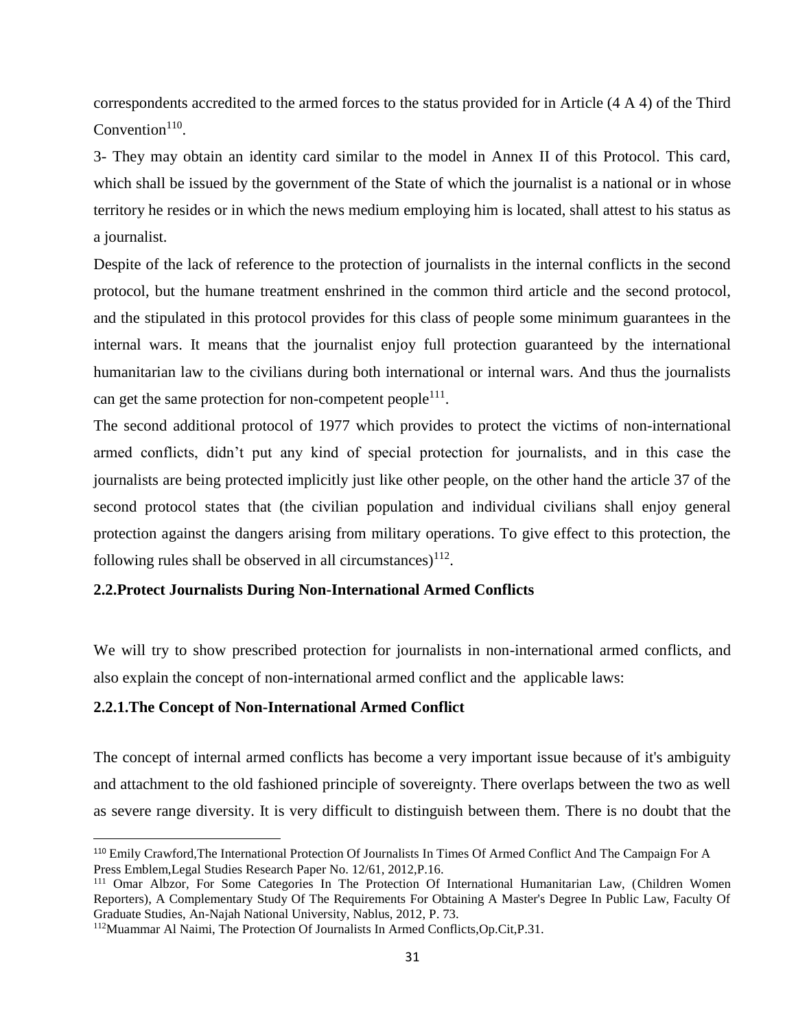correspondents accredited to the armed forces to the status provided for in Article (4 A 4) of the Third Convention $110$ .

3- They may obtain an identity card similar to the model in Annex II of this Protocol. This card, which shall be issued by the government of the State of which the journalist is a national or in whose territory he resides or in which the news medium employing him is located, shall attest to his status as a journalist.

Despite of the lack of reference to the protection of journalists in the internal conflicts in the second protocol, but the humane treatment enshrined in the common third article and the second protocol, and the stipulated in this protocol provides for this class of people some minimum guarantees in the internal wars. It means that the journalist enjoy full protection guaranteed by the international humanitarian law to the civilians during both international or internal wars. And thus the journalists can get the same protection for non-competent people<sup>111</sup>.

The second additional protocol of 1977 which provides to protect the victims of non-international armed conflicts, didn't put any kind of special protection for journalists, and in this case the journalists are being protected implicitly just like other people, on the other hand the article 37 of the second protocol states that (the civilian population and individual civilians shall enjoy general protection against the dangers arising from military operations. To give effect to this protection, the following rules shall be observed in all circumstances) $^{112}$ .

## **2.2.Protect Journalists During Non-International Armed Conflicts**

We will try to show prescribed protection for journalists in non-international armed conflicts, and also explain the concept of non-international armed conflict and the applicable laws:

#### **2.2.1.The Concept of Non-International Armed Conflict**

 $\overline{\phantom{a}}$ 

The concept of internal armed conflicts has become a very important issue because of it's ambiguity and attachment to the old fashioned principle of sovereignty. There overlaps between the two as well as severe range diversity. It is very difficult to distinguish between them. There is no doubt that the

<sup>110</sup> Emily Crawford,The International Protection Of Journalists In Times Of Armed Conflict And The Campaign For A Press Emblem,Legal Studies Research Paper No. 12/61, 2012,P.16.

<sup>111</sup> Omar Albzor, For Some Categories In The Protection Of International Humanitarian Law, (Children Women Reporters), A Complementary Study Of The Requirements For Obtaining A Master's Degree In Public Law, Faculty Of Graduate Studies, An-Najah National University, Nablus, 2012, P. 73.

<sup>112</sup>Muammar Al Naimi, The Protection Of Journalists In Armed Conflicts,Op.Cit,P.31.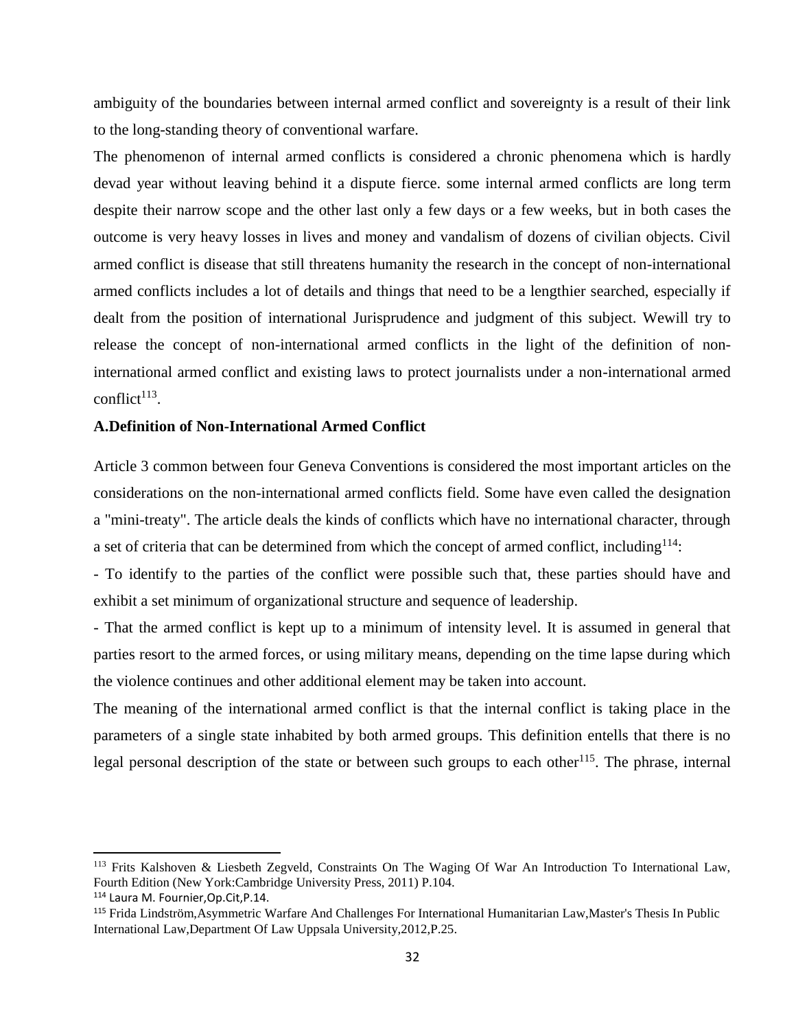ambiguity of the boundaries between internal armed conflict and sovereignty is a result of their link to the long-standing theory of conventional warfare.

The phenomenon of internal armed conflicts is considered a chronic phenomena which is hardly devad year without leaving behind it a dispute fierce. some internal armed conflicts are long term despite their narrow scope and the other last only a few days or a few weeks, but in both cases the outcome is very heavy losses in lives and money and vandalism of dozens of civilian objects. Civil armed conflict is disease that still threatens humanity the research in the concept of non-international armed conflicts includes a lot of details and things that need to be a lengthier searched, especially if dealt from the position of international Jurisprudence and judgment of this subject. Wewill try to release the concept of non-international armed conflicts in the light of the definition of noninternational armed conflict and existing laws to protect journalists under a non-international armed  $conflict<sup>113</sup>$ .

### **A.Definition of Non-International Armed Conflict**

Article 3 common between four Geneva Conventions is considered the most important articles on the considerations on the non-international armed conflicts field. Some have even called the designation a "mini-treaty". The article deals the kinds of conflicts which have no international character, through a set of criteria that can be determined from which the concept of armed conflict, including  $114$ :

- To identify to the parties of the conflict were possible such that, these parties should have and exhibit a set minimum of organizational structure and sequence of leadership.

- That the armed conflict is kept up to a minimum of intensity level. It is assumed in general that parties resort to the armed forces, or using military means, depending on the time lapse during which the violence continues and other additional element may be taken into account.

The meaning of the international armed conflict is that the internal conflict is taking place in the parameters of a single state inhabited by both armed groups. This definition entells that there is no legal personal description of the state or between such groups to each other<sup>115</sup>. The phrase, internal

<sup>113</sup> Frits Kalshoven & Liesbeth Zegveld, Constraints On The Waging Of War An Introduction To International Law, Fourth Edition (New York:Cambridge University Press, 2011) P.104.

<sup>114</sup> Laura M. Fournier,Op.Cit,P.14.

<sup>115</sup> Frida Lindström,Asymmetric Warfare And Challenges For International Humanitarian Law,Master's Thesis In Public International Law,Department Of Law Uppsala University,2012,P.25.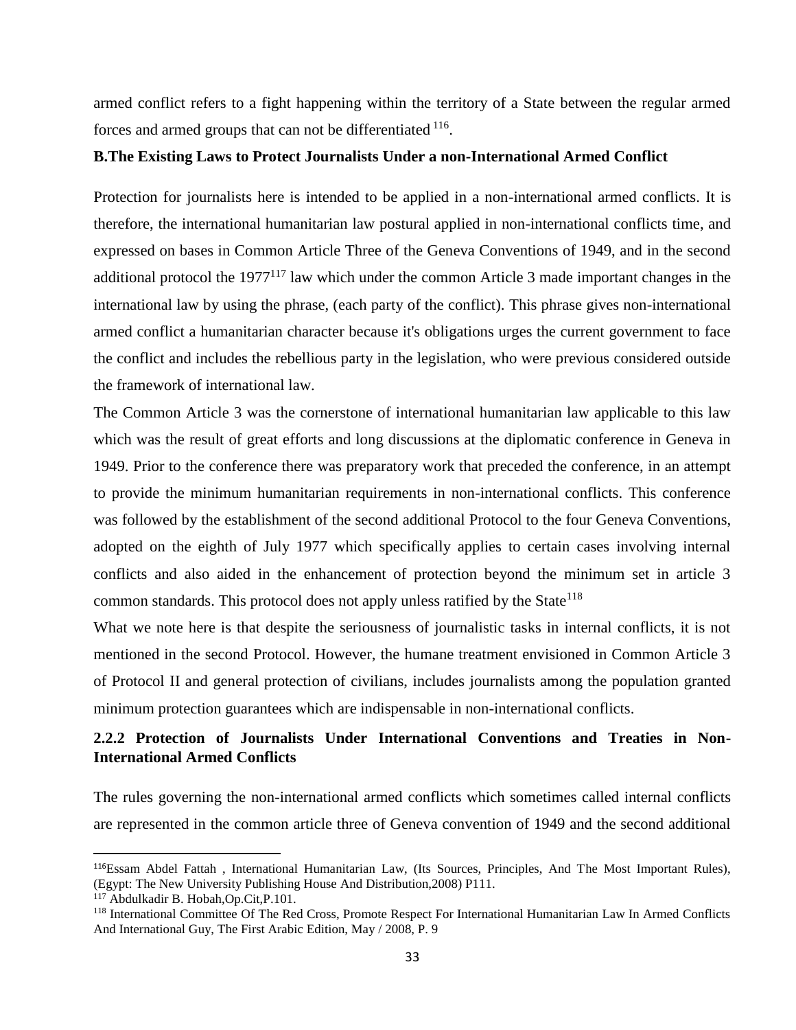armed conflict refers to a fight happening within the territory of a State between the regular armed forces and armed groups that can not be differentiated <sup>116</sup>.

### **B.The Existing Laws to Protect Journalists Under a non-International Armed Conflict**

Protection for journalists here is intended to be applied in a non-international armed conflicts. It is therefore, the international humanitarian law postural applied in non-international conflicts time, and expressed on bases in Common Article Three of the Geneva Conventions of 1949, and in the second additional protocol the 1977<sup>117</sup> law which under the common Article 3 made important changes in the international law by using the phrase, (each party of the conflict). This phrase gives non-international armed conflict a humanitarian character because it's obligations urges the current government to face the conflict and includes the rebellious party in the legislation, who were previous considered outside the framework of international law.

The Common Article 3 was the cornerstone of international humanitarian law applicable to this law which was the result of great efforts and long discussions at the diplomatic conference in Geneva in 1949. Prior to the conference there was preparatory work that preceded the conference, in an attempt to provide the minimum humanitarian requirements in non-international conflicts. This conference was followed by the establishment of the second additional Protocol to the four Geneva Conventions, adopted on the eighth of July 1977 which specifically applies to certain cases involving internal conflicts and also aided in the enhancement of protection beyond the minimum set in article 3 common standards. This protocol does not apply unless ratified by the State<sup>118</sup>

What we note here is that despite the seriousness of journalistic tasks in internal conflicts, it is not mentioned in the second Protocol. However, the humane treatment envisioned in Common Article 3 of Protocol II and general protection of civilians, includes journalists among the population granted minimum protection guarantees which are indispensable in non-international conflicts.

# **2.2.2 Protection of Journalists Under International Conventions and Treaties in Non-International Armed Conflicts**

The rules governing the non-international armed conflicts which sometimes called internal conflicts are represented in the common article three of Geneva convention of 1949 and the second additional

<sup>116</sup>Essam Abdel Fattah , International Humanitarian Law, (Its Sources, Principles, And The Most Important Rules), (Egypt: The New University Publishing House And Distribution,2008) P111.

<sup>117</sup> Abdulkadir B. Hobah,Op.Cit,P.101.

<sup>118</sup> International Committee Of The Red Cross, Promote Respect For International Humanitarian Law In Armed Conflicts And International Guy, The First Arabic Edition, May / 2008, P. 9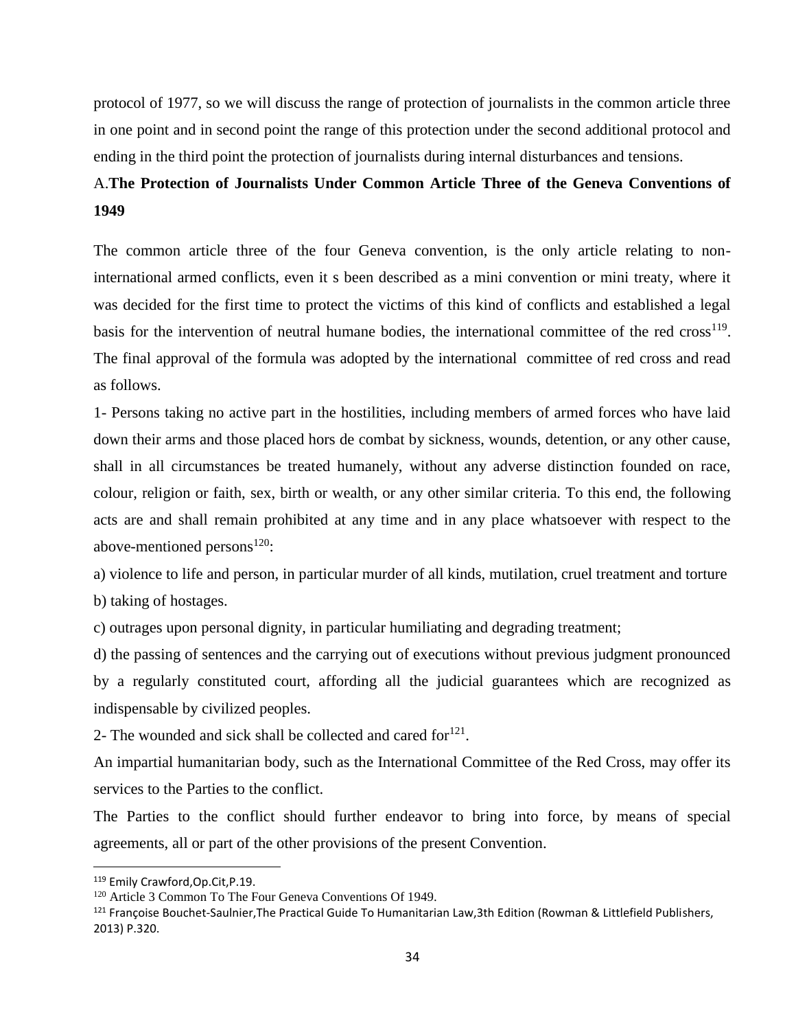protocol of 1977, so we will discuss the range of protection of journalists in the common article three in one point and in second point the range of this protection under the second additional protocol and ending in the third point the protection of journalists during internal disturbances and tensions.

# A.**The Protection of Journalists Under Common Article Three of the Geneva Conventions of 1949**

The common article three of the four Geneva convention, is the only article relating to noninternational armed conflicts, even it s been described as a mini convention or mini treaty, where it was decided for the first time to protect the victims of this kind of conflicts and established a legal basis for the intervention of neutral humane bodies, the international committee of the red  $\cos^{-19}$ . The final approval of the formula was adopted by the international committee of red cross and read as follows.

1- Persons taking no active part in the hostilities, including members of armed forces who have laid down their arms and those placed hors de combat by sickness, wounds, detention, or any other cause, shall in all circumstances be treated humanely, without any adverse distinction founded on race, colour, religion or faith, sex, birth or wealth, or any other similar criteria. To this end, the following acts are and shall remain prohibited at any time and in any place whatsoever with respect to the above-mentioned persons $^{120}$ :

a) violence to life and person, in particular murder of all kinds, mutilation, cruel treatment and torture b) taking of hostages.

c) outrages upon personal dignity, in particular humiliating and degrading treatment;

d) the passing of sentences and the carrying out of executions without previous judgment pronounced by a regularly constituted court, affording all the judicial guarantees which are recognized as indispensable by civilized peoples.

2- The wounded and sick shall be collected and cared for $^{121}$ .

An impartial humanitarian body, such as the International Committee of the Red Cross, may offer its services to the Parties to the conflict.

The Parties to the conflict should further endeavor to bring into force, by means of special agreements, all or part of the other provisions of the present Convention.

<sup>119</sup> Emily Crawford,Op.Cit,P.19.

<sup>&</sup>lt;sup>120</sup> Article 3 Common To The Four Geneva Conventions Of 1949.

<sup>&</sup>lt;sup>121</sup> Françoise Bouchet-Saulnier,The Practical Guide To Humanitarian Law,3th Edition (Rowman & Littlefield Publishers, 2013) P.320.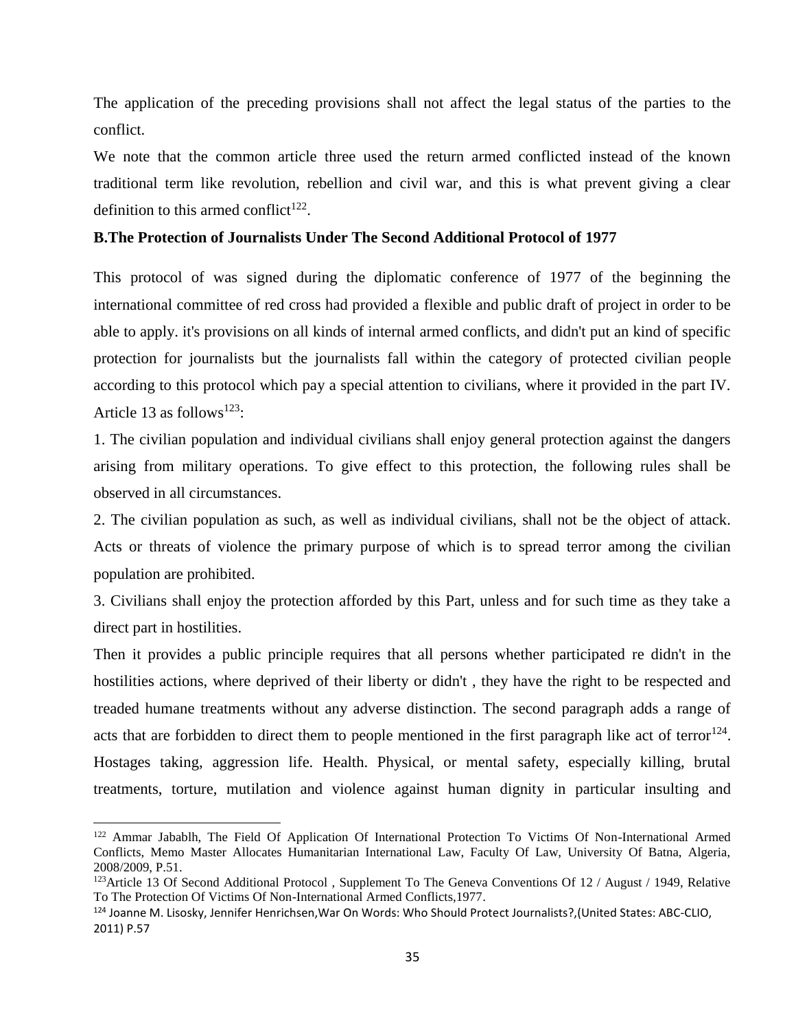The application of the preceding provisions shall not affect the legal status of the parties to the conflict.

We note that the common article three used the return armed conflicted instead of the known traditional term like revolution, rebellion and civil war, and this is what prevent giving a clear definition to this armed conflict<sup>122</sup>.

### **B.The Protection of Journalists Under The Second Additional Protocol of 1977**

This protocol of was signed during the diplomatic conference of 1977 of the beginning the international committee of red cross had provided a flexible and public draft of project in order to be able to apply. it's provisions on all kinds of internal armed conflicts, and didn't put an kind of specific protection for journalists but the journalists fall within the category of protected civilian people according to this protocol which pay a special attention to civilians, where it provided in the part IV. Article 13 as follows<sup>123</sup>:

1. The civilian population and individual civilians shall enjoy general protection against the dangers arising from military operations. To give effect to this protection, the following rules shall be observed in all circumstances.

2. The civilian population as such, as well as individual civilians, shall not be the object of attack. Acts or threats of violence the primary purpose of which is to spread terror among the civilian population are prohibited.

3. Civilians shall enjoy the protection afforded by this Part, unless and for such time as they take a direct part in hostilities.

Then it provides a public principle requires that all persons whether participated re didn't in the hostilities actions, where deprived of their liberty or didn't , they have the right to be respected and treaded humane treatments without any adverse distinction. The second paragraph adds a range of acts that are forbidden to direct them to people mentioned in the first paragraph like act of terror<sup>124</sup>. Hostages taking, aggression life. Health. Physical, or mental safety, especially killing, brutal treatments, torture, mutilation and violence against human dignity in particular insulting and

<sup>&</sup>lt;sup>122</sup> Ammar Jabablh, The Field Of Application Of International Protection To Victims Of Non-International Armed Conflicts, Memo Master Allocates Humanitarian International Law, Faculty Of Law, University Of Batna, Algeria, 2008/2009, P.51.

<sup>&</sup>lt;sup>123</sup>Article 13 Of Second Additional Protocol, Supplement To The Geneva Conventions Of 12 / August / 1949, Relative To The Protection Of Victims Of Non-International Armed Conflicts,1977.

<sup>124</sup> Joanne M. Lisosky, Jennifer Henrichsen,War On Words: Who Should Protect Journalists?,(United States: ABC-CLIO, 2011) P.57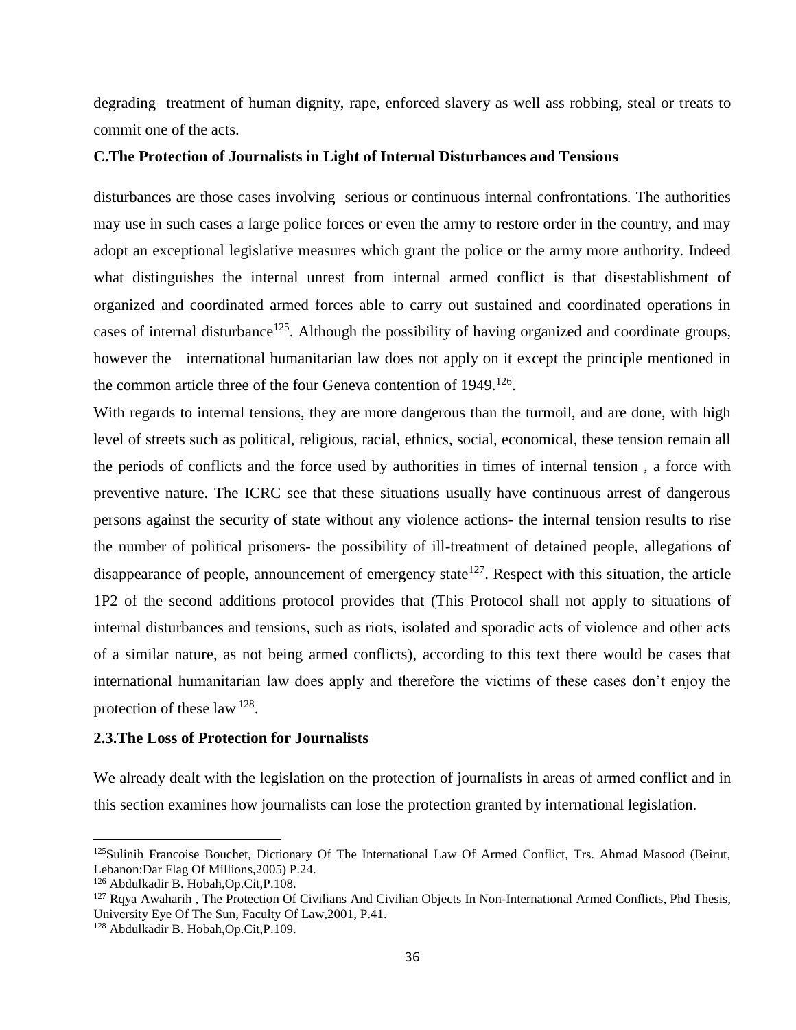degrading treatment of human dignity, rape, enforced slavery as well ass robbing, steal or treats to commit one of the acts.

### **C.The Protection of Journalists in Light of Internal Disturbances and Tensions**

disturbances are those cases involving serious or continuous internal confrontations. The authorities may use in such cases a large police forces or even the army to restore order in the country, and may adopt an exceptional legislative measures which grant the police or the army more authority. Indeed what distinguishes the internal unrest from internal armed conflict is that disestablishment of organized and coordinated armed forces able to carry out sustained and coordinated operations in cases of internal disturbance<sup>125</sup>. Although the possibility of having organized and coordinate groups, however the international humanitarian law does not apply on it except the principle mentioned in the common article three of the four Geneva contention of 1949.<sup>126</sup>.

With regards to internal tensions, they are more dangerous than the turmoil, and are done, with high level of streets such as political, religious, racial, ethnics, social, economical, these tension remain all the periods of conflicts and the force used by authorities in times of internal tension , a force with preventive nature. The ICRC see that these situations usually have continuous arrest of dangerous persons against the security of state without any violence actions- the internal tension results to rise the number of political prisoners- the possibility of ill-treatment of detained people, allegations of disappearance of people, announcement of emergency state<sup>127</sup>. Respect with this situation, the article 1P2 of the second additions protocol provides that (This Protocol shall not apply to situations of internal disturbances and tensions, such as riots, isolated and sporadic acts of violence and other acts of a similar nature, as not being armed conflicts), according to this text there would be cases that international humanitarian law does apply and therefore the victims of these cases don't enjoy the protection of these law  $^{128}$ .

### **2.3.The Loss of Protection for Journalists**

We already dealt with the legislation on the protection of journalists in areas of armed conflict and in this section examines how journalists can lose the protection granted by international legislation.

l

<sup>&</sup>lt;sup>125</sup>Sulinih Francoise Bouchet, Dictionary Of The International Law Of Armed Conflict, Trs. Ahmad Masood (Beirut, Lebanon:Dar Flag Of Millions,2005) P.24.

<sup>126</sup> Abdulkadir B. Hobah,Op.Cit,P.108.

 $127$  Rqya Awaharih, The Protection Of Civilians And Civilian Objects In Non-International Armed Conflicts, Phd Thesis, University Eye Of The Sun, Faculty Of Law,2001, P.41.

<sup>128</sup> Abdulkadir B. Hobah,Op.Cit,P.109.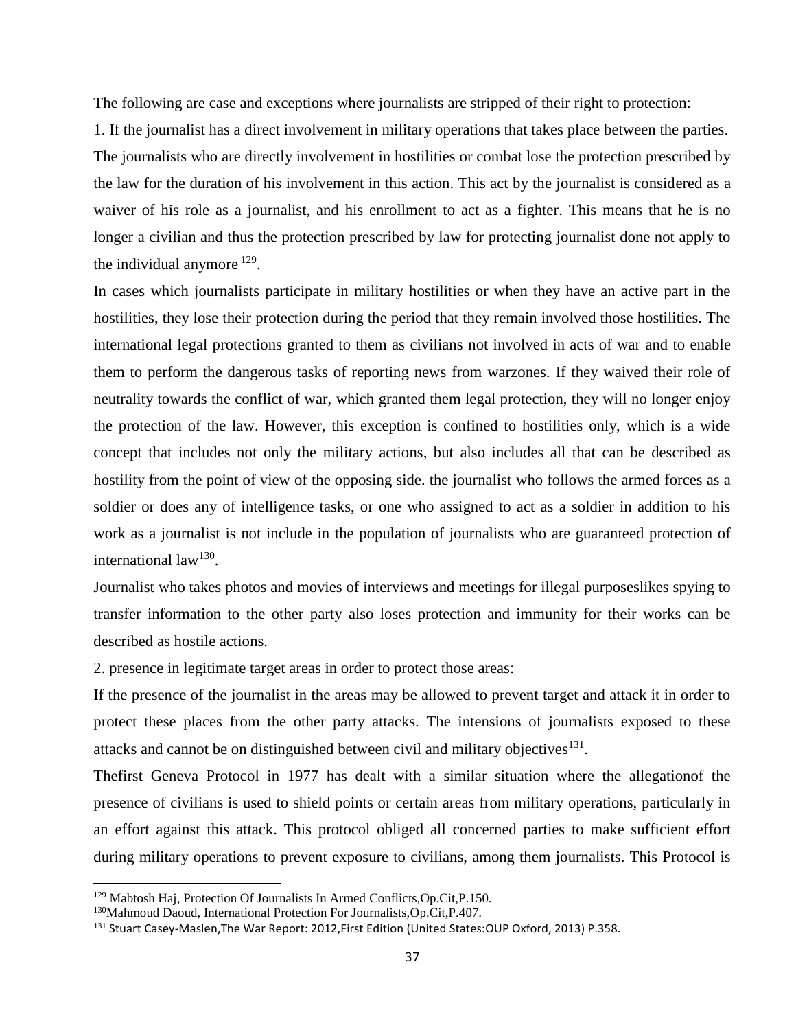The following are case and exceptions where journalists are stripped of their right to protection:

1. If the journalist has a direct involvement in military operations that takes place between the parties. The journalists who are directly involvement in hostilities or combat lose the protection prescribed by the law for the duration of his involvement in this action. This act by the journalist is considered as a waiver of his role as a journalist, and his enrollment to act as a fighter. This means that he is no longer a civilian and thus the protection prescribed by law for protecting journalist done not apply to the individual anymore  $129$ .

In cases which journalists participate in military hostilities or when they have an active part in the hostilities, they lose their protection during the period that they remain involved those hostilities. The international legal protections granted to them as civilians not involved in acts of war and to enable them to perform the dangerous tasks of reporting news from warzones. If they waived their role of neutrality towards the conflict of war, which granted them legal protection, they will no longer enjoy the protection of the law. However, this exception is confined to hostilities only, which is a wide concept that includes not only the military actions, but also includes all that can be described as hostility from the point of view of the opposing side. the journalist who follows the armed forces as a soldier or does any of intelligence tasks, or one who assigned to act as a soldier in addition to his work as a journalist is not include in the population of journalists who are guaranteed protection of international law<sup>130</sup>.

Journalist who takes photos and movies of interviews and meetings for illegal purposeslikes spying to transfer information to the other party also loses protection and immunity for their works can be described as hostile actions.

2. presence in legitimate target areas in order to protect those areas:

If the presence of the journalist in the areas may be allowed to prevent target and attack it in order to protect these places from the other party attacks. The intensions of journalists exposed to these attacks and cannot be on distinguished between civil and military objectives<sup>131</sup>.

Thefirst Geneva Protocol in 1977 has dealt with a similar situation where the allegationof the presence of civilians is used to shield points or certain areas from military operations, particularly in an effort against this attack. This protocol obliged all concerned parties to make sufficient effort during military operations to prevent exposure to civilians, among them journalists. This Protocol is

<sup>129</sup> Mabtosh Haj, Protection Of Journalists In Armed Conflicts,Op.Cit,P.150.

<sup>130</sup>Mahmoud Daoud, International Protection For Journalists,Op.Cit,P.407.

<sup>131</sup> Stuart Casey-Maslen, The War Report: 2012, First Edition (United States: OUP Oxford, 2013) P.358.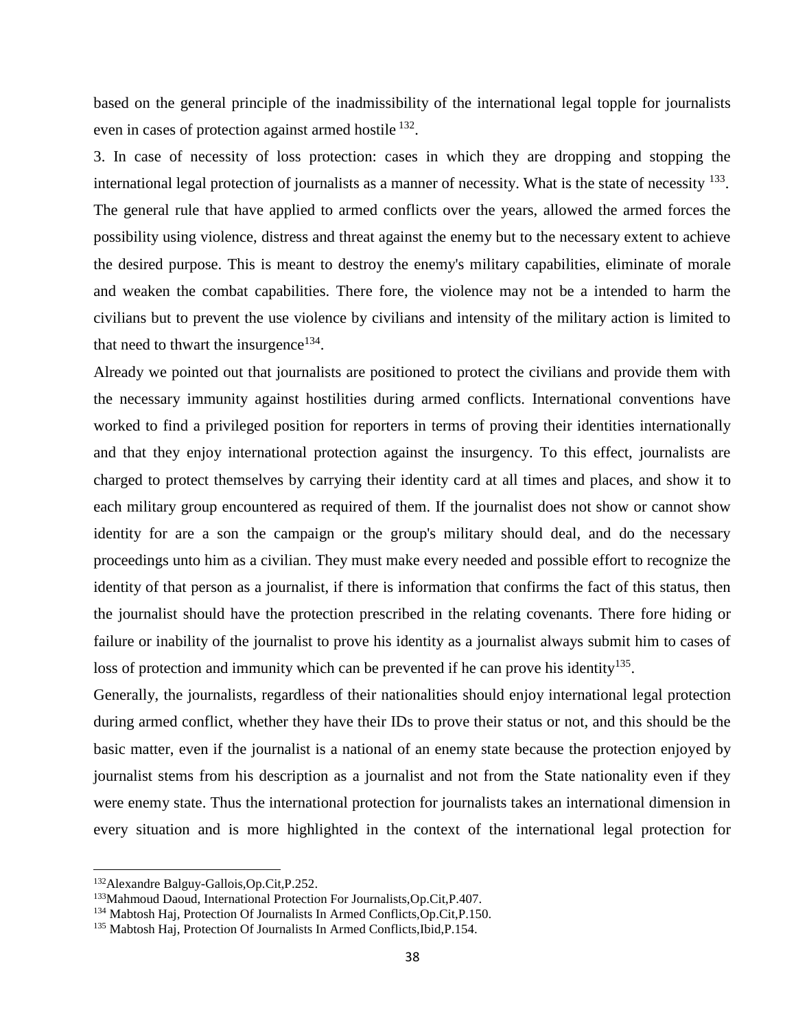based on the general principle of the inadmissibility of the international legal topple for journalists even in cases of protection against armed hostile <sup>132</sup>.

3. In case of necessity of loss protection: cases in which they are dropping and stopping the international legal protection of journalists as a manner of necessity. What is the state of necessity <sup>133</sup>. The general rule that have applied to armed conflicts over the years, allowed the armed forces the possibility using violence, distress and threat against the enemy but to the necessary extent to achieve the desired purpose. This is meant to destroy the enemy's military capabilities, eliminate of morale and weaken the combat capabilities. There fore, the violence may not be a intended to harm the civilians but to prevent the use violence by civilians and intensity of the military action is limited to that need to thwart the insurgence $134$ .

Already we pointed out that journalists are positioned to protect the civilians and provide them with the necessary immunity against hostilities during armed conflicts. International conventions have worked to find a privileged position for reporters in terms of proving their identities internationally and that they enjoy international protection against the insurgency. To this effect, journalists are charged to protect themselves by carrying their identity card at all times and places, and show it to each military group encountered as required of them. If the journalist does not show or cannot show identity for are a son the campaign or the group's military should deal, and do the necessary proceedings unto him as a civilian. They must make every needed and possible effort to recognize the identity of that person as a journalist, if there is information that confirms the fact of this status, then the journalist should have the protection prescribed in the relating covenants. There fore hiding or failure or inability of the journalist to prove his identity as a journalist always submit him to cases of loss of protection and immunity which can be prevented if he can prove his identity<sup>135</sup>.

Generally, the journalists, regardless of their nationalities should enjoy international legal protection during armed conflict, whether they have their IDs to prove their status or not, and this should be the basic matter, even if the journalist is a national of an enemy state because the protection enjoyed by journalist stems from his description as a journalist and not from the State nationality even if they were enemy state. Thus the international protection for journalists takes an international dimension in every situation and is more highlighted in the context of the international legal protection for

<sup>132</sup>Alexandre Balguy-Gallois,Op.Cit,P.252.

<sup>133</sup>Mahmoud Daoud, International Protection For Journalists,Op.Cit,P.407.

<sup>134</sup> Mabtosh Haj, Protection Of Journalists In Armed Conflicts,Op.Cit,P.150.

<sup>135</sup> Mabtosh Haj, Protection Of Journalists In Armed Conflicts,Ibid,P.154.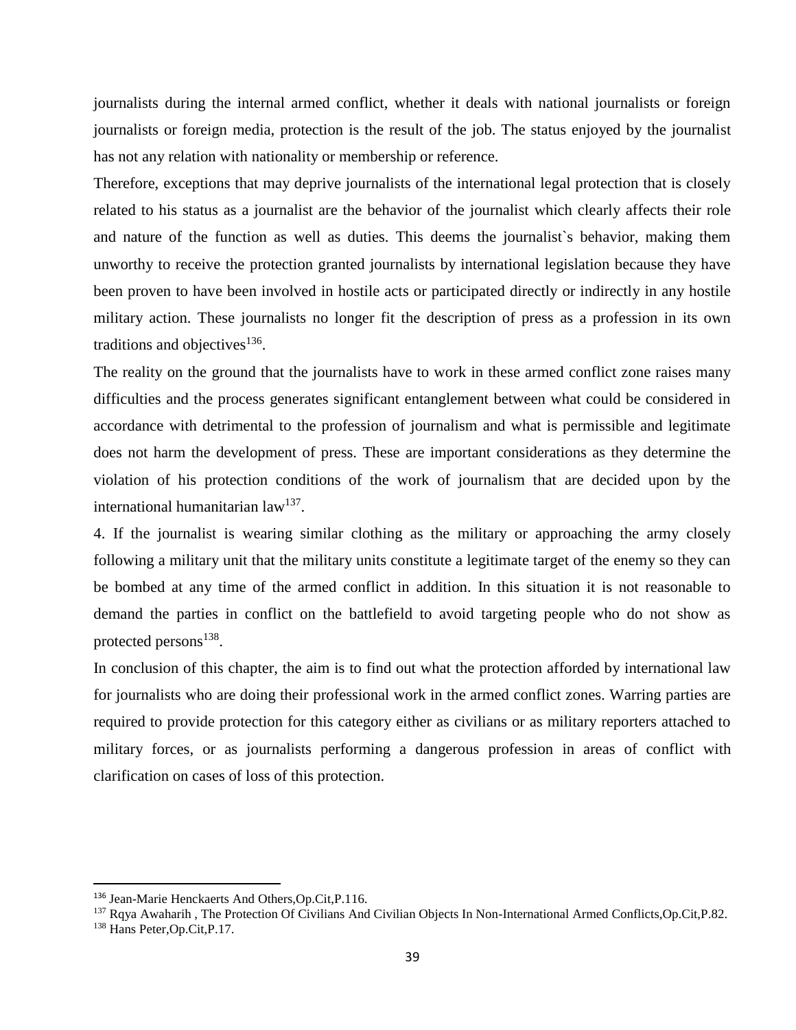journalists during the internal armed conflict, whether it deals with national journalists or foreign journalists or foreign media, protection is the result of the job. The status enjoyed by the journalist has not any relation with nationality or membership or reference.

Therefore, exceptions that may deprive journalists of the international legal protection that is closely related to his status as a journalist are the behavior of the journalist which clearly affects their role and nature of the function as well as duties. This deems the journalist`s behavior, making them unworthy to receive the protection granted journalists by international legislation because they have been proven to have been involved in hostile acts or participated directly or indirectly in any hostile military action. These journalists no longer fit the description of press as a profession in its own traditions and objectives<sup>136</sup>.

The reality on the ground that the journalists have to work in these armed conflict zone raises many difficulties and the process generates significant entanglement between what could be considered in accordance with detrimental to the profession of journalism and what is permissible and legitimate does not harm the development of press. These are important considerations as they determine the violation of his protection conditions of the work of journalism that are decided upon by the international humanitarian law<sup>137</sup>.

4. If the journalist is wearing similar clothing as the military or approaching the army closely following a military unit that the military units constitute a legitimate target of the enemy so they can be bombed at any time of the armed conflict in addition. In this situation it is not reasonable to demand the parties in conflict on the battlefield to avoid targeting people who do not show as protected persons<sup>138</sup>.

In conclusion of this chapter, the aim is to find out what the protection afforded by international law for journalists who are doing their professional work in the armed conflict zones. Warring parties are required to provide protection for this category either as civilians or as military reporters attached to military forces, or as journalists performing a dangerous profession in areas of conflict with clarification on cases of loss of this protection.

<sup>136</sup> Jean-Marie Henckaerts And Others,Op.Cit,P.116.

<sup>&</sup>lt;sup>137</sup> Rqya Awaharih, The Protection Of Civilians And Civilian Objects In Non-International Armed Conflicts,Op.Cit,P.82. <sup>138</sup> Hans Peter,Op.Cit,P.17.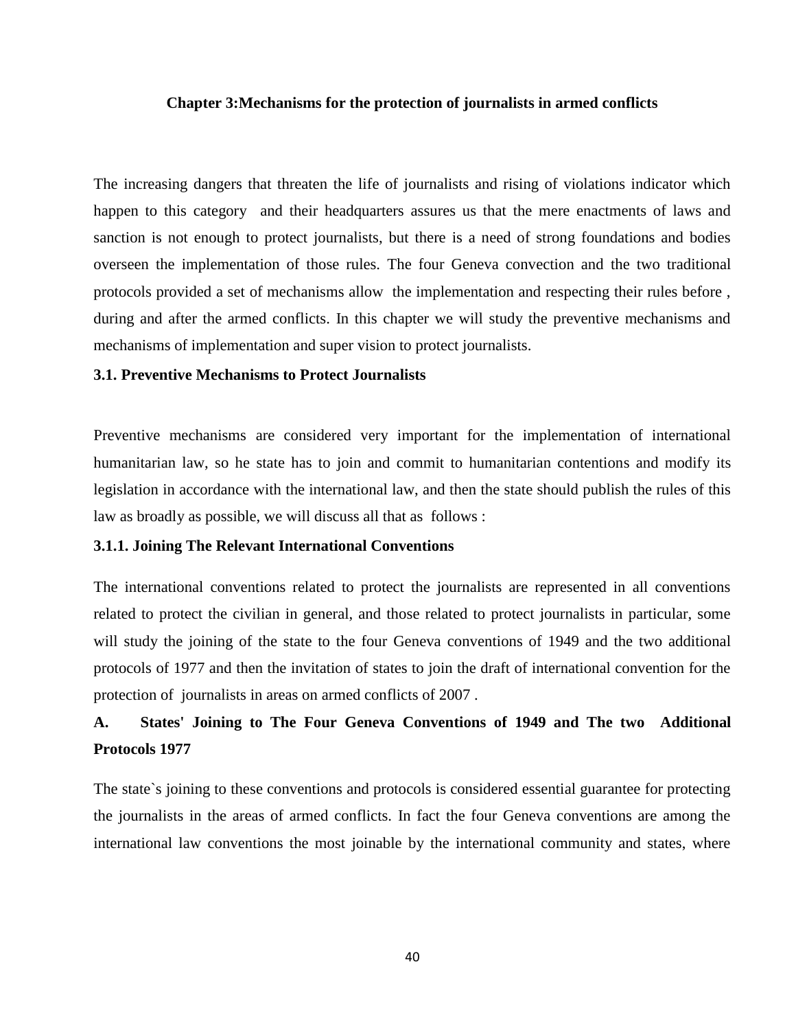## **Chapter 3:Mechanisms for the protection of journalists in armed conflicts**

The increasing dangers that threaten the life of journalists and rising of violations indicator which happen to this category and their headquarters assures us that the mere enactments of laws and sanction is not enough to protect journalists, but there is a need of strong foundations and bodies overseen the implementation of those rules. The four Geneva convection and the two traditional protocols provided a set of mechanisms allow the implementation and respecting their rules before , during and after the armed conflicts. In this chapter we will study the preventive mechanisms and mechanisms of implementation and super vision to protect journalists.

### **3.1. Preventive Mechanisms to Protect Journalists**

Preventive mechanisms are considered very important for the implementation of international humanitarian law, so he state has to join and commit to humanitarian contentions and modify its legislation in accordance with the international law, and then the state should publish the rules of this law as broadly as possible, we will discuss all that as follows :

### **3.1.1. Joining The Relevant International Conventions**

The international conventions related to protect the journalists are represented in all conventions related to protect the civilian in general, and those related to protect journalists in particular, some will study the joining of the state to the four Geneva conventions of 1949 and the two additional protocols of 1977 and then the invitation of states to join the draft of international convention for the protection of journalists in areas on armed conflicts of 2007 .

# **A. States' Joining to The Four Geneva Conventions of 1949 and The two Additional Protocols 1977**

The state`s joining to these conventions and protocols is considered essential guarantee for protecting the journalists in the areas of armed conflicts. In fact the four Geneva conventions are among the international law conventions the most joinable by the international community and states, where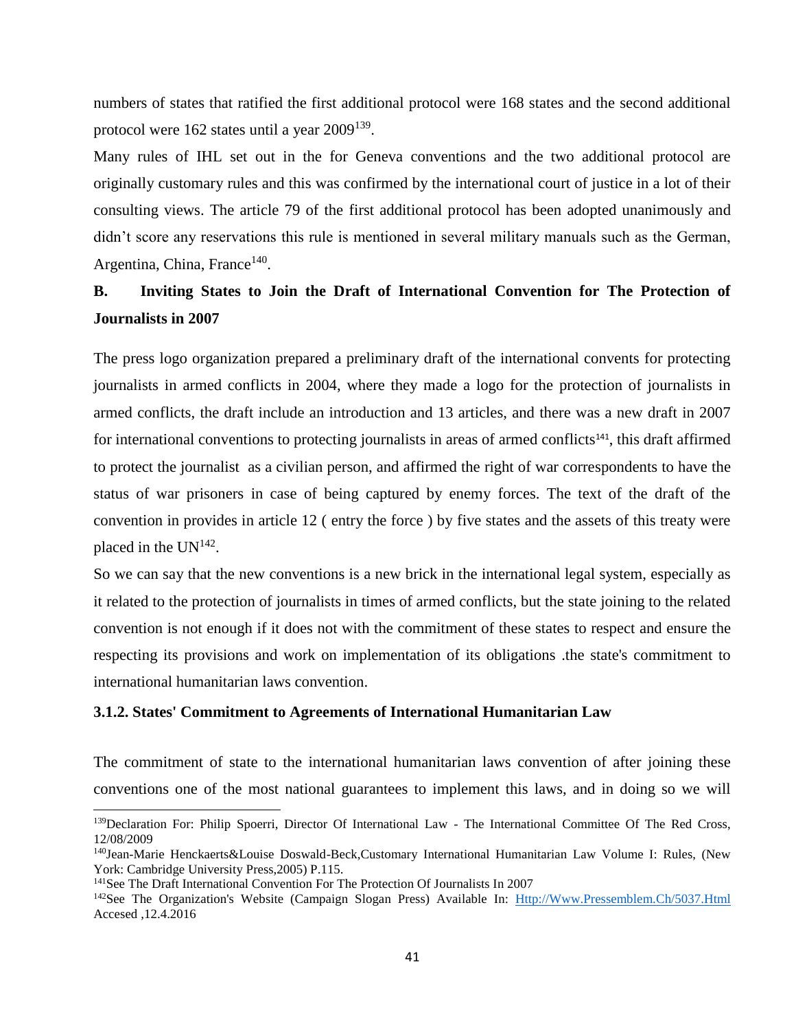numbers of states that ratified the first additional protocol were 168 states and the second additional protocol were 162 states until a year 2009<sup>139</sup>.

Many rules of IHL set out in the for Geneva conventions and the two additional protocol are originally customary rules and this was confirmed by the international court of justice in a lot of their consulting views. The article 79 of the first additional protocol has been adopted unanimously and didn't score any reservations this rule is mentioned in several military manuals such as the German, Argentina, China, France<sup>140</sup>.

# **B. Inviting States to Join the Draft of International Convention for The Protection of Journalists in 2007**

The press logo organization prepared a preliminary draft of the international convents for protecting journalists in armed conflicts in 2004, where they made a logo for the protection of journalists in armed conflicts, the draft include an introduction and 13 articles, and there was a new draft in 2007 for international conventions to protecting journalists in areas of armed conflicts<sup>141</sup>, this draft affirmed to protect the journalist as a civilian person, and affirmed the right of war correspondents to have the status of war prisoners in case of being captured by enemy forces. The text of the draft of the convention in provides in article 12 ( entry the force ) by five states and the assets of this treaty were placed in the  $UN^{142}$ .

So we can say that the new conventions is a new brick in the international legal system, especially as it related to the protection of journalists in times of armed conflicts, but the state joining to the related convention is not enough if it does not with the commitment of these states to respect and ensure the respecting its provisions and work on implementation of its obligations .the state's commitment to international humanitarian laws convention.

### **3.1.2. States' Commitment to Agreements of International Humanitarian Law**

The commitment of state to the international humanitarian laws convention of after joining these conventions one of the most national guarantees to implement this laws, and in doing so we will

<sup>&</sup>lt;sup>139</sup>Declaration For: Philip Spoerri, Director Of International Law - The International Committee Of The Red Cross, 12/08/2009

<sup>140</sup>Jean-Marie Henckaerts&Louise Doswald-Beck,Customary International Humanitarian Law Volume I: Rules, (New York: Cambridge University Press,2005) P.115.

<sup>141</sup>See The Draft International Convention For The Protection Of Journalists In 2007

<sup>&</sup>lt;sup>142</sup>See The Organization's Website (Campaign Slogan Press) Available In: [Http://Www.Pressemblem.Ch/5037.Html](http://www.pressemblem.ch/5037.html) Accesed ,12.4.2016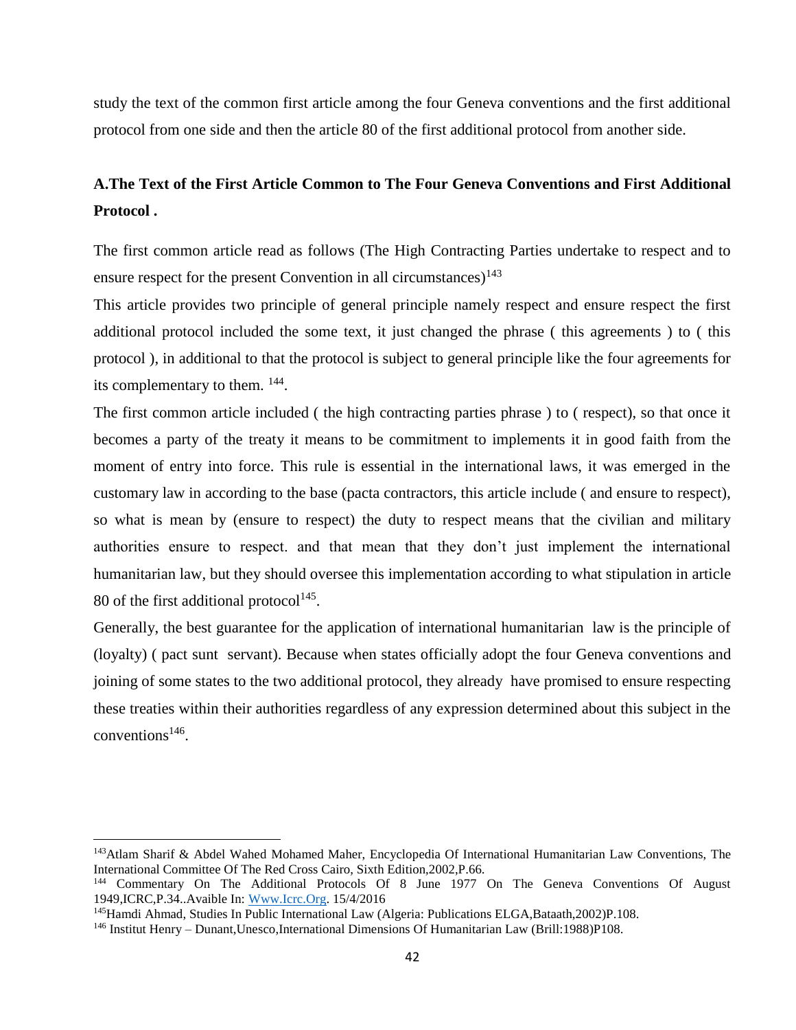study the text of the common first article among the four Geneva conventions and the first additional protocol from one side and then the article 80 of the first additional protocol from another side.

# **A.The Text of the First Article Common to The Four Geneva Conventions and First Additional Protocol .**

The first common article read as follows (The High Contracting Parties undertake to respect and to ensure respect for the present Convention in all circumstances)<sup>143</sup>

This article provides two principle of general principle namely respect and ensure respect the first additional protocol included the some text, it just changed the phrase ( this agreements ) to ( this protocol ), in additional to that the protocol is subject to general principle like the four agreements for its complementary to them.  $^{144}$ .

The first common article included ( the high contracting parties phrase ) to ( respect), so that once it becomes a party of the treaty it means to be commitment to implements it in good faith from the moment of entry into force. This rule is essential in the international laws, it was emerged in the customary law in according to the base (pacta contractors, this article include ( and ensure to respect), so what is mean by (ensure to respect) the duty to respect means that the civilian and military authorities ensure to respect. and that mean that they don't just implement the international humanitarian law, but they should oversee this implementation according to what stipulation in article 80 of the first additional protocol $145$ .

Generally, the best guarantee for the application of international humanitarian law is the principle of (loyalty) ( pact sunt servant). Because when states officially adopt the four Geneva conventions and joining of some states to the two additional protocol, they already have promised to ensure respecting these treaties within their authorities regardless of any expression determined about this subject in the  $conventions<sup>146</sup>$ .

l

<sup>143</sup>Atlam Sharif & Abdel Wahed Mohamed Maher, Encyclopedia Of International Humanitarian Law Conventions, The International Committee Of The Red Cross Cairo, Sixth Edition,2002,P.66.

<sup>&</sup>lt;sup>144</sup> Commentary On The Additional Protocols Of 8 June 1977 On The Geneva Conventions Of August 1949,ICRC,P.34..Avaible In: [Www.Icrc.Org.](http://www.icrc.org/) 15/4/2016

<sup>145</sup>Hamdi Ahmad, Studies In Public International Law (Algeria: Publications ELGA,Bataath,2002)P.108.

<sup>146</sup> Institut Henry – Dunant,Unesco,International Dimensions Of Humanitarian Law (Brill:1988)P108.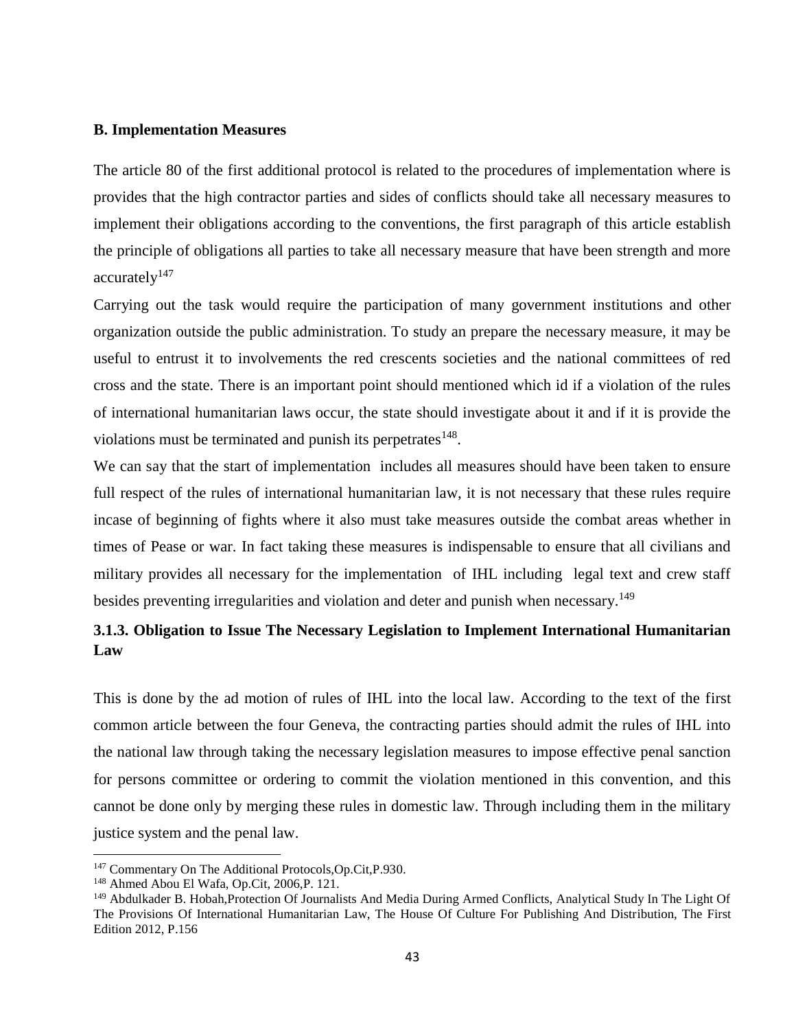### **B. Implementation Measures**

The article 80 of the first additional protocol is related to the procedures of implementation where is provides that the high contractor parties and sides of conflicts should take all necessary measures to implement their obligations according to the conventions, the first paragraph of this article establish the principle of obligations all parties to take all necessary measure that have been strength and more accurately<sup>147</sup>

Carrying out the task would require the participation of many government institutions and other organization outside the public administration. To study an prepare the necessary measure, it may be useful to entrust it to involvements the red crescents societies and the national committees of red cross and the state. There is an important point should mentioned which id if a violation of the rules of international humanitarian laws occur, the state should investigate about it and if it is provide the violations must be terminated and punish its perpetrates  $148$ .

We can say that the start of implementation includes all measures should have been taken to ensure full respect of the rules of international humanitarian law, it is not necessary that these rules require incase of beginning of fights where it also must take measures outside the combat areas whether in times of Pease or war. In fact taking these measures is indispensable to ensure that all civilians and military provides all necessary for the implementation of IHL including legal text and crew staff besides preventing irregularities and violation and deter and punish when necessary.<sup>149</sup>

# **3.1.3. Obligation to Issue The Necessary Legislation to Implement International Humanitarian Law**

This is done by the ad motion of rules of IHL into the local law. According to the text of the first common article between the four Geneva, the contracting parties should admit the rules of IHL into the national law through taking the necessary legislation measures to impose effective penal sanction for persons committee or ordering to commit the violation mentioned in this convention, and this cannot be done only by merging these rules in domestic law. Through including them in the military justice system and the penal law.

<sup>147</sup> Commentary On The Additional Protocols,Op.Cit,P.930.

<sup>148</sup> Ahmed Abou El Wafa, Op.Cit, 2006,P. 121.

<sup>149</sup> Abdulkader B. Hobah,Protection Of Journalists And Media During Armed Conflicts, Analytical Study In The Light Of The Provisions Of International Humanitarian Law, The House Of Culture For Publishing And Distribution, The First Edition 2012, P.156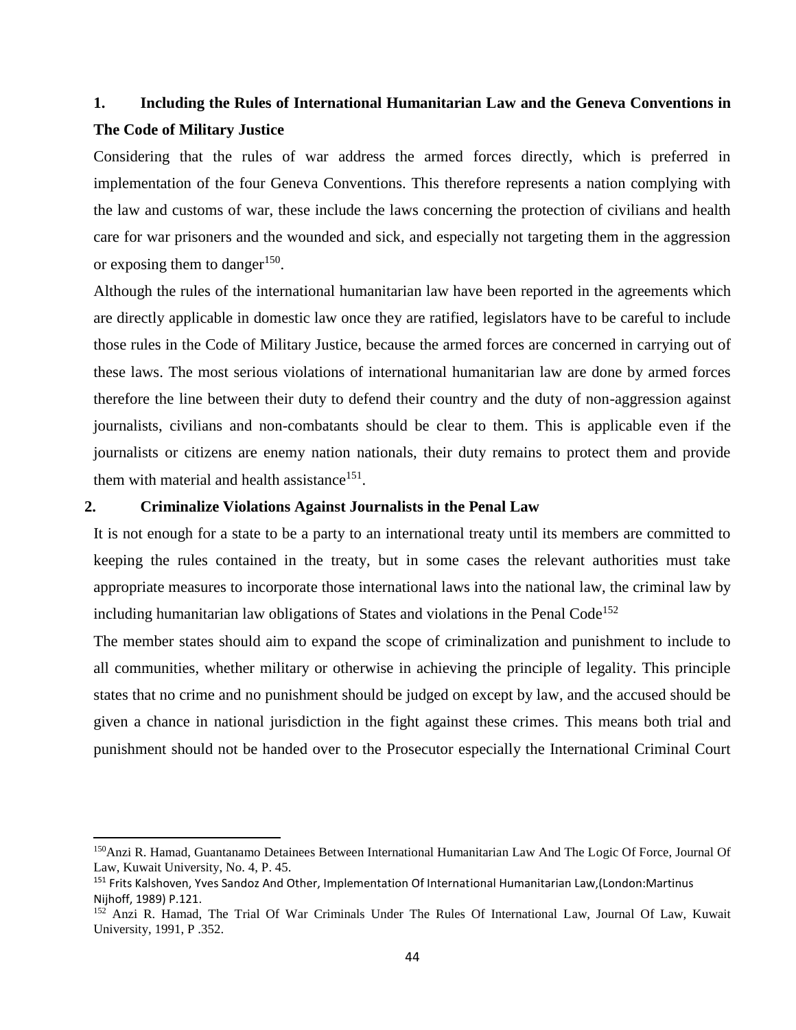# **1. Including the Rules of International Humanitarian Law and the Geneva Conventions in The Code of Military Justice**

Considering that the rules of war address the armed forces directly, which is preferred in implementation of the four Geneva Conventions. This therefore represents a nation complying with the law and customs of war, these include the laws concerning the protection of civilians and health care for war prisoners and the wounded and sick, and especially not targeting them in the aggression or exposing them to danger<sup>150</sup>.

Although the rules of the international humanitarian law have been reported in the agreements which are directly applicable in domestic law once they are ratified, legislators have to be careful to include those rules in the Code of Military Justice, because the armed forces are concerned in carrying out of these laws. The most serious violations of international humanitarian law are done by armed forces therefore the line between their duty to defend their country and the duty of non-aggression against journalists, civilians and non-combatants should be clear to them. This is applicable even if the journalists or citizens are enemy nation nationals, their duty remains to protect them and provide them with material and health assistance<sup>151</sup>.

### **2. Criminalize Violations Against Journalists in the Penal Law**

 $\overline{\phantom{a}}$ 

It is not enough for a state to be a party to an international treaty until its members are committed to keeping the rules contained in the treaty, but in some cases the relevant authorities must take appropriate measures to incorporate those international laws into the national law, the criminal law by including humanitarian law obligations of States and violations in the Penal Code<sup>152</sup>

The member states should aim to expand the scope of criminalization and punishment to include to all communities, whether military or otherwise in achieving the principle of legality. This principle states that no crime and no punishment should be judged on except by law, and the accused should be given a chance in national jurisdiction in the fight against these crimes. This means both trial and punishment should not be handed over to the Prosecutor especially the International Criminal Court

<sup>150</sup>Anzi R. Hamad, Guantanamo Detainees Between International Humanitarian Law And The Logic Of Force, Journal Of Law, Kuwait University, No. 4, P. 45.

<sup>151</sup> Frits Kalshoven, Yves Sandoz And Other, Implementation Of International Humanitarian Law,(London:Martinus Nijhoff, 1989) P.121.

<sup>152</sup> Anzi R. Hamad, The Trial Of War Criminals Under The Rules Of International Law, Journal Of Law, Kuwait University, 1991, P .352.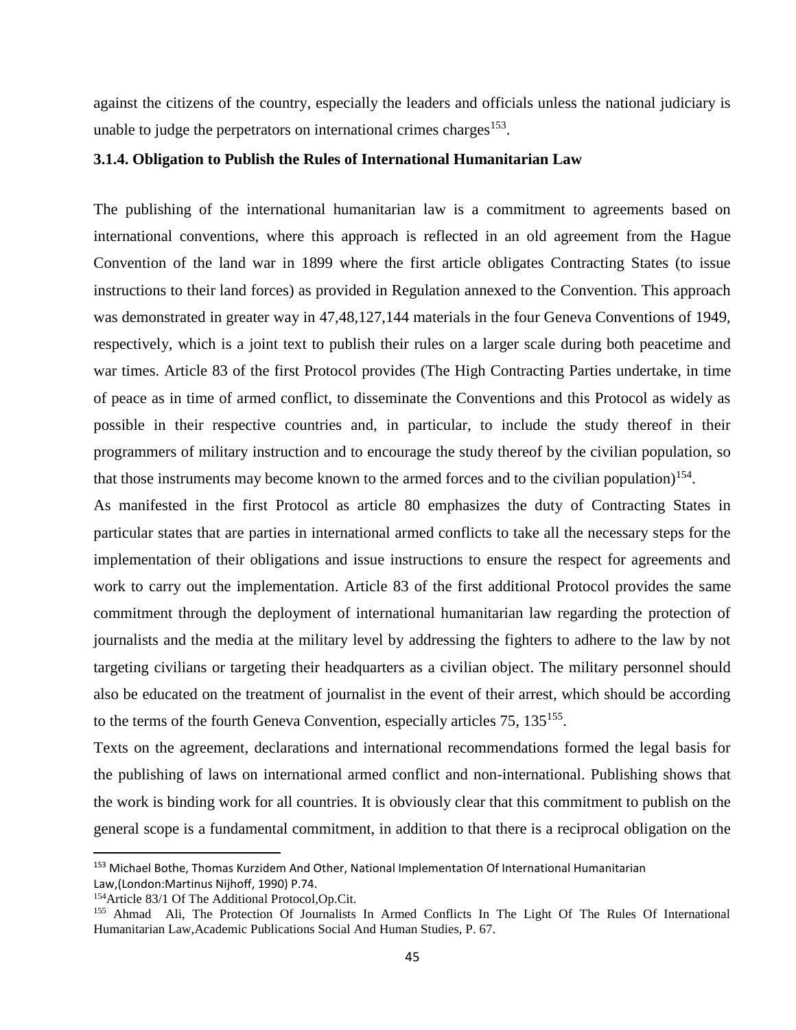against the citizens of the country, especially the leaders and officials unless the national judiciary is unable to judge the perpetrators on international crimes charges<sup>153</sup>.

## **3.1.4. Obligation to Publish the Rules of International Humanitarian Law**

The publishing of the international humanitarian law is a commitment to agreements based on international conventions, where this approach is reflected in an old agreement from the Hague Convention of the land war in 1899 where the first article obligates Contracting States (to issue instructions to their land forces) as provided in Regulation annexed to the Convention. This approach was demonstrated in greater way in 47,48,127,144 materials in the four Geneva Conventions of 1949, respectively, which is a joint text to publish their rules on a larger scale during both peacetime and war times. Article 83 of the first Protocol provides (The High Contracting Parties undertake, in time of peace as in time of armed conflict, to disseminate the Conventions and this Protocol as widely as possible in their respective countries and, in particular, to include the study thereof in their programmers of military instruction and to encourage the study thereof by the civilian population, so that those instruments may become known to the armed forces and to the civilian population)<sup>154</sup>.

As manifested in the first Protocol as article 80 emphasizes the duty of Contracting States in particular states that are parties in international armed conflicts to take all the necessary steps for the implementation of their obligations and issue instructions to ensure the respect for agreements and work to carry out the implementation. Article 83 of the first additional Protocol provides the same commitment through the deployment of international humanitarian law regarding the protection of journalists and the media at the military level by addressing the fighters to adhere to the law by not targeting civilians or targeting their headquarters as a civilian object. The military personnel should also be educated on the treatment of journalist in the event of their arrest, which should be according to the terms of the fourth Geneva Convention, especially articles 75, 135<sup>155</sup>.

Texts on the agreement, declarations and international recommendations formed the legal basis for the publishing of laws on international armed conflict and non-international. Publishing shows that the work is binding work for all countries. It is obviously clear that this commitment to publish on the general scope is a fundamental commitment, in addition to that there is a reciprocal obligation on the

<sup>153</sup> Michael Bothe, Thomas Kurzidem And Other, National Implementation Of International Humanitarian Law,(London:Martinus Nijhoff, 1990) P.74.

<sup>154</sup>Article 83/1 Of The Additional Protocol,Op.Cit.

<sup>155</sup> Ahmad Ali, The Protection Of Journalists In Armed Conflicts In The Light Of The Rules Of International Humanitarian Law,Academic Publications Social And Human Studies, P. 67.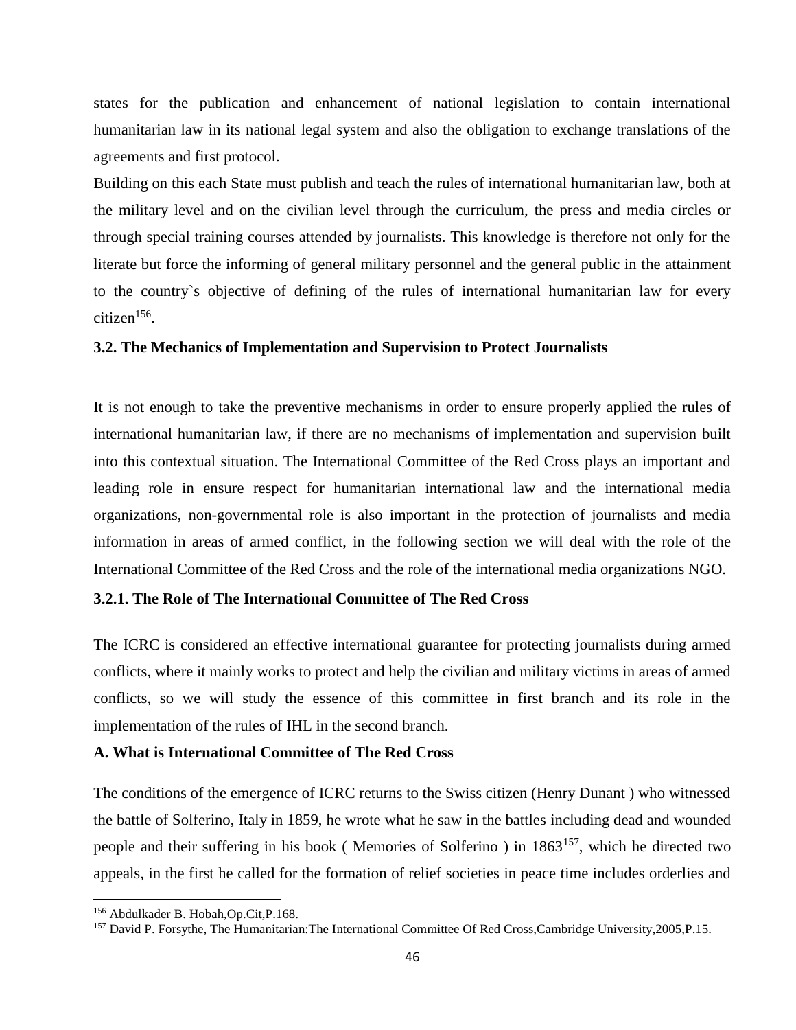states for the publication and enhancement of national legislation to contain international humanitarian law in its national legal system and also the obligation to exchange translations of the agreements and first protocol.

Building on this each State must publish and teach the rules of international humanitarian law, both at the military level and on the civilian level through the curriculum, the press and media circles or through special training courses attended by journalists. This knowledge is therefore not only for the literate but force the informing of general military personnel and the general public in the attainment to the country`s objective of defining of the rules of international humanitarian law for every citizen<sup>156</sup>.

### **3.2. The Mechanics of Implementation and Supervision to Protect Journalists**

It is not enough to take the preventive mechanisms in order to ensure properly applied the rules of international humanitarian law, if there are no mechanisms of implementation and supervision built into this contextual situation. The International Committee of the Red Cross plays an important and leading role in ensure respect for humanitarian international law and the international media organizations, non-governmental role is also important in the protection of journalists and media information in areas of armed conflict, in the following section we will deal with the role of the International Committee of the Red Cross and the role of the international media organizations NGO.

### **3.2.1. The Role of The International Committee of The Red Cross**

The ICRC is considered an effective international guarantee for protecting journalists during armed conflicts, where it mainly works to protect and help the civilian and military victims in areas of armed conflicts, so we will study the essence of this committee in first branch and its role in the implementation of the rules of IHL in the second branch.

#### **A. What is International Committee of The Red Cross**

The conditions of the emergence of ICRC returns to the Swiss citizen (Henry Dunant ) who witnessed the battle of Solferino, Italy in 1859, he wrote what he saw in the battles including dead and wounded people and their suffering in his book ( Memories of Solferino ) in 1863<sup>157</sup>, which he directed two appeals, in the first he called for the formation of relief societies in peace time includes orderlies and

<sup>156</sup> Abdulkader B. Hobah,Op.Cit,P.168.

<sup>&</sup>lt;sup>157</sup> David P. Forsythe, The Humanitarian: The International Committee Of Red Cross, Cambridge University, 2005, P.15.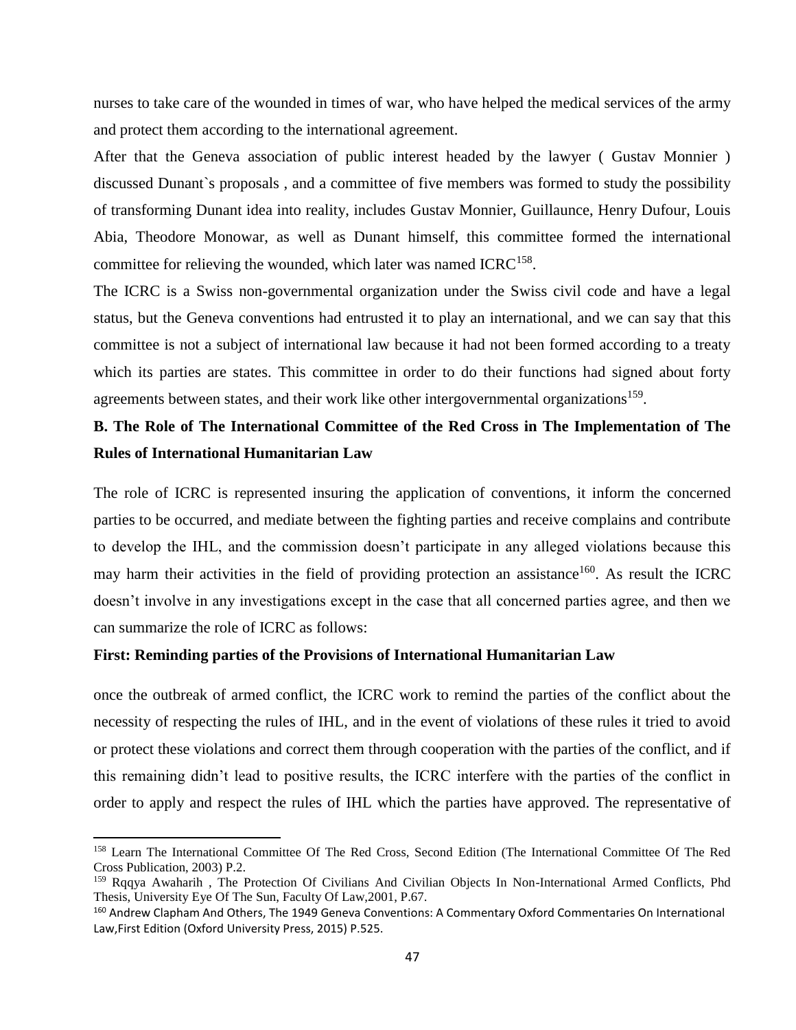nurses to take care of the wounded in times of war, who have helped the medical services of the army and protect them according to the international agreement.

After that the Geneva association of public interest headed by the lawyer ( Gustav Monnier ) discussed Dunant`s proposals , and a committee of five members was formed to study the possibility of transforming Dunant idea into reality, includes Gustav Monnier, Guillaunce, Henry Dufour, Louis Abia, Theodore Monowar, as well as Dunant himself, this committee formed the international committee for relieving the wounded, which later was named  $ICRC^{158}$ .

The ICRC is a Swiss non-governmental organization under the Swiss civil code and have a legal status, but the Geneva conventions had entrusted it to play an international, and we can say that this committee is not a subject of international law because it had not been formed according to a treaty which its parties are states. This committee in order to do their functions had signed about forty agreements between states, and their work like other intergovernmental organizations<sup>159</sup>.

# **B. The Role of The International Committee of the Red Cross in The Implementation of The Rules of International Humanitarian Law**

The role of ICRC is represented insuring the application of conventions, it inform the concerned parties to be occurred, and mediate between the fighting parties and receive complains and contribute to develop the IHL, and the commission doesn't participate in any alleged violations because this may harm their activities in the field of providing protection an assistance<sup>160</sup>. As result the ICRC doesn't involve in any investigations except in the case that all concerned parties agree, and then we can summarize the role of ICRC as follows:

### **First: Reminding parties of the Provisions of International Humanitarian Law**

 $\overline{\phantom{a}}$ 

once the outbreak of armed conflict, the ICRC work to remind the parties of the conflict about the necessity of respecting the rules of IHL, and in the event of violations of these rules it tried to avoid or protect these violations and correct them through cooperation with the parties of the conflict, and if this remaining didn't lead to positive results, the ICRC interfere with the parties of the conflict in order to apply and respect the rules of IHL which the parties have approved. The representative of

<sup>158</sup> Learn The International Committee Of The Red Cross, Second Edition (The International Committee Of The Red Cross Publication, 2003) P.2.

<sup>&</sup>lt;sup>159</sup> Rqqva Awaharih , The Protection Of Civilians And Civilian Objects In Non-International Armed Conflicts, Phd Thesis, University Eye Of The Sun, Faculty Of Law,2001, P.67.

<sup>160</sup> Andrew Clapham And Others, The 1949 Geneva Conventions: A Commentary Oxford Commentaries On International Law,First Edition (Oxford University Press, 2015) P.525.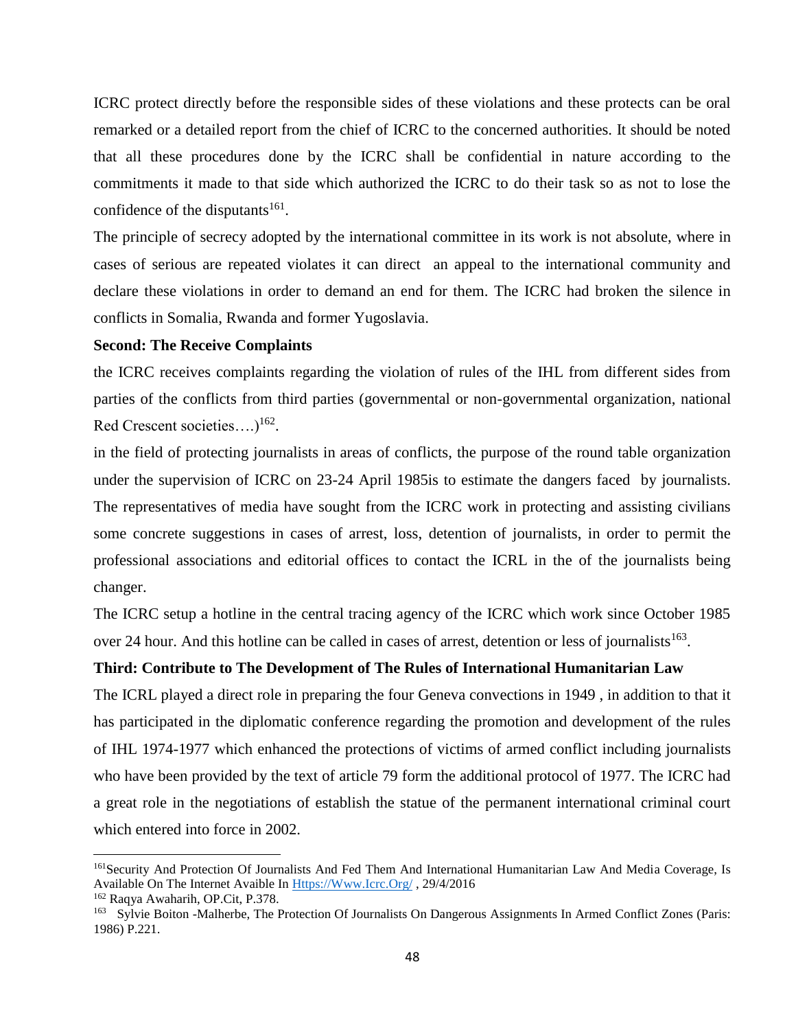ICRC protect directly before the responsible sides of these violations and these protects can be oral remarked or a detailed report from the chief of ICRC to the concerned authorities. It should be noted that all these procedures done by the ICRC shall be confidential in nature according to the commitments it made to that side which authorized the ICRC to do their task so as not to lose the confidence of the disputants $^{161}$ .

The principle of secrecy adopted by the international committee in its work is not absolute, where in cases of serious are repeated violates it can direct an appeal to the international community and declare these violations in order to demand an end for them. The ICRC had broken the silence in conflicts in Somalia, Rwanda and former Yugoslavia.

#### **Second: The Receive Complaints**

the ICRC receives complaints regarding the violation of rules of the IHL from different sides from parties of the conflicts from third parties (governmental or non-governmental organization, national Red Crescent societies.... $)^{162}$ .

in the field of protecting journalists in areas of conflicts, the purpose of the round table organization under the supervision of ICRC on 23-24 April 1985is to estimate the dangers faced by journalists. The representatives of media have sought from the ICRC work in protecting and assisting civilians some concrete suggestions in cases of arrest, loss, detention of journalists, in order to permit the professional associations and editorial offices to contact the ICRL in the of the journalists being changer.

The ICRC setup a hotline in the central tracing agency of the ICRC which work since October 1985 over 24 hour. And this hotline can be called in cases of arrest, detention or less of journalists  $163$ .

## **Third: Contribute to The Development of The Rules of International Humanitarian Law**

The ICRL played a direct role in preparing the four Geneva convections in 1949 , in addition to that it has participated in the diplomatic conference regarding the promotion and development of the rules of IHL 1974-1977 which enhanced the protections of victims of armed conflict including journalists who have been provided by the text of article 79 form the additional protocol of 1977. The ICRC had a great role in the negotiations of establish the statue of the permanent international criminal court which entered into force in 2002.

<sup>&</sup>lt;sup>161</sup>Security And Protection Of Journalists And Fed Them And International Humanitarian Law And Media Coverage, Is Available On The Internet Avaible I[n Https://Www.Icrc.Org/](https://www.icrc.org/) , 29/4/2016

<sup>162</sup> Raqya Awaharih, OP.Cit, P.378.

<sup>&</sup>lt;sup>163</sup> Sylvie Boiton -Malherbe, The Protection Of Journalists On Dangerous Assignments In Armed Conflict Zones (Paris: 1986) P.221.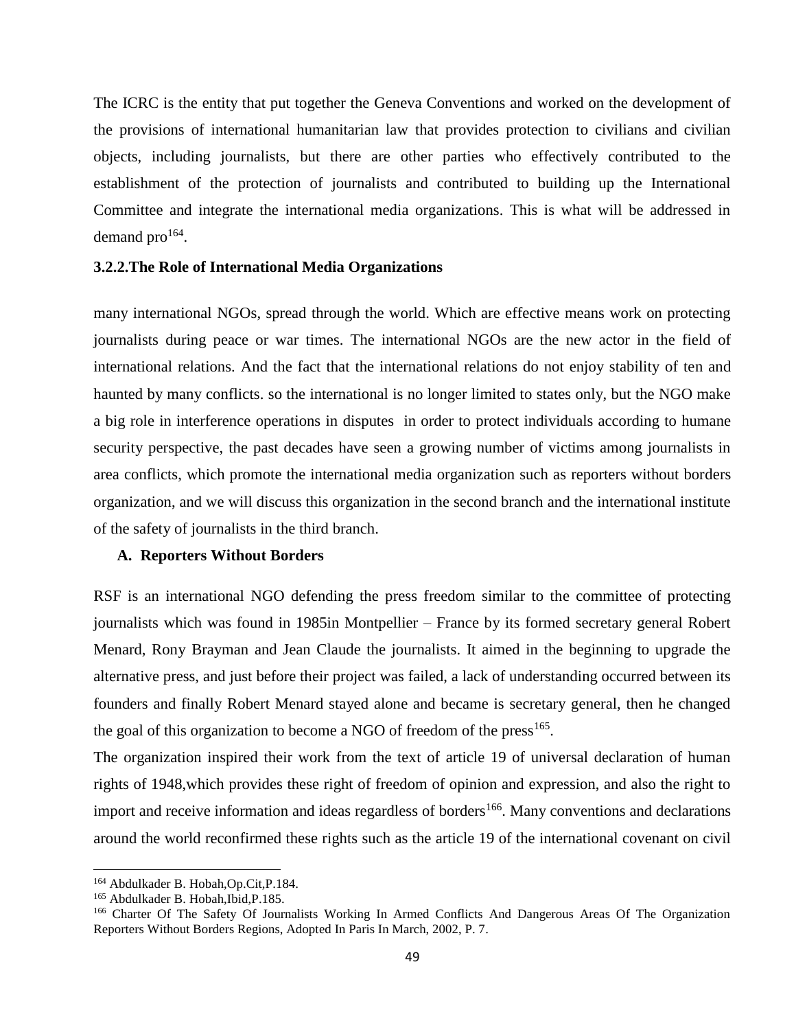The ICRC is the entity that put together the Geneva Conventions and worked on the development of the provisions of international humanitarian law that provides protection to civilians and civilian objects, including journalists, but there are other parties who effectively contributed to the establishment of the protection of journalists and contributed to building up the International Committee and integrate the international media organizations. This is what will be addressed in demand  $pro^{164}$ .

### **3.2.2.The Role of International Media Organizations**

many international NGOs, spread through the world. Which are effective means work on protecting journalists during peace or war times. The international NGOs are the new actor in the field of international relations. And the fact that the international relations do not enjoy stability of ten and haunted by many conflicts. so the international is no longer limited to states only, but the NGO make a big role in interference operations in disputes in order to protect individuals according to humane security perspective, the past decades have seen a growing number of victims among journalists in area conflicts, which promote the international media organization such as reporters without borders organization, and we will discuss this organization in the second branch and the international institute of the safety of journalists in the third branch.

#### **A. Reporters Without Borders**

RSF is an international NGO defending the press freedom similar to the committee of protecting journalists which was found in 1985in Montpellier – France by its formed secretary general Robert Menard, Rony Brayman and Jean Claude the journalists. It aimed in the beginning to upgrade the alternative press, and just before their project was failed, a lack of understanding occurred between its founders and finally Robert Menard stayed alone and became is secretary general, then he changed the goal of this organization to become a NGO of freedom of the  $press^{165}$ .

The organization inspired their work from the text of article 19 of universal declaration of human rights of 1948,which provides these right of freedom of opinion and expression, and also the right to import and receive information and ideas regardless of borders<sup>166</sup>. Many conventions and declarations around the world reconfirmed these rights such as the article 19 of the international covenant on civil

<sup>164</sup> Abdulkader B. Hobah,Op.Cit,P.184.

<sup>165</sup> Abdulkader B. Hobah,Ibid,P.185.

<sup>166</sup> Charter Of The Safety Of Journalists Working In Armed Conflicts And Dangerous Areas Of The Organization Reporters Without Borders Regions, Adopted In Paris In March, 2002, P. 7.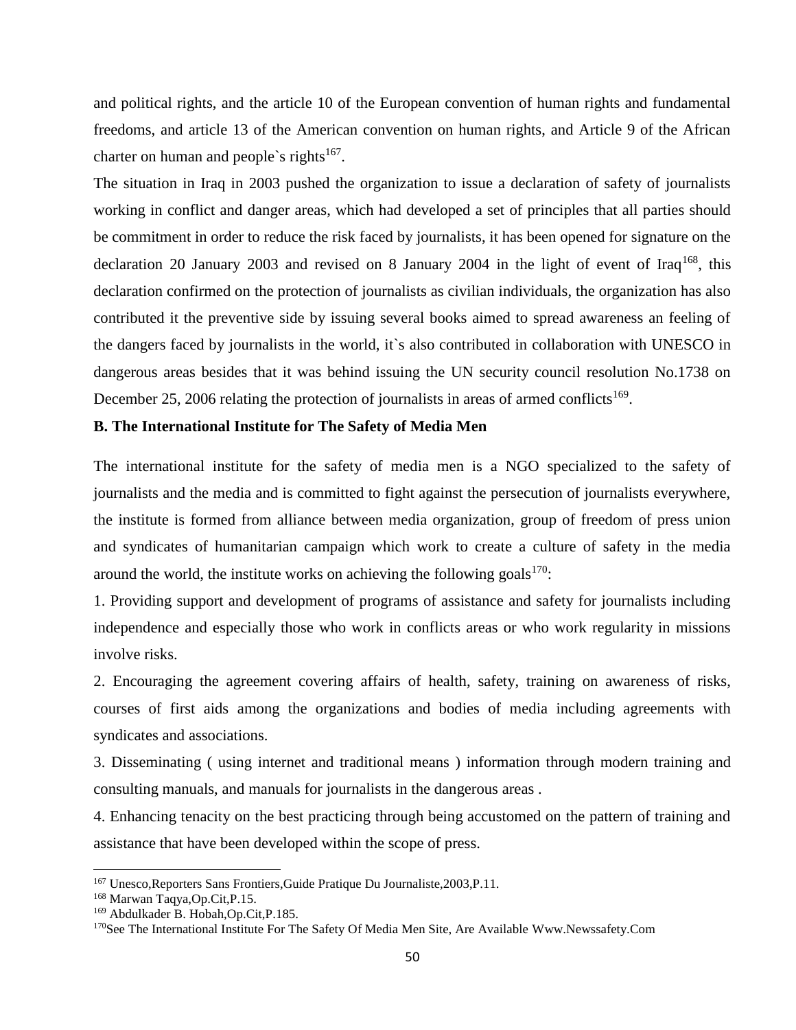and political rights, and the article 10 of the European convention of human rights and fundamental freedoms, and article 13 of the American convention on human rights, and Article 9 of the African charter on human and people's rights<sup>167</sup>.

The situation in Iraq in 2003 pushed the organization to issue a declaration of safety of journalists working in conflict and danger areas, which had developed a set of principles that all parties should be commitment in order to reduce the risk faced by journalists, it has been opened for signature on the declaration 20 January 2003 and revised on 8 January 2004 in the light of event of Iraq<sup>168</sup>, this declaration confirmed on the protection of journalists as civilian individuals, the organization has also contributed it the preventive side by issuing several books aimed to spread awareness an feeling of the dangers faced by journalists in the world, it`s also contributed in collaboration with UNESCO in dangerous areas besides that it was behind issuing the UN security council resolution No.1738 on December 25, 2006 relating the protection of journalists in areas of armed conflicts<sup>169</sup>.

### **B. The International Institute for The Safety of Media Men**

The international institute for the safety of media men is a NGO specialized to the safety of journalists and the media and is committed to fight against the persecution of journalists everywhere, the institute is formed from alliance between media organization, group of freedom of press union and syndicates of humanitarian campaign which work to create a culture of safety in the media around the world, the institute works on achieving the following goals $170$ :

1. Providing support and development of programs of assistance and safety for journalists including independence and especially those who work in conflicts areas or who work regularity in missions involve risks.

2. Encouraging the agreement covering affairs of health, safety, training on awareness of risks, courses of first aids among the organizations and bodies of media including agreements with syndicates and associations.

3. Disseminating ( using internet and traditional means ) information through modern training and consulting manuals, and manuals for journalists in the dangerous areas .

4. Enhancing tenacity on the best practicing through being accustomed on the pattern of training and assistance that have been developed within the scope of press.

<sup>167</sup> Unesco,Reporters Sans Frontiers,Guide Pratique Du Journaliste,2003,P.11.

<sup>168</sup> Marwan Taqya,Op.Cit,P.15.

<sup>169</sup> Abdulkader B. Hobah,Op.Cit,P.185.

<sup>&</sup>lt;sup>170</sup>See The International Institute For The Safety Of Media Men Site, Are Available Www.Newssafety.Com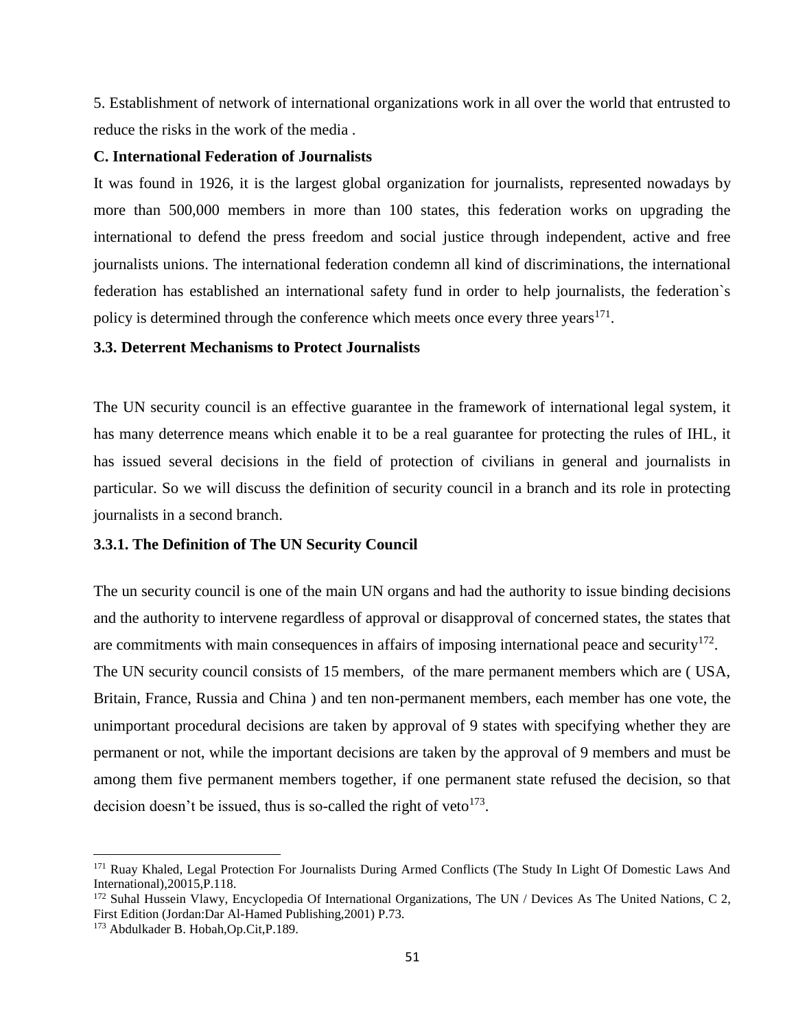5. Establishment of network of international organizations work in all over the world that entrusted to reduce the risks in the work of the media .

### **C. International Federation of Journalists**

It was found in 1926, it is the largest global organization for journalists, represented nowadays by more than 500,000 members in more than 100 states, this federation works on upgrading the international to defend the press freedom and social justice through independent, active and free journalists unions. The international federation condemn all kind of discriminations, the international federation has established an international safety fund in order to help journalists, the federation`s policy is determined through the conference which meets once every three years<sup>171</sup>.

### **3.3. Deterrent Mechanisms to Protect Journalists**

The UN security council is an effective guarantee in the framework of international legal system, it has many deterrence means which enable it to be a real guarantee for protecting the rules of IHL, it has issued several decisions in the field of protection of civilians in general and journalists in particular. So we will discuss the definition of security council in a branch and its role in protecting journalists in a second branch.

#### **3.3.1. The Definition of The UN Security Council**

The un security council is one of the main UN organs and had the authority to issue binding decisions and the authority to intervene regardless of approval or disapproval of concerned states, the states that are commitments with main consequences in affairs of imposing international peace and security<sup>172</sup>. The UN security council consists of 15 members, of the mare permanent members which are ( USA, Britain, France, Russia and China ) and ten non-permanent members, each member has one vote, the unimportant procedural decisions are taken by approval of 9 states with specifying whether they are permanent or not, while the important decisions are taken by the approval of 9 members and must be among them five permanent members together, if one permanent state refused the decision, so that decision doesn't be issued, thus is so-called the right of veto $^{173}$ .

<sup>&</sup>lt;sup>171</sup> Ruay Khaled, Legal Protection For Journalists During Armed Conflicts (The Study In Light Of Domestic Laws And International),20015,P.118.

<sup>172</sup> Suhal Hussein Vlawy, Encyclopedia Of International Organizations, The UN / Devices As The United Nations, C 2, First Edition (Jordan:Dar Al-Hamed Publishing,2001) P.73.

<sup>173</sup> Abdulkader B. Hobah,Op.Cit,P.189.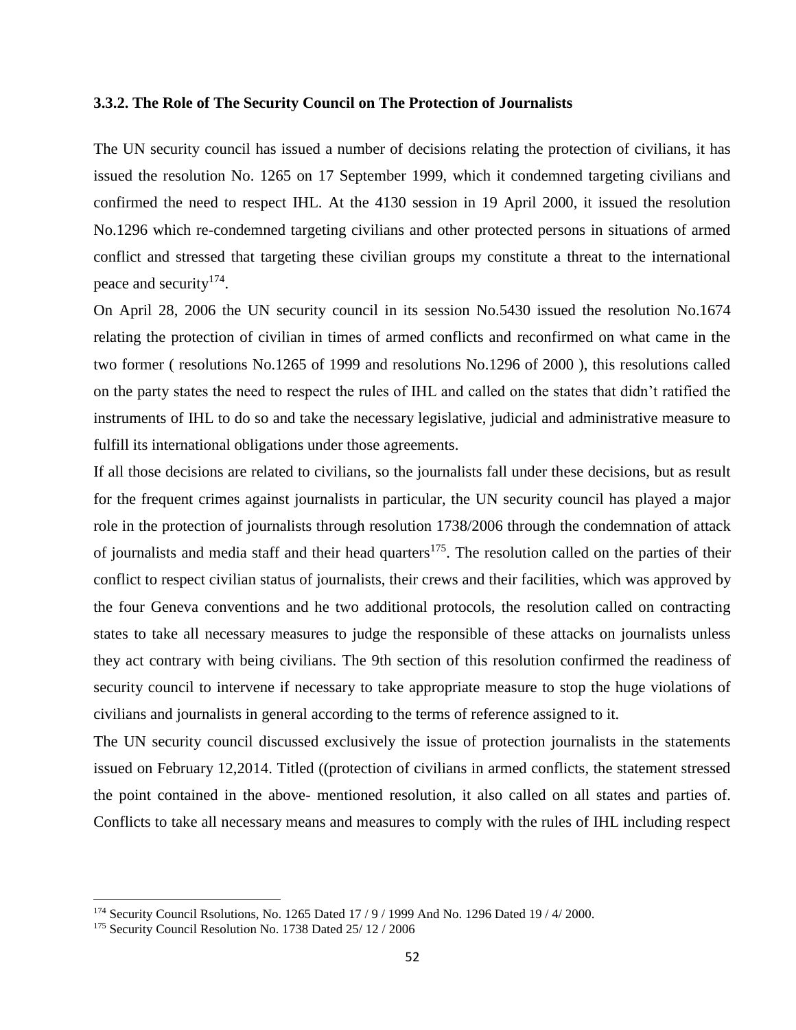### **3.3.2. The Role of The Security Council on The Protection of Journalists**

The UN security council has issued a number of decisions relating the protection of civilians, it has issued the resolution No. 1265 on 17 September 1999, which it condemned targeting civilians and confirmed the need to respect IHL. At the 4130 session in 19 April 2000, it issued the resolution No.1296 which re-condemned targeting civilians and other protected persons in situations of armed conflict and stressed that targeting these civilian groups my constitute a threat to the international peace and security<sup>174</sup>.

On April 28, 2006 the UN security council in its session No.5430 issued the resolution No.1674 relating the protection of civilian in times of armed conflicts and reconfirmed on what came in the two former ( resolutions No.1265 of 1999 and resolutions No.1296 of 2000 ), this resolutions called on the party states the need to respect the rules of IHL and called on the states that didn't ratified the instruments of IHL to do so and take the necessary legislative, judicial and administrative measure to fulfill its international obligations under those agreements.

If all those decisions are related to civilians, so the journalists fall under these decisions, but as result for the frequent crimes against journalists in particular, the UN security council has played a major role in the protection of journalists through resolution 1738/2006 through the condemnation of attack of journalists and media staff and their head quarters<sup>175</sup>. The resolution called on the parties of their conflict to respect civilian status of journalists, their crews and their facilities, which was approved by the four Geneva conventions and he two additional protocols, the resolution called on contracting states to take all necessary measures to judge the responsible of these attacks on journalists unless they act contrary with being civilians. The 9th section of this resolution confirmed the readiness of security council to intervene if necessary to take appropriate measure to stop the huge violations of civilians and journalists in general according to the terms of reference assigned to it.

The UN security council discussed exclusively the issue of protection journalists in the statements issued on February 12,2014. Titled ((protection of civilians in armed conflicts, the statement stressed the point contained in the above- mentioned resolution, it also called on all states and parties of. Conflicts to take all necessary means and measures to comply with the rules of IHL including respect

<sup>174</sup> Security Council Rsolutions, No. 1265 Dated 17 / 9 / 1999 And No. 1296 Dated 19 / 4/ 2000.

<sup>175</sup> Security Council Resolution No. 1738 Dated 25/ 12 / 2006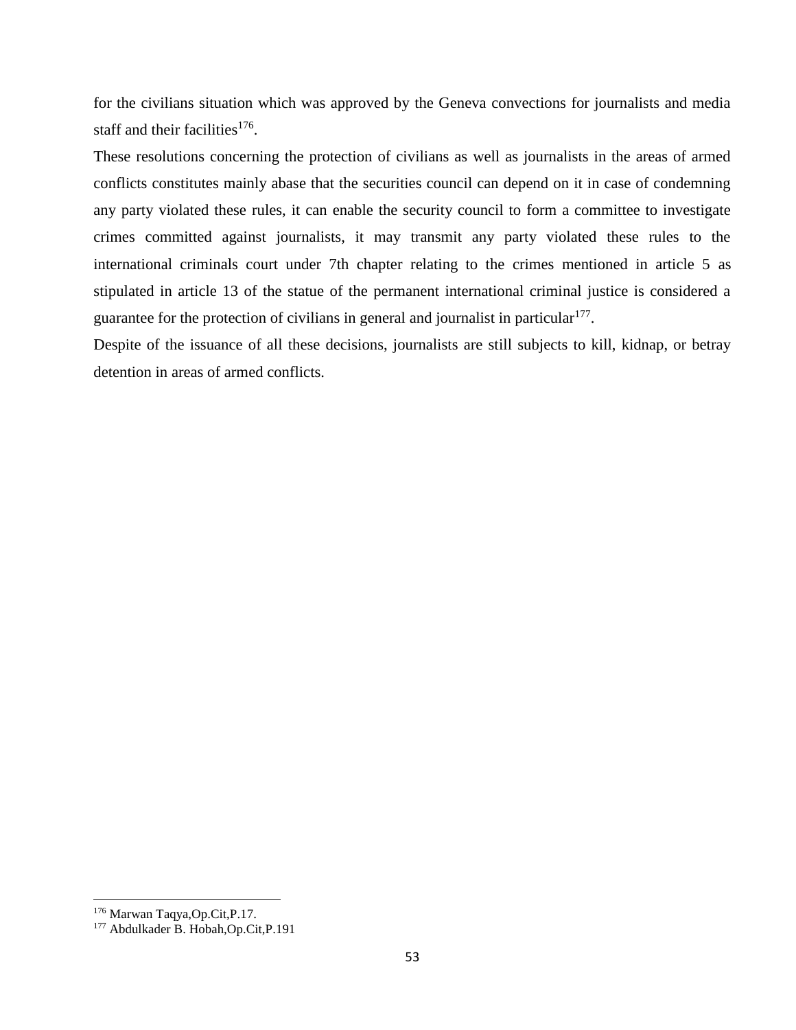for the civilians situation which was approved by the Geneva convections for journalists and media staff and their facilities<sup>176</sup>.

These resolutions concerning the protection of civilians as well as journalists in the areas of armed conflicts constitutes mainly abase that the securities council can depend on it in case of condemning any party violated these rules, it can enable the security council to form a committee to investigate crimes committed against journalists, it may transmit any party violated these rules to the international criminals court under 7th chapter relating to the crimes mentioned in article 5 as stipulated in article 13 of the statue of the permanent international criminal justice is considered a guarantee for the protection of civilians in general and journalist in particular<sup>177</sup>.

Despite of the issuance of all these decisions, journalists are still subjects to kill, kidnap, or betray detention in areas of armed conflicts.

<sup>176</sup> Marwan Taqya,Op.Cit,P.17.

<sup>177</sup> Abdulkader B. Hobah,Op.Cit,P.191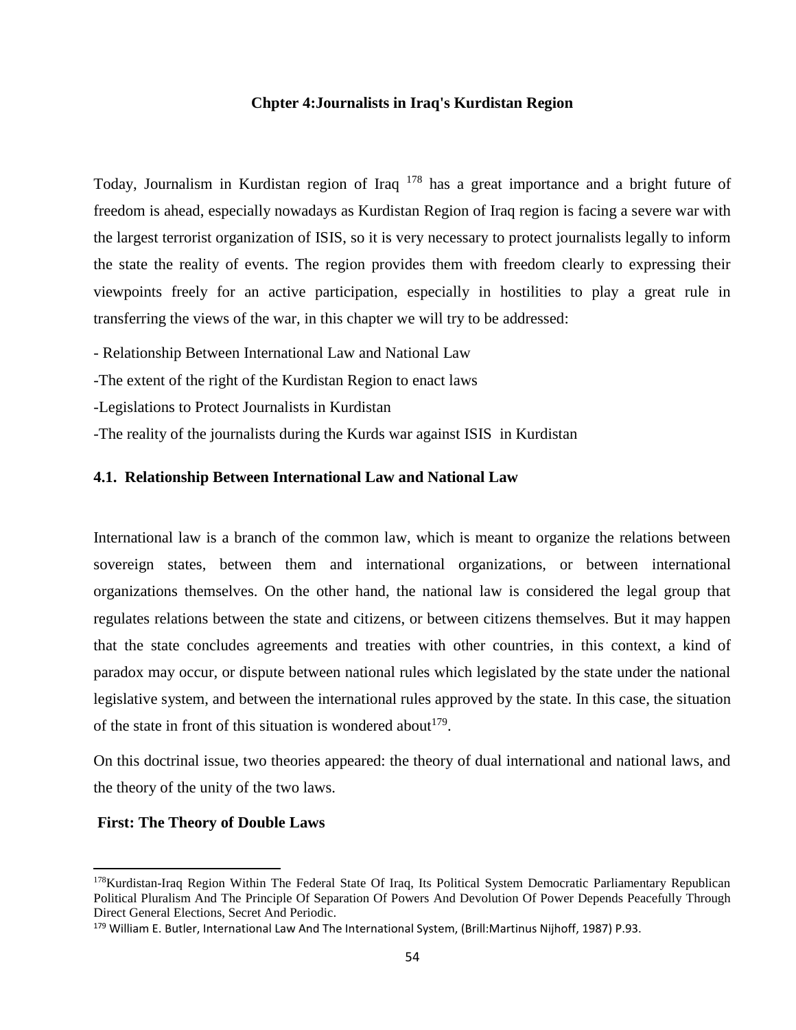### **Chpter 4:Journalists in Iraq's Kurdistan Region**

Today, Journalism in Kurdistan region of Iraq <sup>178</sup> has a great importance and a bright future of freedom is ahead, especially nowadays as Kurdistan Region of Iraq region is facing a severe war with the largest terrorist organization of ISIS, so it is very necessary to protect journalists legally to inform the state the reality of events. The region provides them with freedom clearly to expressing their viewpoints freely for an active participation, especially in hostilities to play a great rule in transferring the views of the war, in this chapter we will try to be addressed:

- Relationship Between International Law and National Law

-The extent of the right of the Kurdistan Region to enact laws

-Legislations to Protect Journalists in Kurdistan

-The reality of the journalists during the Kurds war against ISIS in Kurdistan

### **4.1. Relationship Between International Law and National Law**

International law is a branch of the common law, which is meant to organize the relations between sovereign states, between them and international organizations, or between international organizations themselves. On the other hand, the national law is considered the legal group that regulates relations between the state and citizens, or between citizens themselves. But it may happen that the state concludes agreements and treaties with other countries, in this context, a kind of paradox may occur, or dispute between national rules which legislated by the state under the national legislative system, and between the international rules approved by the state. In this case, the situation of the state in front of this situation is wondered about  $179$ .

On this doctrinal issue, two theories appeared: the theory of dual international and national laws, and the theory of the unity of the two laws.

### **First: The Theory of Double Laws**

<sup>178</sup>Kurdistan-Iraq Region Within The Federal State Of Iraq, Its Political System Democratic Parliamentary Republican Political Pluralism And The Principle Of Separation Of Powers And Devolution Of Power Depends Peacefully Through Direct General Elections, Secret And Periodic.

<sup>179</sup> William E. Butler, International Law And The International System, (Brill:Martinus Nijhoff, 1987) P.93.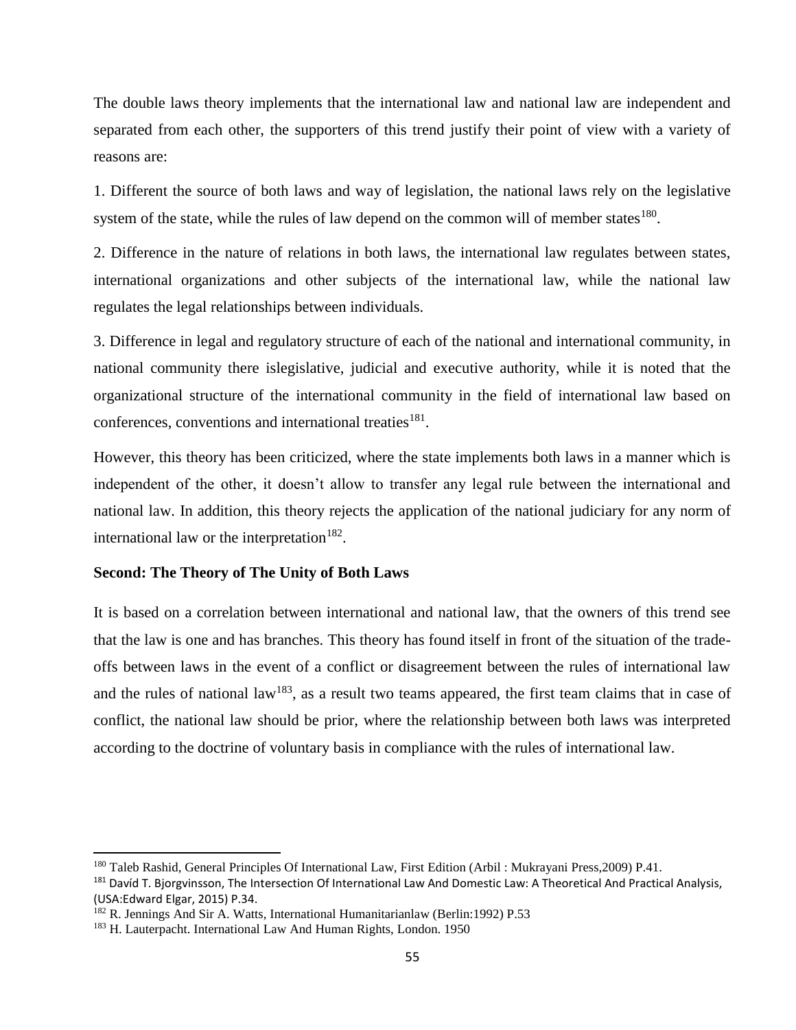The double laws theory implements that the international law and national law are independent and separated from each other, the supporters of this trend justify their point of view with a variety of reasons are:

1. Different the source of both laws and way of legislation, the national laws rely on the legislative system of the state, while the rules of law depend on the common will of member states $180$ .

2. Difference in the nature of relations in both laws, the international law regulates between states, international organizations and other subjects of the international law, while the national law regulates the legal relationships between individuals.

3. Difference in legal and regulatory structure of each of the national and international community, in national community there islegislative, judicial and executive authority, while it is noted that the organizational structure of the international community in the field of international law based on conferences, conventions and international treaties<sup>181</sup>.

However, this theory has been criticized, where the state implements both laws in a manner which is independent of the other, it doesn't allow to transfer any legal rule between the international and national law. In addition, this theory rejects the application of the national judiciary for any norm of international law or the interpretation<sup>182</sup>.

### **Second: The Theory of The Unity of Both Laws**

It is based on a correlation between international and national law, that the owners of this trend see that the law is one and has branches. This theory has found itself in front of the situation of the tradeoffs between laws in the event of a conflict or disagreement between the rules of international law and the rules of national  $law^{183}$ , as a result two teams appeared, the first team claims that in case of conflict, the national law should be prior, where the relationship between both laws was interpreted according to the doctrine of voluntary basis in compliance with the rules of international law.

<sup>180</sup> Taleb Rashid, General Principles Of International Law, First Edition (Arbil : Mukrayani Press,2009) P.41.

<sup>&</sup>lt;sup>181</sup> Davíd T. Bjorgvinsson, The Intersection Of International Law And Domestic Law: A Theoretical And Practical Analysis, (USA:Edward Elgar, 2015) P.34.

<sup>182</sup> R. Jennings And Sir A. Watts, International Humanitarianlaw (Berlin:1992) P.53

<sup>183</sup> H. Lauterpacht. International Law And Human Rights, London. 1950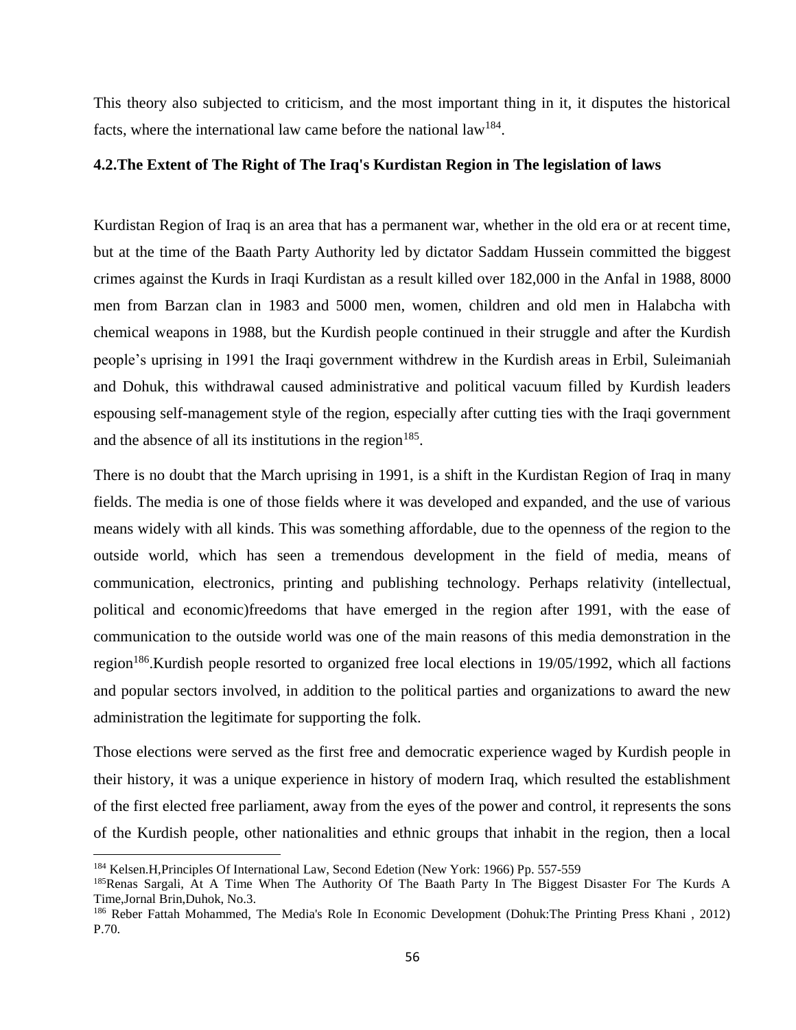This theory also subjected to criticism, and the most important thing in it, it disputes the historical facts, where the international law came before the national law<sup>184</sup>.

### **4.2.The Extent of The Right of The Iraq's Kurdistan Region in The legislation of laws**

Kurdistan Region of Iraq is an area that has a permanent war, whether in the old era or at recent time, but at the time of the Baath Party Authority led by dictator Saddam Hussein committed the biggest crimes against the Kurds in Iraqi Kurdistan as a result killed over 182,000 in the Anfal in 1988, 8000 men from Barzan clan in 1983 and 5000 men, women, children and old men in Halabcha with chemical weapons in 1988, but the Kurdish people continued in their struggle and after the Kurdish people's uprising in 1991 the Iraqi government withdrew in the Kurdish areas in Erbil, Suleimaniah and Dohuk, this withdrawal caused administrative and political vacuum filled by Kurdish leaders espousing self-management style of the region, especially after cutting ties with the Iraqi government and the absence of all its institutions in the region<sup>185</sup>.

There is no doubt that the March uprising in 1991, is a shift in the Kurdistan Region of Iraq in many fields. The media is one of those fields where it was developed and expanded, and the use of various means widely with all kinds. This was something affordable, due to the openness of the region to the outside world, which has seen a tremendous development in the field of media, means of communication, electronics, printing and publishing technology. Perhaps relativity (intellectual, political and economic)freedoms that have emerged in the region after 1991, with the ease of communication to the outside world was one of the main reasons of this media demonstration in the region<sup>186</sup>.Kurdish people resorted to organized free local elections in 19/05/1992, which all factions and popular sectors involved, in addition to the political parties and organizations to award the new administration the legitimate for supporting the folk.

Those elections were served as the first free and democratic experience waged by Kurdish people in their history, it was a unique experience in history of modern Iraq, which resulted the establishment of the first elected free parliament, away from the eyes of the power and control, it represents the sons of the Kurdish people, other nationalities and ethnic groups that inhabit in the region, then a local

<sup>184</sup> Kelsen.H,Principles Of International Law, Second Edetion (New York: 1966) Pp. 557-559

<sup>&</sup>lt;sup>185</sup>Renas Sargali, At A Time When The Authority Of The Baath Party In The Biggest Disaster For The Kurds A Time,Jornal Brin,Duhok, No.3.

<sup>186</sup> Reber Fattah Mohammed, The Media's Role In Economic Development (Dohuk:The Printing Press Khani , 2012) P.70.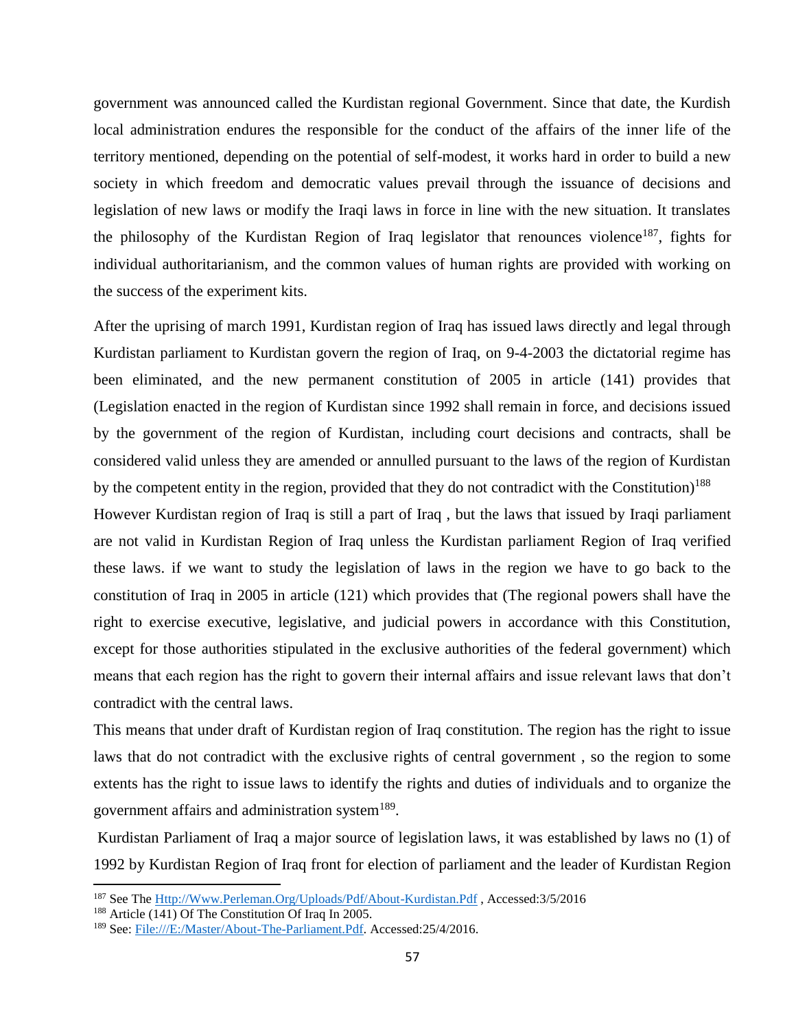government was announced called the Kurdistan regional Government. Since that date, the Kurdish local administration endures the responsible for the conduct of the affairs of the inner life of the territory mentioned, depending on the potential of self-modest, it works hard in order to build a new society in which freedom and democratic values prevail through the issuance of decisions and legislation of new laws or modify the Iraqi laws in force in line with the new situation. It translates the philosophy of the Kurdistan Region of Iraq legislator that renounces violence<sup>187</sup>, fights for individual authoritarianism, and the common values of human rights are provided with working on the success of the experiment kits.

After the uprising of march 1991, Kurdistan region of Iraq has issued laws directly and legal through Kurdistan parliament to Kurdistan govern the region of Iraq, on 9-4-2003 the dictatorial regime has been eliminated, and the new permanent constitution of 2005 in article (141) provides that (Legislation enacted in the region of Kurdistan since 1992 shall remain in force, and decisions issued by the government of the region of Kurdistan, including court decisions and contracts, shall be considered valid unless they are amended or annulled pursuant to the laws of the region of Kurdistan by the competent entity in the region, provided that they do not contradict with the Constitution)<sup>188</sup>

However Kurdistan region of Iraq is still a part of Iraq , but the laws that issued by Iraqi parliament are not valid in Kurdistan Region of Iraq unless the Kurdistan parliament Region of Iraq verified these laws. if we want to study the legislation of laws in the region we have to go back to the constitution of Iraq in 2005 in article (121) which provides that (The regional powers shall have the right to exercise executive, legislative, and judicial powers in accordance with this Constitution, except for those authorities stipulated in the exclusive authorities of the federal government) which means that each region has the right to govern their internal affairs and issue relevant laws that don't contradict with the central laws.

This means that under draft of Kurdistan region of Iraq constitution. The region has the right to issue laws that do not contradict with the exclusive rights of central government , so the region to some extents has the right to issue laws to identify the rights and duties of individuals and to organize the government affairs and administration system $^{189}$ .

Kurdistan Parliament of Iraq a major source of legislation laws, it was established by laws no (1) of 1992 by Kurdistan Region of Iraq front for election of parliament and the leader of Kurdistan Region

<sup>187</sup> See The [Http://Www.Perleman.Org/Uploads/Pdf/About-Kurdistan.Pdf](http://www.perleman.org/uploads/pdf/About-Kurdistan.pdf) , Accessed:3/5/2016

<sup>188</sup> Article (141) Of The Constitution Of Iraq In 2005.

<sup>189</sup> See: [File:///E:/Master/About-The-Parliament.Pdf.](file:///E:/master/About-the-Parliament.pdf) Accessed:25/4/2016.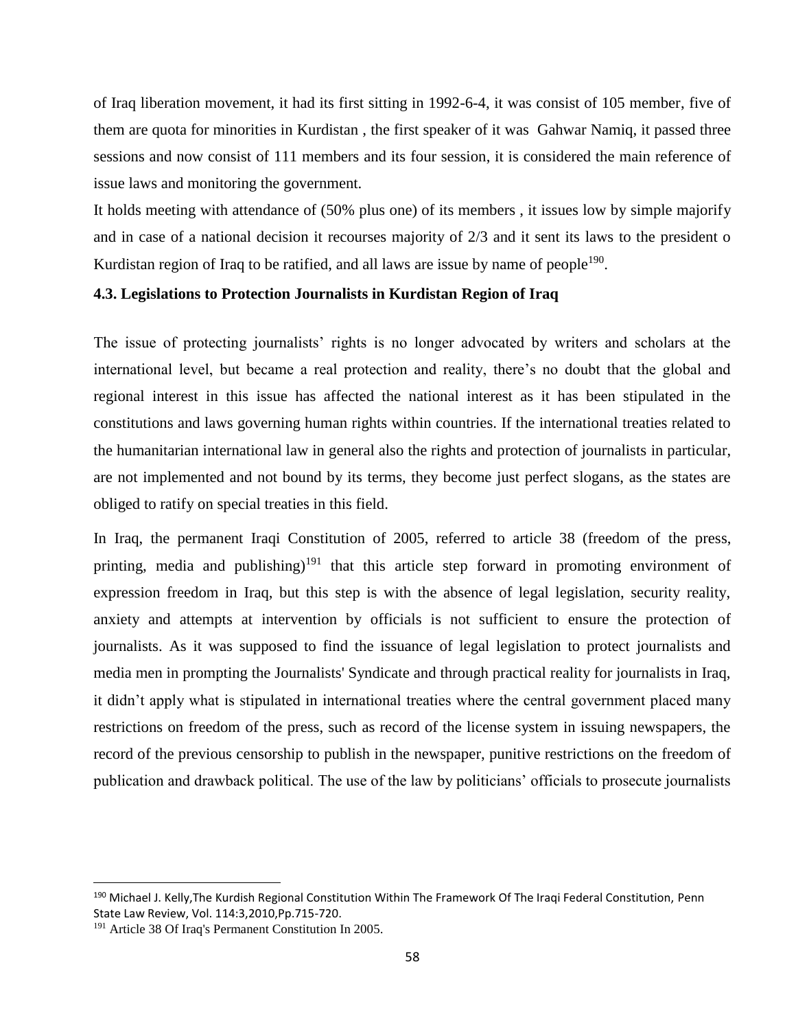of Iraq liberation movement, it had its first sitting in 1992-6-4, it was consist of 105 member, five of them are quota for minorities in Kurdistan , the first speaker of it was Gahwar Namiq, it passed three sessions and now consist of 111 members and its four session, it is considered the main reference of issue laws and monitoring the government.

It holds meeting with attendance of (50% plus one) of its members , it issues low by simple majorify and in case of a national decision it recourses majority of 2/3 and it sent its laws to the president o Kurdistan region of Iraq to be ratified, and all laws are issue by name of people<sup>190</sup>.

## **4.3. Legislations to Protection Journalists in Kurdistan Region of Iraq**

The issue of protecting journalists' rights is no longer advocated by writers and scholars at the international level, but became a real protection and reality, there's no doubt that the global and regional interest in this issue has affected the national interest as it has been stipulated in the constitutions and laws governing human rights within countries. If the international treaties related to the humanitarian international law in general also the rights and protection of journalists in particular, are not implemented and not bound by its terms, they become just perfect slogans, as the states are obliged to ratify on special treaties in this field.

In Iraq, the permanent Iraqi Constitution of 2005, referred to article 38 (freedom of the press, printing, media and publishing)<sup>191</sup> that this article step forward in promoting environment of expression freedom in Iraq, but this step is with the absence of legal legislation, security reality, anxiety and attempts at intervention by officials is not sufficient to ensure the protection of journalists. As it was supposed to find the issuance of legal legislation to protect journalists and media men in prompting the Journalists' Syndicate and through practical reality for journalists in Iraq, it didn't apply what is stipulated in international treaties where the central government placed many restrictions on freedom of the press, such as record of the license system in issuing newspapers, the record of the previous censorship to publish in the newspaper, punitive restrictions on the freedom of publication and drawback political. The use of the law by politicians' officials to prosecute journalists

<sup>&</sup>lt;sup>190</sup> Michael J. Kelly, The Kurdish Regional Constitution Within The Framework Of The Iraqi Federal Constitution, Penn State Law Review, Vol. 114:3,2010,Pp.715-720.

<sup>191</sup> Article 38 Of Iraq's Permanent Constitution In 2005.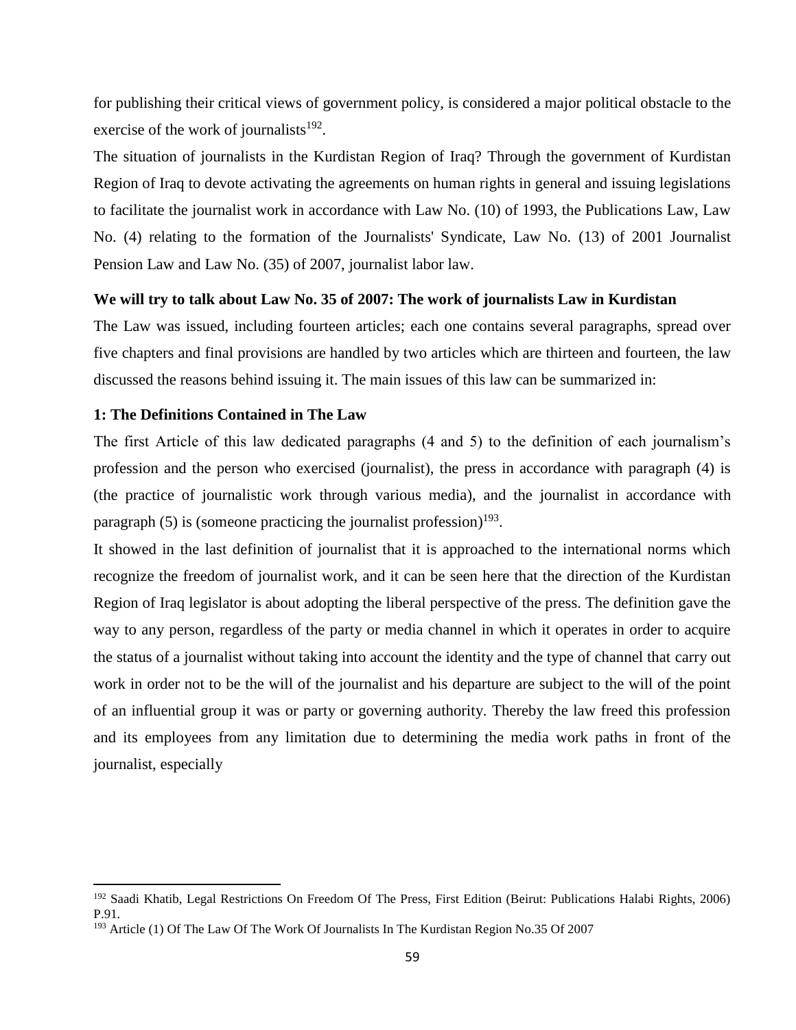for publishing their critical views of government policy, is considered a major political obstacle to the exercise of the work of journalists $192$ .

The situation of journalists in the Kurdistan Region of Iraq? Through the government of Kurdistan Region of Iraq to devote activating the agreements on human rights in general and issuing legislations to facilitate the journalist work in accordance with Law No. (10) of 1993, the Publications Law, Law No. (4) relating to the formation of the Journalists' Syndicate, Law No. (13) of 2001 Journalist Pension Law and Law No. (35) of 2007, journalist labor law.

### **We will try to talk about Law No. 35 of 2007: The work of journalists Law in Kurdistan**

The Law was issued, including fourteen articles; each one contains several paragraphs, spread over five chapters and final provisions are handled by two articles which are thirteen and fourteen, the law discussed the reasons behind issuing it. The main issues of this law can be summarized in:

### **1: The Definitions Contained in The Law**

 $\overline{\phantom{a}}$ 

The first Article of this law dedicated paragraphs (4 and 5) to the definition of each journalism's profession and the person who exercised (journalist), the press in accordance with paragraph (4) is (the practice of journalistic work through various media), and the journalist in accordance with paragraph  $(5)$  is (someone practicing the journalist profession)<sup>193</sup>.

It showed in the last definition of journalist that it is approached to the international norms which recognize the freedom of journalist work, and it can be seen here that the direction of the Kurdistan Region of Iraq legislator is about adopting the liberal perspective of the press. The definition gave the way to any person, regardless of the party or media channel in which it operates in order to acquire the status of a journalist without taking into account the identity and the type of channel that carry out work in order not to be the will of the journalist and his departure are subject to the will of the point of an influential group it was or party or governing authority. Thereby the law freed this profession and its employees from any limitation due to determining the media work paths in front of the journalist, especially

<sup>&</sup>lt;sup>192</sup> Saadi Khatib, Legal Restrictions On Freedom Of The Press, First Edition (Beirut: Publications Halabi Rights, 2006) P.91.

<sup>193</sup> Article (1) Of The Law Of The Work Of Journalists In The Kurdistan Region No.35 Of 2007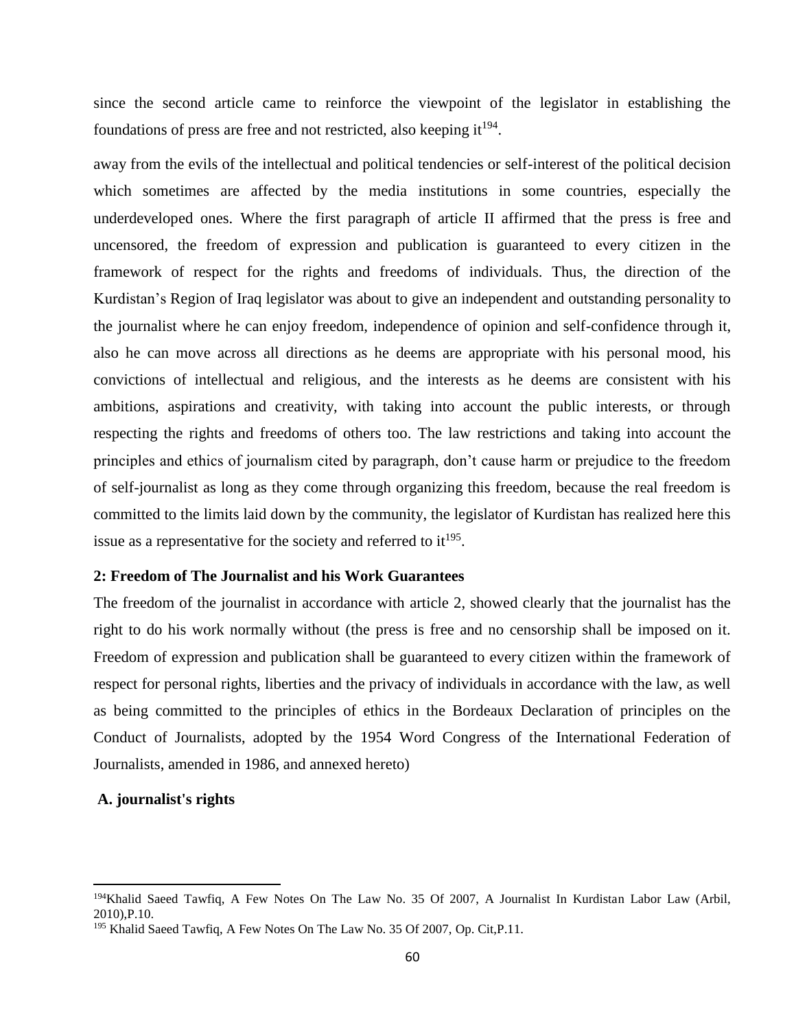since the second article came to reinforce the viewpoint of the legislator in establishing the foundations of press are free and not restricted, also keeping it $^{194}$ .

away from the evils of the intellectual and political tendencies or self-interest of the political decision which sometimes are affected by the media institutions in some countries, especially the underdeveloped ones. Where the first paragraph of article II affirmed that the press is free and uncensored, the freedom of expression and publication is guaranteed to every citizen in the framework of respect for the rights and freedoms of individuals. Thus, the direction of the Kurdistan's Region of Iraq legislator was about to give an independent and outstanding personality to the journalist where he can enjoy freedom, independence of opinion and self-confidence through it, also he can move across all directions as he deems are appropriate with his personal mood, his convictions of intellectual and religious, and the interests as he deems are consistent with his ambitions, aspirations and creativity, with taking into account the public interests, or through respecting the rights and freedoms of others too. The law restrictions and taking into account the principles and ethics of journalism cited by paragraph, don't cause harm or prejudice to the freedom of self-journalist as long as they come through organizing this freedom, because the real freedom is committed to the limits laid down by the community, the legislator of Kurdistan has realized here this issue as a representative for the society and referred to  $it^{195}$ .

### **2: Freedom of The Journalist and his Work Guarantees**

The freedom of the journalist in accordance with article 2, showed clearly that the journalist has the right to do his work normally without (the press is free and no censorship shall be imposed on it. Freedom of expression and publication shall be guaranteed to every citizen within the framework of respect for personal rights, liberties and the privacy of individuals in accordance with the law, as well as being committed to the principles of ethics in the Bordeaux Declaration of principles on the Conduct of Journalists, adopted by the 1954 Word Congress of the International Federation of Journalists, amended in 1986, and annexed hereto)

#### **A. journalist's rights**

<sup>&</sup>lt;sup>194</sup>Khalid Saeed Tawfiq, A Few Notes On The Law No. 35 Of 2007, A Journalist In Kurdistan Labor Law (Arbil, 2010),P.10.

<sup>&</sup>lt;sup>195</sup> Khalid Saeed Tawfiq, A Few Notes On The Law No. 35 Of 2007, Op. Cit, P.11.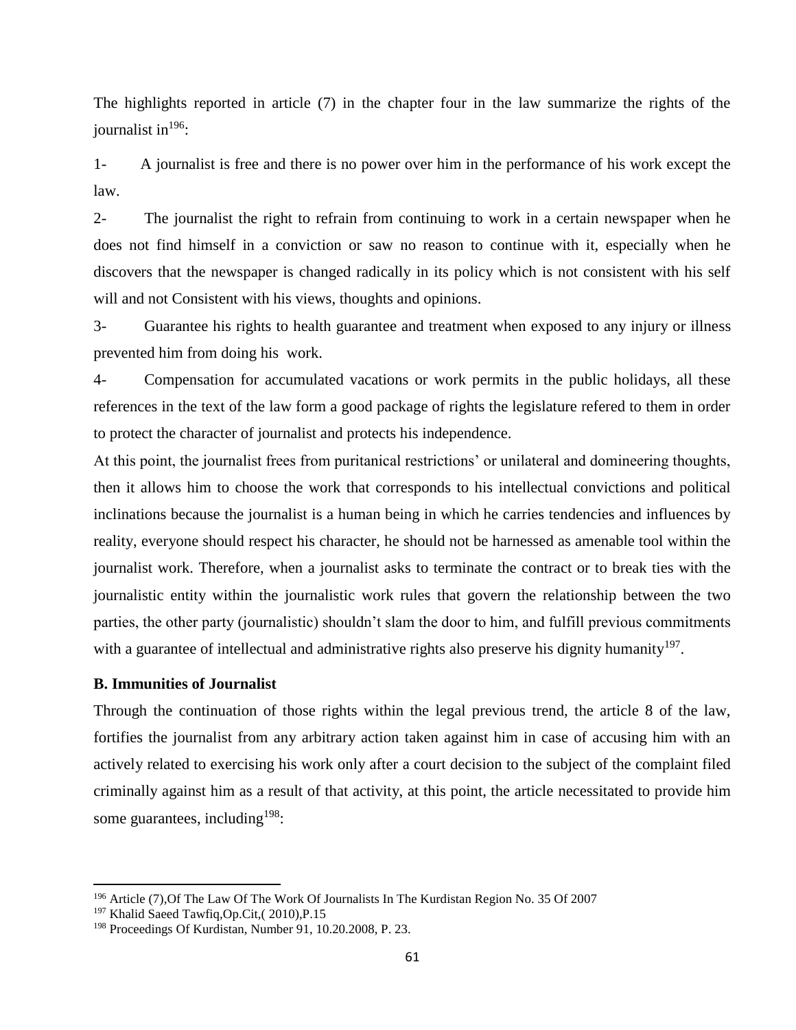The highlights reported in article (7) in the chapter four in the law summarize the rights of the journalist in  $196$ :

1- A journalist is free and there is no power over him in the performance of his work except the law.

2- The journalist the right to refrain from continuing to work in a certain newspaper when he does not find himself in a conviction or saw no reason to continue with it, especially when he discovers that the newspaper is changed radically in its policy which is not consistent with his self will and not Consistent with his views, thoughts and opinions.

3- Guarantee his rights to health guarantee and treatment when exposed to any injury or illness prevented him from doing his work.

4- Compensation for accumulated vacations or work permits in the public holidays, all these references in the text of the law form a good package of rights the legislature refered to them in order to protect the character of journalist and protects his independence.

At this point, the journalist frees from puritanical restrictions' or unilateral and domineering thoughts, then it allows him to choose the work that corresponds to his intellectual convictions and political inclinations because the journalist is a human being in which he carries tendencies and influences by reality, everyone should respect his character, he should not be harnessed as amenable tool within the journalist work. Therefore, when a journalist asks to terminate the contract or to break ties with the journalistic entity within the journalistic work rules that govern the relationship between the two parties, the other party (journalistic) shouldn't slam the door to him, and fulfill previous commitments with a guarantee of intellectual and administrative rights also preserve his dignity humanity<sup>197</sup>.

### **B. Immunities of Journalist**

Through the continuation of those rights within the legal previous trend, the article 8 of the law, fortifies the journalist from any arbitrary action taken against him in case of accusing him with an actively related to exercising his work only after a court decision to the subject of the complaint filed criminally against him as a result of that activity, at this point, the article necessitated to provide him some guarantees, including  $198$ :

<sup>196</sup> Article (7),Of The Law Of The Work Of Journalists In The Kurdistan Region No. 35 Of 2007

<sup>197</sup> Khalid Saeed Tawfiq,Op.Cit,( 2010),P.15

<sup>198</sup> Proceedings Of Kurdistan, Number 91, 10.20.2008, P. 23.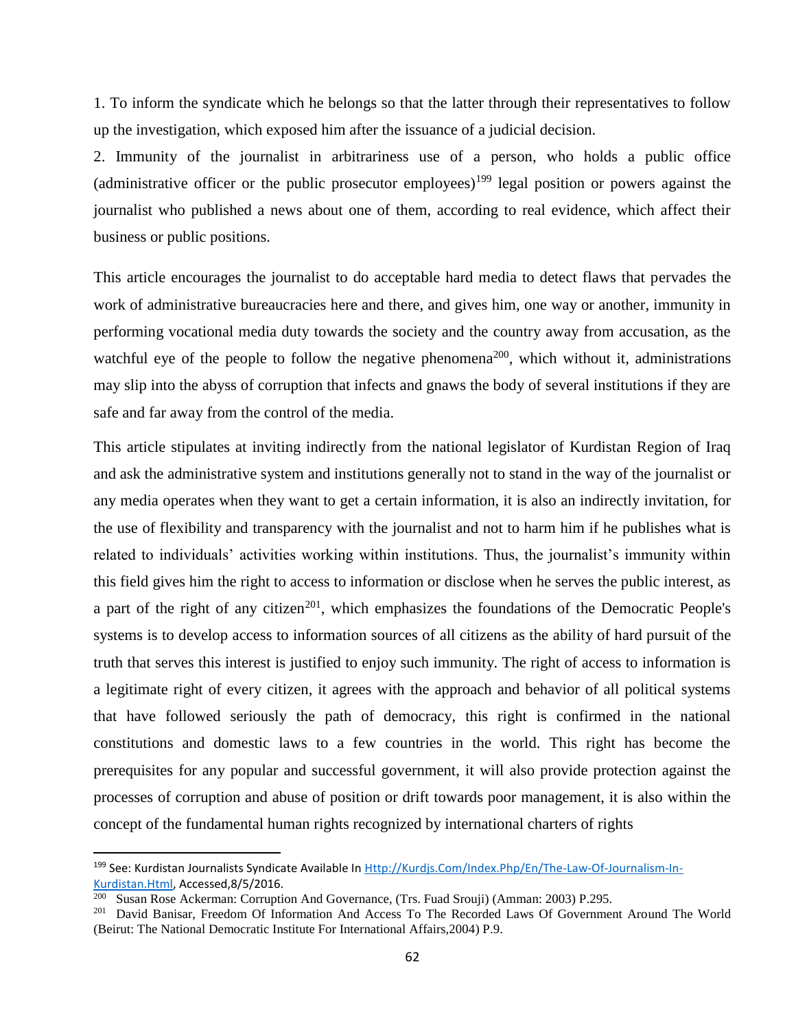1. To inform the syndicate which he belongs so that the latter through their representatives to follow up the investigation, which exposed him after the issuance of a judicial decision.

2. Immunity of the journalist in arbitrariness use of a person, who holds a public office (administrative officer or the public prosecutor employees)<sup>199</sup> legal position or powers against the journalist who published a news about one of them, according to real evidence, which affect their business or public positions.

This article encourages the journalist to do acceptable hard media to detect flaws that pervades the work of administrative bureaucracies here and there, and gives him, one way or another, immunity in performing vocational media duty towards the society and the country away from accusation, as the watchful eye of the people to follow the negative phenomena<sup>200</sup>, which without it, administrations may slip into the abyss of corruption that infects and gnaws the body of several institutions if they are safe and far away from the control of the media.

This article stipulates at inviting indirectly from the national legislator of Kurdistan Region of Iraq and ask the administrative system and institutions generally not to stand in the way of the journalist or any media operates when they want to get a certain information, it is also an indirectly invitation, for the use of flexibility and transparency with the journalist and not to harm him if he publishes what is related to individuals' activities working within institutions. Thus, the journalist's immunity within this field gives him the right to access to information or disclose when he serves the public interest, as a part of the right of any citizen<sup>201</sup>, which emphasizes the foundations of the Democratic People's systems is to develop access to information sources of all citizens as the ability of hard pursuit of the truth that serves this interest is justified to enjoy such immunity. The right of access to information is a legitimate right of every citizen, it agrees with the approach and behavior of all political systems that have followed seriously the path of democracy, this right is confirmed in the national constitutions and domestic laws to a few countries in the world. This right has become the prerequisites for any popular and successful government, it will also provide protection against the processes of corruption and abuse of position or drift towards poor management, it is also within the concept of the fundamental human rights recognized by international charters of rights

<sup>199</sup> See: Kurdistan Journalists Syndicate Available In [Http://Kurdjs.Com/Index.Php/En/The-Law-Of-Journalism-In-](http://kurdjs.com/index.php/en/the-law-of-journalism-in-kurdistan.html)[Kurdistan.Html,](http://kurdjs.com/index.php/en/the-law-of-journalism-in-kurdistan.html) Accessed,8/5/2016.

<sup>&</sup>lt;sup>200</sup> Susan Rose Ackerman: Corruption And Governance, (Trs. Fuad Srouji) (Amman: 2003) P.295.

<sup>&</sup>lt;sup>201</sup> David Banisar, Freedom Of Information And Access To The Recorded Laws Of Government Around The World (Beirut: The National Democratic Institute For International Affairs,2004) P.9.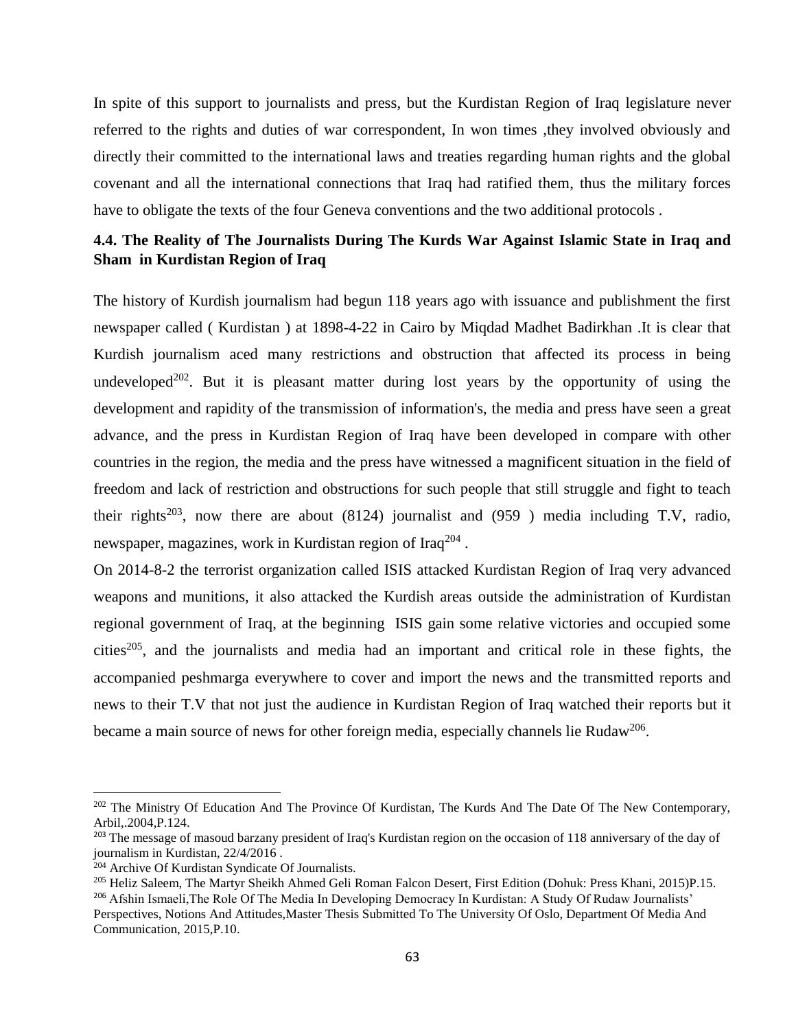In spite of this support to journalists and press, but the Kurdistan Region of Iraq legislature never referred to the rights and duties of war correspondent, In won times ,they involved obviously and directly their committed to the international laws and treaties regarding human rights and the global covenant and all the international connections that Iraq had ratified them, thus the military forces have to obligate the texts of the four Geneva conventions and the two additional protocols .

# **4.4. The Reality of The Journalists During The Kurds War Against Islamic State in Iraq and Sham in Kurdistan Region of Iraq**

The history of Kurdish journalism had begun 118 years ago with issuance and publishment the first newspaper called ( Kurdistan ) at 1898-4-22 in Cairo by Miqdad Madhet Badirkhan .It is clear that Kurdish journalism aced many restrictions and obstruction that affected its process in being undeveloped<sup>202</sup>. But it is pleasant matter during lost years by the opportunity of using the development and rapidity of the transmission of information's, the media and press have seen a great advance, and the press in Kurdistan Region of Iraq have been developed in compare with other countries in the region, the media and the press have witnessed a magnificent situation in the field of freedom and lack of restriction and obstructions for such people that still struggle and fight to teach their rights<sup>203</sup>, now there are about (8124) journalist and (959) media including T.V, radio, newspaper, magazines, work in Kurdistan region of Iraq<sup>204</sup>.

On 2014-8-2 the terrorist organization called ISIS attacked Kurdistan Region of Iraq very advanced weapons and munitions, it also attacked the Kurdish areas outside the administration of Kurdistan regional government of Iraq, at the beginning ISIS gain some relative victories and occupied some cities<sup>205</sup>, and the journalists and media had an important and critical role in these fights, the accompanied peshmarga everywhere to cover and import the news and the transmitted reports and news to their T.V that not just the audience in Kurdistan Region of Iraq watched their reports but it became a main source of news for other foreign media, especially channels lie Rudaw<sup>206</sup>.

<sup>&</sup>lt;sup>202</sup> The Ministry Of Education And The Province Of Kurdistan, The Kurds And The Date Of The New Contemporary, Arbil,.2004,P.124.

<sup>&</sup>lt;sup>203</sup> The message of masoud barzany president of Iraq's Kurdistan region on the occasion of 118 anniversary of the day of journalism in Kurdistan, 22/4/2016 .

<sup>204</sup> Archive Of Kurdistan Syndicate Of Journalists.

<sup>&</sup>lt;sup>205</sup> Heliz Saleem, The Martyr Sheikh Ahmed Geli Roman Falcon Desert, First Edition (Dohuk: Press Khani, 2015)P.15.

<sup>206</sup> Afshin Ismaeli,The Role Of The Media In Developing Democracy In Kurdistan: A Study Of Rudaw Journalists' Perspectives, Notions And Attitudes,Master Thesis Submitted To The University Of Oslo, Department Of Media And Communication, 2015,P.10.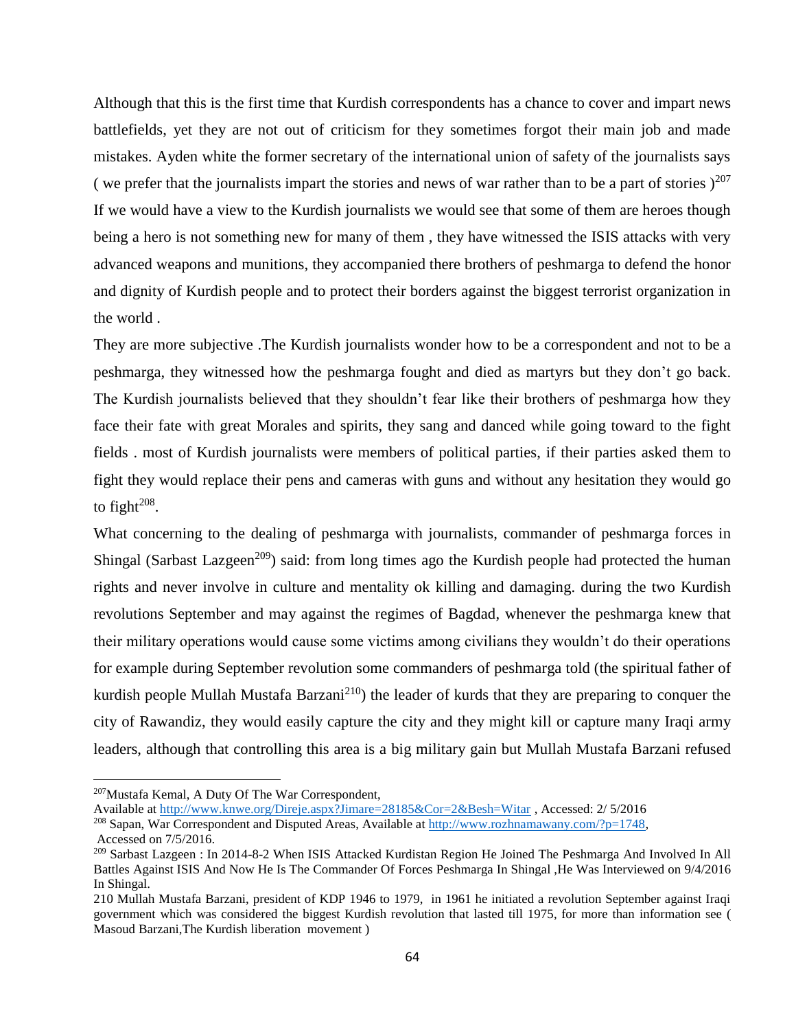Although that this is the first time that Kurdish correspondents has a chance to cover and impart news battlefields, yet they are not out of criticism for they sometimes forgot their main job and made mistakes. Ayden white the former secretary of the international union of safety of the journalists says ( we prefer that the journalists impart the stories and news of war rather than to be a part of stories  $)^{207}$ If we would have a view to the Kurdish journalists we would see that some of them are heroes though being a hero is not something new for many of them , they have witnessed the ISIS attacks with very advanced weapons and munitions, they accompanied there brothers of peshmarga to defend the honor and dignity of Kurdish people and to protect their borders against the biggest terrorist organization in the world .

They are more subjective .The Kurdish journalists wonder how to be a correspondent and not to be a peshmarga, they witnessed how the peshmarga fought and died as martyrs but they don't go back. The Kurdish journalists believed that they shouldn't fear like their brothers of peshmarga how they face their fate with great Morales and spirits, they sang and danced while going toward to the fight fields . most of Kurdish journalists were members of political parties, if their parties asked them to fight they would replace their pens and cameras with guns and without any hesitation they would go to fight $^{208}$ .

What concerning to the dealing of peshmarga with journalists, commander of peshmarga forces in Shingal (Sarbast Lazgeen<sup>209</sup>) said: from long times ago the Kurdish people had protected the human rights and never involve in culture and mentality ok killing and damaging. during the two Kurdish revolutions September and may against the regimes of Bagdad, whenever the peshmarga knew that their military operations would cause some victims among civilians they wouldn't do their operations for example during September revolution some commanders of peshmarga told (the spiritual father of kurdish people Mullah Mustafa Barzani<sup>210</sup>) the leader of kurds that they are preparing to conquer the city of Rawandiz, they would easily capture the city and they might kill or capture many Iraqi army leaders, although that controlling this area is a big military gain but Mullah Mustafa Barzani refused

 $\overline{\phantom{a}}$ 

<sup>207</sup>Mustafa Kemal, A Duty Of The War Correspondent,

Available at<http://www.knwe.org/Direje.aspx?Jimare=28185&Cor=2&Besh=Witar> , Accessed: 2/ 5/2016

<sup>208</sup> Sapan, War Correspondent and Disputed Areas, Available at [http://www.rozhnamawany.com/?p=1748,](http://www.rozhnamawany.com/?p=1748) Accessed on 7/5/2016.

<sup>209</sup> Sarbast Lazgeen : In 2014-8-2 When ISIS Attacked Kurdistan Region He Joined The Peshmarga And Involved In All Battles Against ISIS And Now He Is The Commander Of Forces Peshmarga In Shingal ,He Was Interviewed on 9/4/2016 In Shingal.

<sup>210</sup> Mullah Mustafa Barzani, president of KDP 1946 to 1979, in 1961 he initiated a revolution September against Iraqi government which was considered the biggest Kurdish revolution that lasted till 1975, for more than information see ( Masoud Barzani,The Kurdish liberation movement )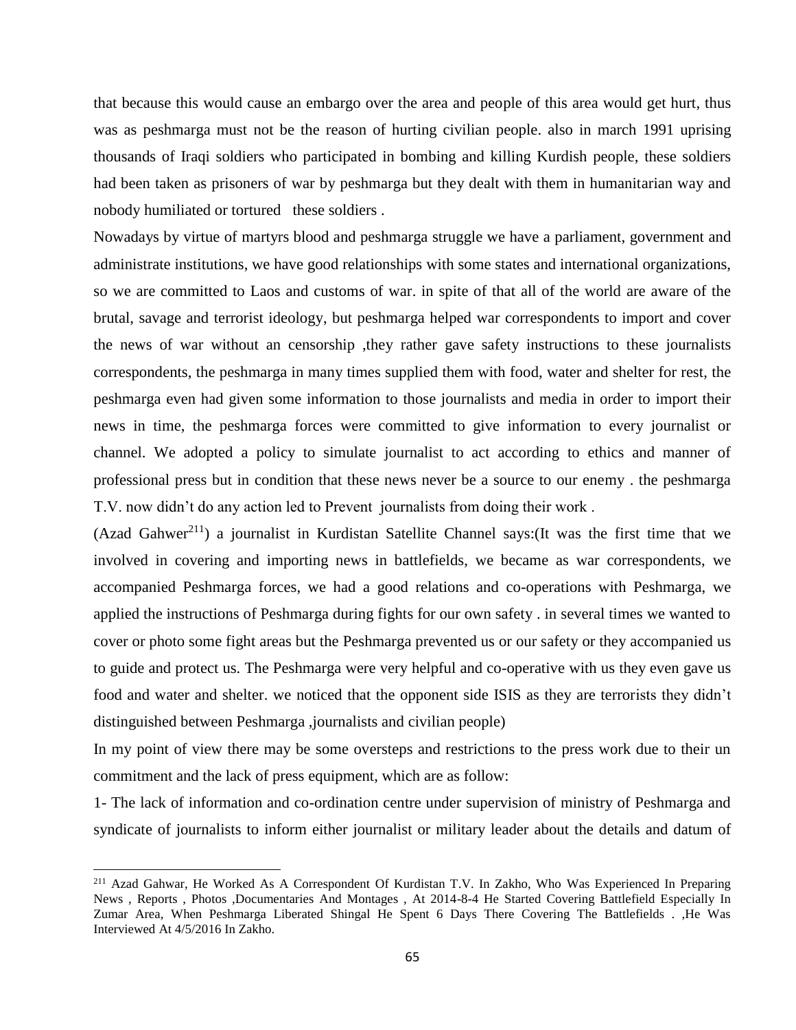that because this would cause an embargo over the area and people of this area would get hurt, thus was as peshmarga must not be the reason of hurting civilian people. also in march 1991 uprising thousands of Iraqi soldiers who participated in bombing and killing Kurdish people, these soldiers had been taken as prisoners of war by peshmarga but they dealt with them in humanitarian way and nobody humiliated or tortured these soldiers .

Nowadays by virtue of martyrs blood and peshmarga struggle we have a parliament, government and administrate institutions, we have good relationships with some states and international organizations, so we are committed to Laos and customs of war. in spite of that all of the world are aware of the brutal, savage and terrorist ideology, but peshmarga helped war correspondents to import and cover the news of war without an censorship ,they rather gave safety instructions to these journalists correspondents, the peshmarga in many times supplied them with food, water and shelter for rest, the peshmarga even had given some information to those journalists and media in order to import their news in time, the peshmarga forces were committed to give information to every journalist or channel. We adopted a policy to simulate journalist to act according to ethics and manner of professional press but in condition that these news never be a source to our enemy . the peshmarga T.V. now didn't do any action led to Prevent journalists from doing their work .

(Azad Gahwer<sup>211</sup>) a journalist in Kurdistan Satellite Channel says: (It was the first time that we involved in covering and importing news in battlefields, we became as war correspondents, we accompanied Peshmarga forces, we had a good relations and co-operations with Peshmarga, we applied the instructions of Peshmarga during fights for our own safety . in several times we wanted to cover or photo some fight areas but the Peshmarga prevented us or our safety or they accompanied us to guide and protect us. The Peshmarga were very helpful and co-operative with us they even gave us food and water and shelter. we noticed that the opponent side ISIS as they are terrorists they didn't distinguished between Peshmarga ,journalists and civilian people)

In my point of view there may be some oversteps and restrictions to the press work due to their un commitment and the lack of press equipment, which are as follow:

1- The lack of information and co-ordination centre under supervision of ministry of Peshmarga and syndicate of journalists to inform either journalist or military leader about the details and datum of

 $\overline{\phantom{a}}$ 

<sup>211</sup> Azad Gahwar, He Worked As A Correspondent Of Kurdistan T.V. In Zakho, Who Was Experienced In Preparing News , Reports , Photos ,Documentaries And Montages , At 2014-8-4 He Started Covering Battlefield Especially In Zumar Area, When Peshmarga Liberated Shingal He Spent 6 Days There Covering The Battlefields . ,He Was Interviewed At 4/5/2016 In Zakho.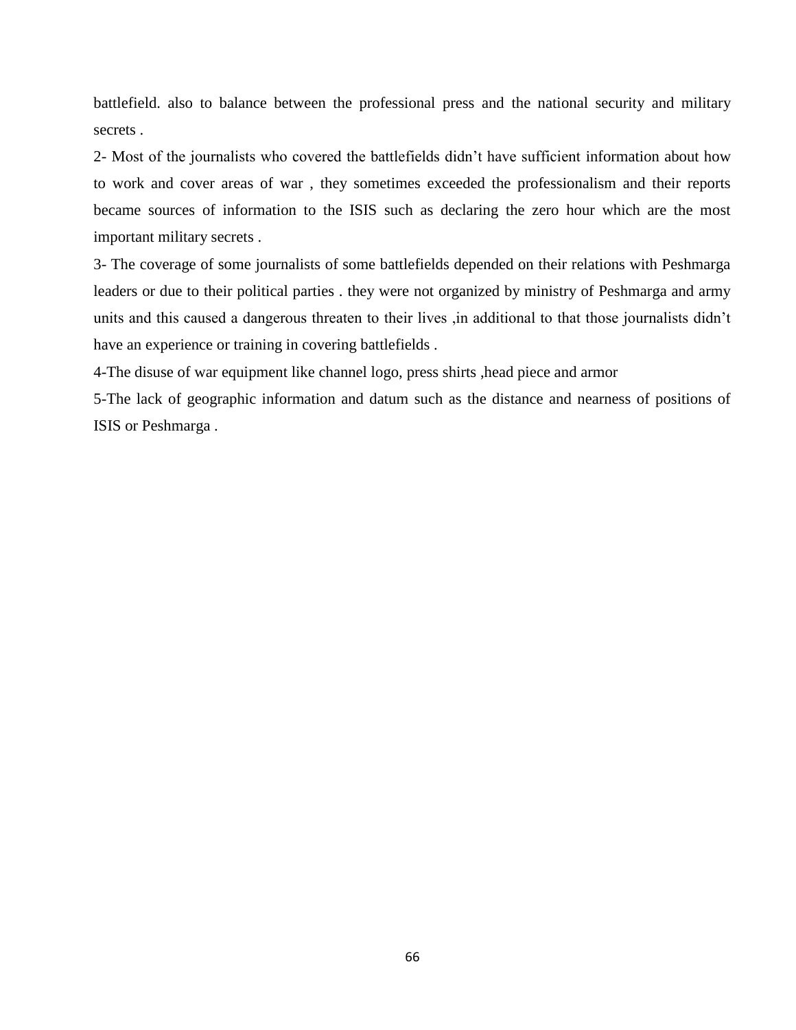battlefield. also to balance between the professional press and the national security and military secrets .

2- Most of the journalists who covered the battlefields didn't have sufficient information about how to work and cover areas of war , they sometimes exceeded the professionalism and their reports became sources of information to the ISIS such as declaring the zero hour which are the most important military secrets .

3- The coverage of some journalists of some battlefields depended on their relations with Peshmarga leaders or due to their political parties . they were not organized by ministry of Peshmarga and army units and this caused a dangerous threaten to their lives ,in additional to that those journalists didn't have an experience or training in covering battlefields .

4-The disuse of war equipment like channel logo, press shirts ,head piece and armor

5-The lack of geographic information and datum such as the distance and nearness of positions of ISIS or Peshmarga .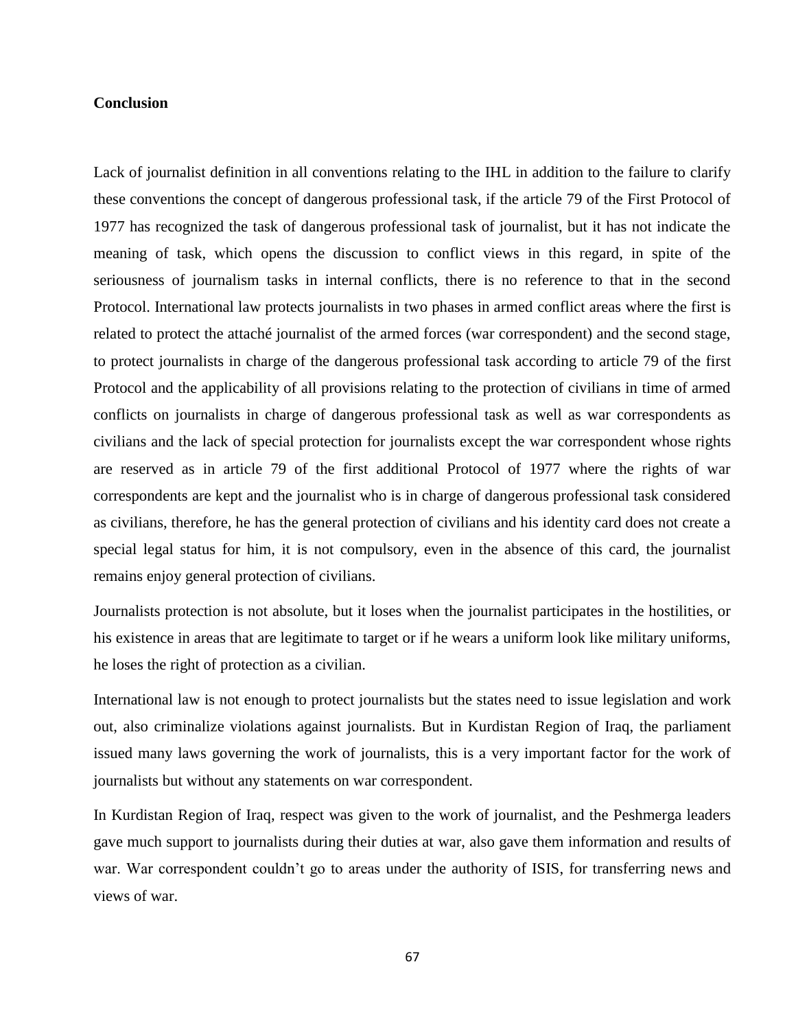## **Conclusion**

Lack of journalist definition in all conventions relating to the IHL in addition to the failure to clarify these conventions the concept of dangerous professional task, if the article 79 of the First Protocol of 1977 has recognized the task of dangerous professional task of journalist, but it has not indicate the meaning of task, which opens the discussion to conflict views in this regard, in spite of the seriousness of journalism tasks in internal conflicts, there is no reference to that in the second Protocol. International law protects journalists in two phases in armed conflict areas where the first is related to protect the attaché journalist of the armed forces (war correspondent) and the second stage, to protect journalists in charge of the dangerous professional task according to article 79 of the first Protocol and the applicability of all provisions relating to the protection of civilians in time of armed conflicts on journalists in charge of dangerous professional task as well as war correspondents as civilians and the lack of special protection for journalists except the war correspondent whose rights are reserved as in article 79 of the first additional Protocol of 1977 where the rights of war correspondents are kept and the journalist who is in charge of dangerous professional task considered as civilians, therefore, he has the general protection of civilians and his identity card does not create a special legal status for him, it is not compulsory, even in the absence of this card, the journalist remains enjoy general protection of civilians.

Journalists protection is not absolute, but it loses when the journalist participates in the hostilities, or his existence in areas that are legitimate to target or if he wears a uniform look like military uniforms, he loses the right of protection as a civilian.

International law is not enough to protect journalists but the states need to issue legislation and work out, also criminalize violations against journalists. But in Kurdistan Region of Iraq, the parliament issued many laws governing the work of journalists, this is a very important factor for the work of journalists but without any statements on war correspondent.

In Kurdistan Region of Iraq, respect was given to the work of journalist, and the Peshmerga leaders gave much support to journalists during their duties at war, also gave them information and results of war. War correspondent couldn't go to areas under the authority of ISIS, for transferring news and views of war.

67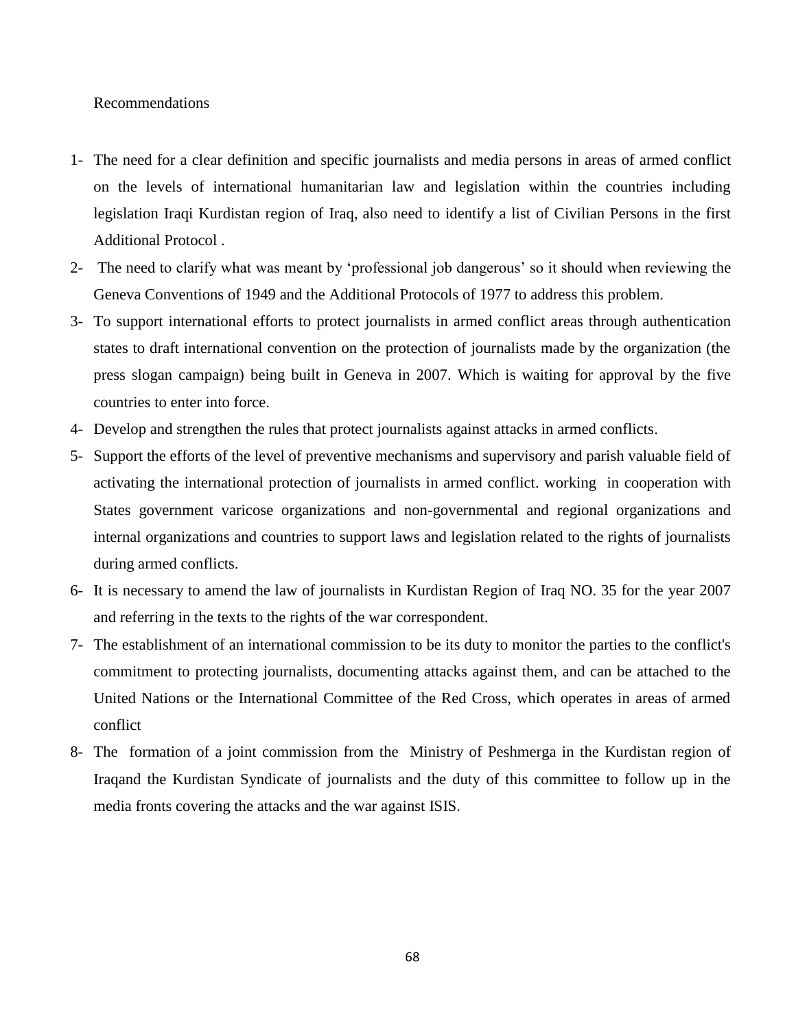# Recommendations

- 1- The need for a clear definition and specific journalists and media persons in areas of armed conflict on the levels of international humanitarian law and legislation within the countries including legislation Iraqi Kurdistan region of Iraq, also need to identify a list of Civilian Persons in the first Additional Protocol .
- 2- The need to clarify what was meant by 'professional job dangerous' so it should when reviewing the Geneva Conventions of 1949 and the Additional Protocols of 1977 to address this problem.
- 3- To support international efforts to protect journalists in armed conflict areas through authentication states to draft international convention on the protection of journalists made by the organization (the press slogan campaign) being built in Geneva in 2007. Which is waiting for approval by the five countries to enter into force.
- 4- Develop and strengthen the rules that protect journalists against attacks in armed conflicts.
- 5- Support the efforts of the level of preventive mechanisms and supervisory and parish valuable field of activating the international protection of journalists in armed conflict. working in cooperation with States government varicose organizations and non-governmental and regional organizations and internal organizations and countries to support laws and legislation related to the rights of journalists during armed conflicts.
- 6- It is necessary to amend the law of journalists in Kurdistan Region of Iraq NO. 35 for the year 2007 and referring in the texts to the rights of the war correspondent.
- 7- The establishment of an international commission to be its duty to monitor the parties to the conflict's commitment to protecting journalists, documenting attacks against them, and can be attached to the United Nations or the International Committee of the Red Cross, which operates in areas of armed conflict
- 8- The formation of a joint commission from the Ministry of Peshmerga in the Kurdistan region of Iraqand the Kurdistan Syndicate of journalists and the duty of this committee to follow up in the media fronts covering the attacks and the war against ISIS.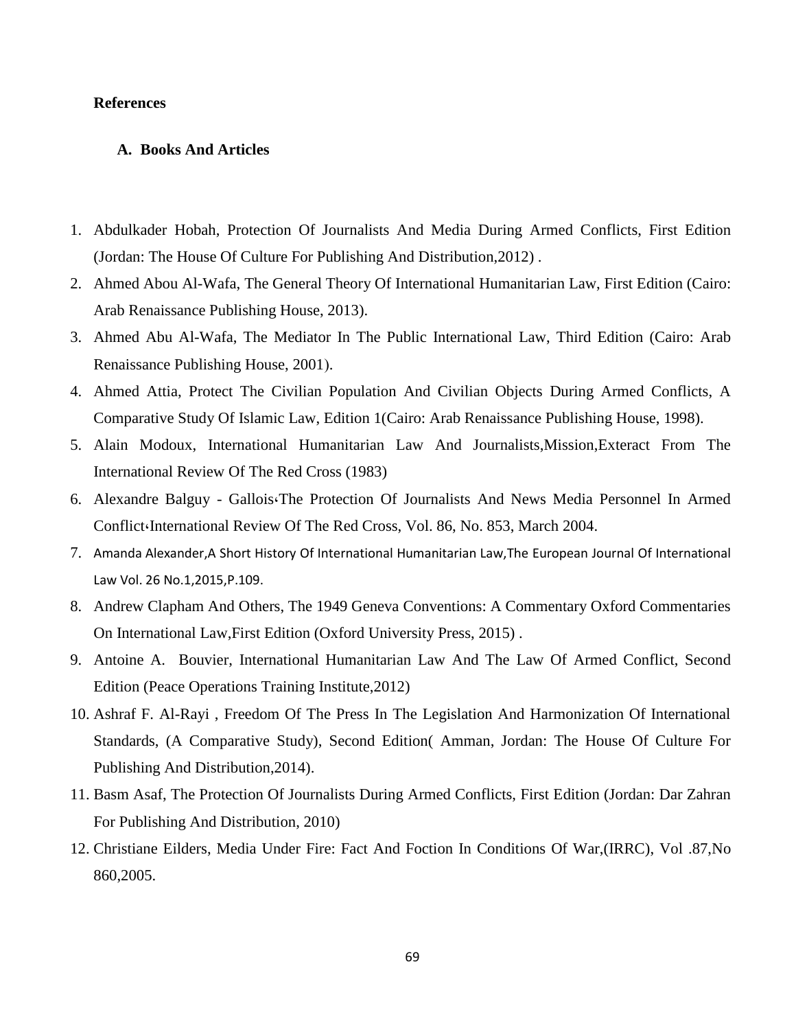# **References**

#### **A. Books And Articles**

- 1. Abdulkader Hobah, Protection Of Journalists And Media During Armed Conflicts, First Edition (Jordan: The House Of Culture For Publishing And Distribution,2012) .
- 2. Ahmed Abou Al-Wafa, The General Theory Of International Humanitarian Law, First Edition (Cairo: Arab Renaissance Publishing House, 2013).
- 3. Ahmed Abu Al-Wafa, The Mediator In The Public International Law, Third Edition (Cairo: Arab Renaissance Publishing House, 2001).
- 4. Ahmed Attia, Protect The Civilian Population And Civilian Objects During Armed Conflicts, A Comparative Study Of Islamic Law, Edition 1(Cairo: Arab Renaissance Publishing House, 1998).
- 5. Alain Modoux, International Humanitarian Law And Journalists,Mission,Exteract From The International Review Of The Red Cross (1983)
- 6. Alexandre Balguy Gallois،The Protection Of Journalists And News Media Personnel In Armed Conflict،International Review Of The Red Cross, Vol. 86, No. 853, March 2004.
- 7. Amanda Alexander,A Short History Of International Humanitarian Law,The European Journal Of International Law Vol. 26 No.1,2015,P.109.
- 8. Andrew Clapham And Others, The 1949 Geneva Conventions: A Commentary Oxford Commentaries On International Law,First Edition (Oxford University Press, 2015) .
- 9. Antoine A. Bouvier, International Humanitarian Law And The Law Of Armed Conflict, Second Edition (Peace Operations Training Institute,2012)
- 10. Ashraf F. Al-Rayi , Freedom Of The Press In The Legislation And Harmonization Of International Standards, (A Comparative Study), Second Edition( Amman, Jordan: The House Of Culture For Publishing And Distribution,2014).
- 11. Basm Asaf, The Protection Of Journalists During Armed Conflicts, First Edition (Jordan: Dar Zahran For Publishing And Distribution, 2010)
- 12. Christiane Eilders, Media Under Fire: Fact And Foction In Conditions Of War,(IRRC), Vol .87,No 860,2005.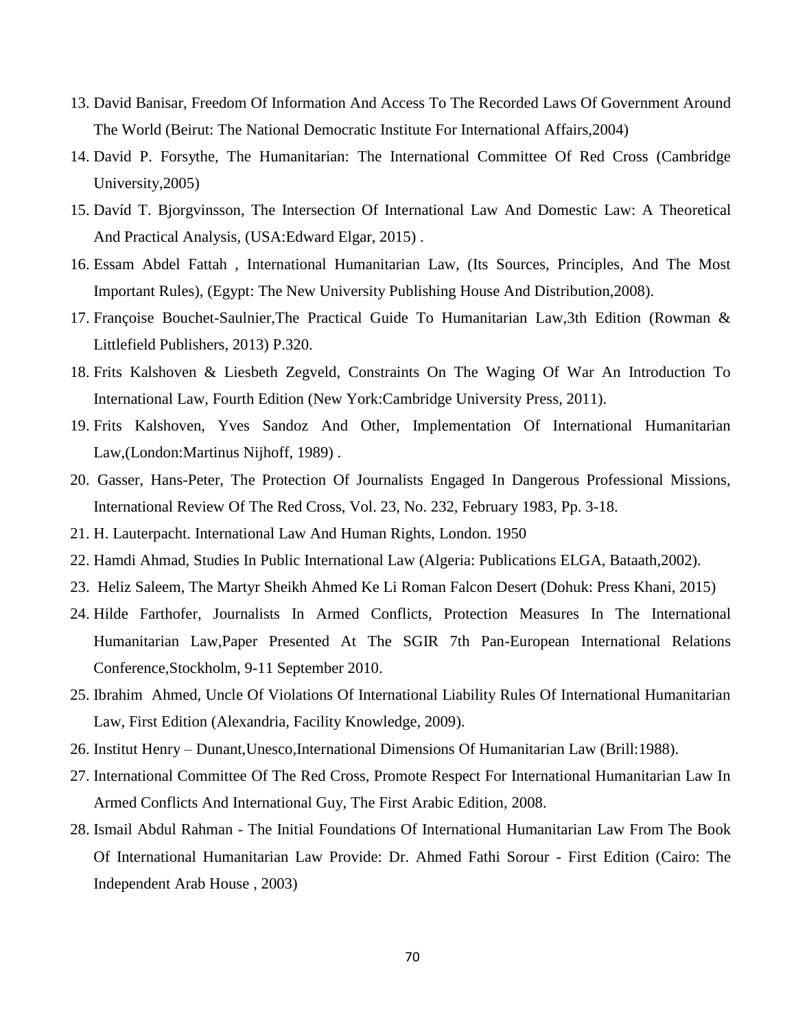- 13. David Banisar, Freedom Of Information And Access To The Recorded Laws Of Government Around The World (Beirut: The National Democratic Institute For International Affairs,2004)
- 14. David P. Forsythe, The Humanitarian: The International Committee Of Red Cross (Cambridge University,2005)
- 15. Davíd T. Bjorgvinsson, The Intersection Of International Law And Domestic Law: A Theoretical And Practical Analysis, (USA:Edward Elgar, 2015) .
- 16. Essam Abdel Fattah , International Humanitarian Law, (Its Sources, Principles, And The Most Important Rules), (Egypt: The New University Publishing House And Distribution,2008).
- 17. Françoise Bouchet-Saulnier,The Practical Guide To Humanitarian Law,3th Edition (Rowman & Littlefield Publishers, 2013) P.320.
- 18. Frits Kalshoven & Liesbeth Zegveld, Constraints On The Waging Of War An Introduction To International Law, Fourth Edition (New York:Cambridge University Press, 2011).
- 19. Frits Kalshoven, Yves Sandoz And Other, Implementation Of International Humanitarian Law,(London:Martinus Nijhoff, 1989) .
- 20. Gasser, Hans-Peter, The Protection Of Journalists Engaged In Dangerous Professional Missions, International Review Of The Red Cross, Vol. 23, No. 232, February 1983, Pp. 3-18.
- 21. H. Lauterpacht. International Law And Human Rights, London. 1950
- 22. Hamdi Ahmad, Studies In Public International Law (Algeria: Publications ELGA, Bataath,2002).
- 23. Heliz Saleem, The Martyr Sheikh Ahmed Ke Li Roman Falcon Desert (Dohuk: Press Khani, 2015)
- 24. Hilde Farthofer, Journalists In Armed Conflicts, Protection Measures In The International Humanitarian Law,Paper Presented At The SGIR 7th Pan-European International Relations Conference,Stockholm, 9-11 September 2010.
- 25. Ibrahim Ahmed, Uncle Of Violations Of International Liability Rules Of International Humanitarian Law, First Edition (Alexandria, Facility Knowledge, 2009).
- 26. Institut Henry Dunant,Unesco,International Dimensions Of Humanitarian Law (Brill:1988).
- 27. International Committee Of The Red Cross, Promote Respect For International Humanitarian Law In Armed Conflicts And International Guy, The First Arabic Edition, 2008.
- 28. Ismail Abdul Rahman The Initial Foundations Of International Humanitarian Law From The Book Of International Humanitarian Law Provide: Dr. Ahmed Fathi Sorour - First Edition (Cairo: The Independent Arab House , 2003)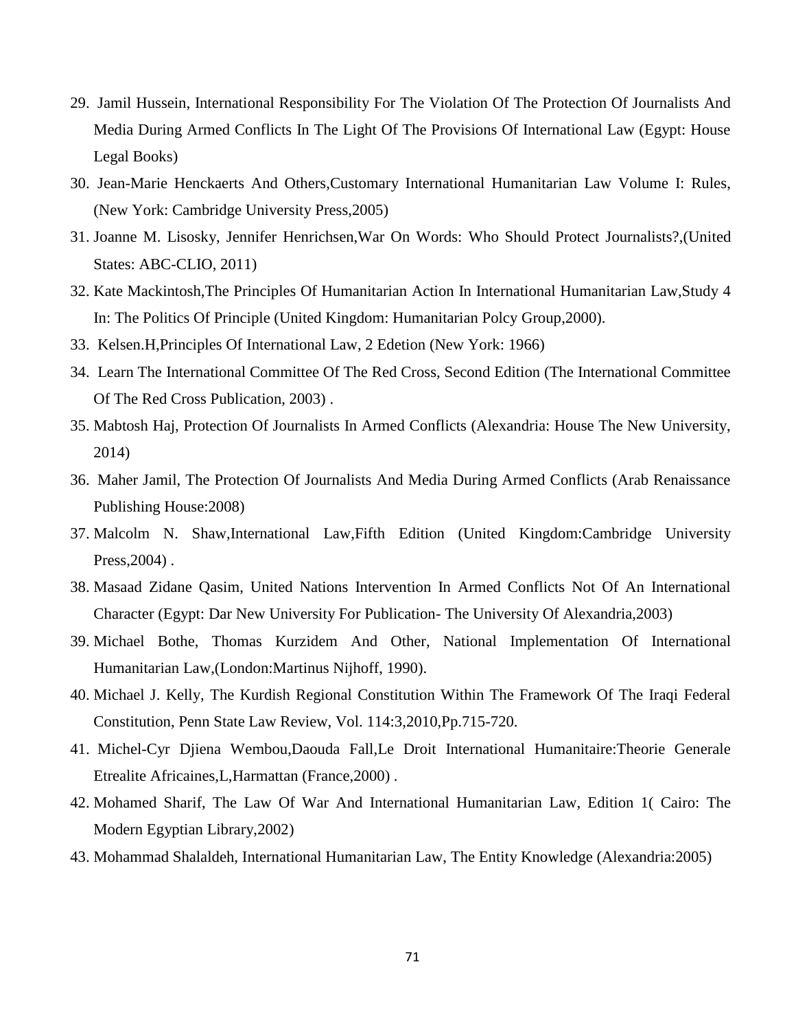- 29. Jamil Hussein, International Responsibility For The Violation Of The Protection Of Journalists And Media During Armed Conflicts In The Light Of The Provisions Of International Law (Egypt: House Legal Books)
- 30. Jean-Marie Henckaerts And Others,Customary International Humanitarian Law Volume I: Rules, (New York: Cambridge University Press,2005)
- 31. Joanne M. Lisosky, Jennifer Henrichsen,War On Words: Who Should Protect Journalists?,(United States: ABC-CLIO, 2011)
- 32. Kate Mackintosh,The Principles Of Humanitarian Action In International Humanitarian Law,Study 4 In: The Politics Of Principle (United Kingdom: Humanitarian Polcy Group,2000).
- 33. Kelsen.H,Principles Of International Law, 2 Edetion (New York: 1966)
- 34. Learn The International Committee Of The Red Cross, Second Edition (The International Committee Of The Red Cross Publication, 2003) .
- 35. Mabtosh Haj, Protection Of Journalists In Armed Conflicts (Alexandria: House The New University, 2014)
- 36. Maher Jamil, The Protection Of Journalists And Media During Armed Conflicts (Arab Renaissance Publishing House:2008)
- 37. Malcolm N. Shaw,International Law,Fifth Edition (United Kingdom:Cambridge University Press,2004) .
- 38. Masaad Zidane Qasim, United Nations Intervention In Armed Conflicts Not Of An International Character (Egypt: Dar New University For Publication- The University Of Alexandria,2003)
- 39. Michael Bothe, Thomas Kurzidem And Other, National Implementation Of International Humanitarian Law,(London:Martinus Nijhoff, 1990).
- 40. Michael J. Kelly, The Kurdish Regional Constitution Within The Framework Of The Iraqi Federal Constitution, Penn State Law Review, Vol. 114:3,2010,Pp.715-720.
- 41. Michel-Cyr Djiena Wembou,Daouda Fall,Le Droit International Humanitaire:Theorie Generale Etrealite Africaines,L,Harmattan (France,2000) .
- 42. Mohamed Sharif, The Law Of War And International Humanitarian Law, Edition 1( Cairo: The Modern Egyptian Library,2002)
- 43. Mohammad Shalaldeh, International Humanitarian Law, The Entity Knowledge (Alexandria:2005)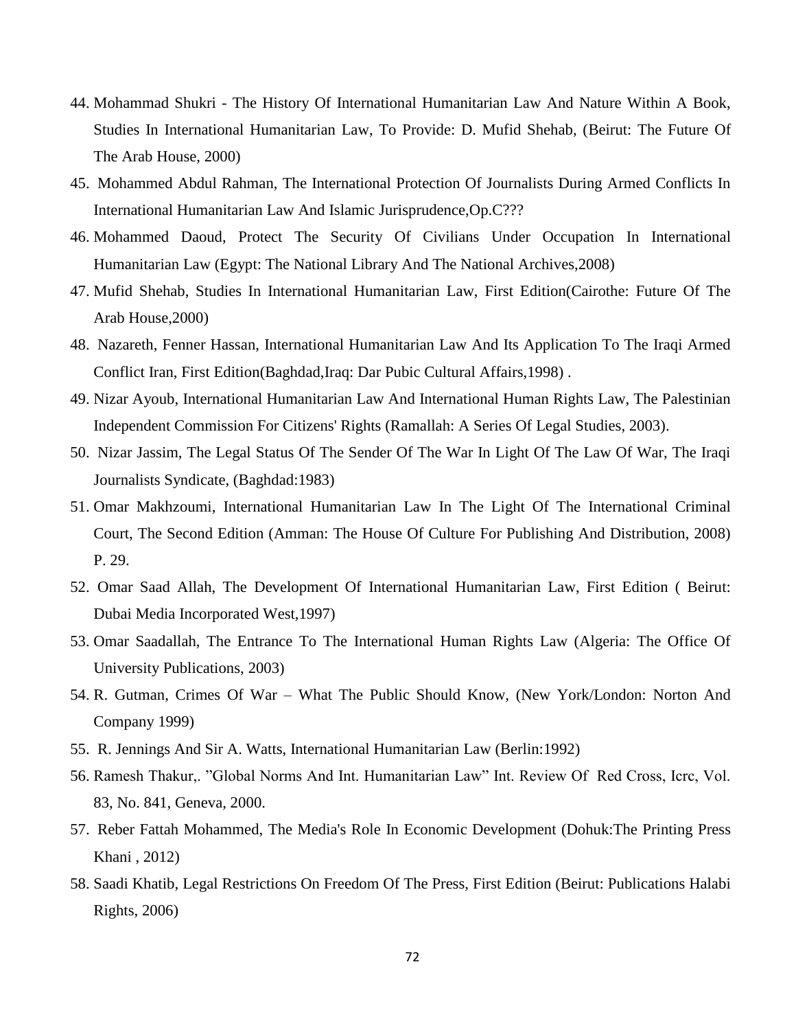- 44. Mohammad Shukri The History Of International Humanitarian Law And Nature Within A Book, Studies In International Humanitarian Law, To Provide: D. Mufid Shehab, (Beirut: The Future Of The Arab House, 2000)
- 45. Mohammed Abdul Rahman, The International Protection Of Journalists During Armed Conflicts In International Humanitarian Law And Islamic Jurisprudence,Op.C???
- 46. Mohammed Daoud, Protect The Security Of Civilians Under Occupation In International Humanitarian Law (Egypt: The National Library And The National Archives,2008)
- 47. Mufid Shehab, Studies In International Humanitarian Law, First Edition(Cairothe: Future Of The Arab House,2000)
- 48. Nazareth, Fenner Hassan, International Humanitarian Law And Its Application To The Iraqi Armed Conflict Iran, First Edition(Baghdad,Iraq: Dar Pubic Cultural Affairs,1998) .
- 49. Nizar Ayoub, International Humanitarian Law And International Human Rights Law, The Palestinian Independent Commission For Citizens' Rights (Ramallah: A Series Of Legal Studies, 2003).
- 50. Nizar Jassim, The Legal Status Of The Sender Of The War In Light Of The Law Of War, The Iraqi Journalists Syndicate, (Baghdad:1983)
- 51. Omar Makhzoumi, International Humanitarian Law In The Light Of The International Criminal Court, The Second Edition (Amman: The House Of Culture For Publishing And Distribution, 2008) P. 29.
- 52. Omar Saad Allah, The Development Of International Humanitarian Law, First Edition ( Beirut: Dubai Media Incorporated West,1997)
- 53. Omar Saadallah, The Entrance To The International Human Rights Law (Algeria: The Office Of University Publications, 2003)
- 54. R. Gutman, Crimes Of War What The Public Should Know, (New York/London: Norton And Company 1999)
- 55. R. Jennings And Sir A. Watts, International Humanitarian Law (Berlin:1992)
- 56. Ramesh Thakur,. "Global Norms And Int. Humanitarian Law" Int. Review Of Red Cross, Icrc, Vol. 83, No. 841, Geneva, 2000.
- 57. Reber Fattah Mohammed, The Media's Role In Economic Development (Dohuk:The Printing Press Khani , 2012)
- 58. Saadi Khatib, Legal Restrictions On Freedom Of The Press, First Edition (Beirut: Publications Halabi Rights, 2006)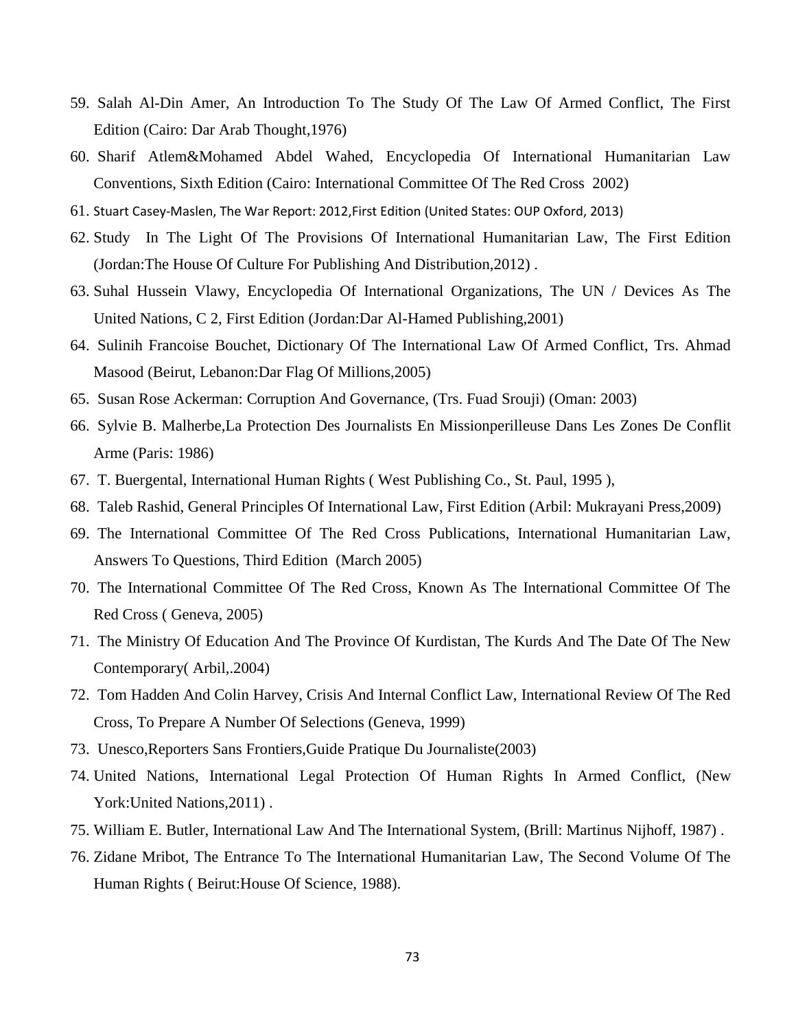- 59. Salah Al-Din Amer, An Introduction To The Study Of The Law Of Armed Conflict, The First Edition (Cairo: Dar Arab Thought,1976)
- 60. Sharif Atlem&Mohamed Abdel Wahed, Encyclopedia Of International Humanitarian Law Conventions, Sixth Edition (Cairo: International Committee Of The Red Cross 2002)
- 61. Stuart Casey-Maslen, The War Report: 2012,First Edition (United States: OUP Oxford, 2013)
- 62. Study In The Light Of The Provisions Of International Humanitarian Law, The First Edition (Jordan:The House Of Culture For Publishing And Distribution,2012) .
- 63. Suhal Hussein Vlawy, Encyclopedia Of International Organizations, The UN / Devices As The United Nations, C 2, First Edition (Jordan:Dar Al-Hamed Publishing,2001)
- 64. Sulinih Francoise Bouchet, Dictionary Of The International Law Of Armed Conflict, Trs. Ahmad Masood (Beirut, Lebanon:Dar Flag Of Millions,2005)
- 65. Susan Rose Ackerman: Corruption And Governance, (Trs. Fuad Srouji) (Oman: 2003)
- 66. Sylvie B. Malherbe,La Protection Des Journalists En Missionperilleuse Dans Les Zones De Conflit Arme (Paris: 1986)
- 67. T. Buergental, International Human Rights ( West Publishing Co., St. Paul, 1995 ),
- 68. Taleb Rashid, General Principles Of International Law, First Edition (Arbil: Mukrayani Press,2009)
- 69. The International Committee Of The Red Cross Publications, International Humanitarian Law, Answers To Questions, Third Edition (March 2005)
- 70. The International Committee Of The Red Cross, Known As The International Committee Of The Red Cross ( Geneva, 2005)
- 71. The Ministry Of Education And The Province Of Kurdistan, The Kurds And The Date Of The New Contemporary( Arbil,.2004)
- 72. Tom Hadden And Colin Harvey, Crisis And Internal Conflict Law, International Review Of The Red Cross, To Prepare A Number Of Selections (Geneva, 1999)
- 73. Unesco,Reporters Sans Frontiers,Guide Pratique Du Journaliste(2003)
- 74. United Nations, International Legal Protection Of Human Rights In Armed Conflict, (New York:United Nations,2011) .
- 75. William E. Butler, International Law And The International System, (Brill: Martinus Nijhoff, 1987) .
- 76. Zidane Mribot, The Entrance To The International Humanitarian Law, The Second Volume Of The Human Rights ( Beirut:House Of Science, 1988).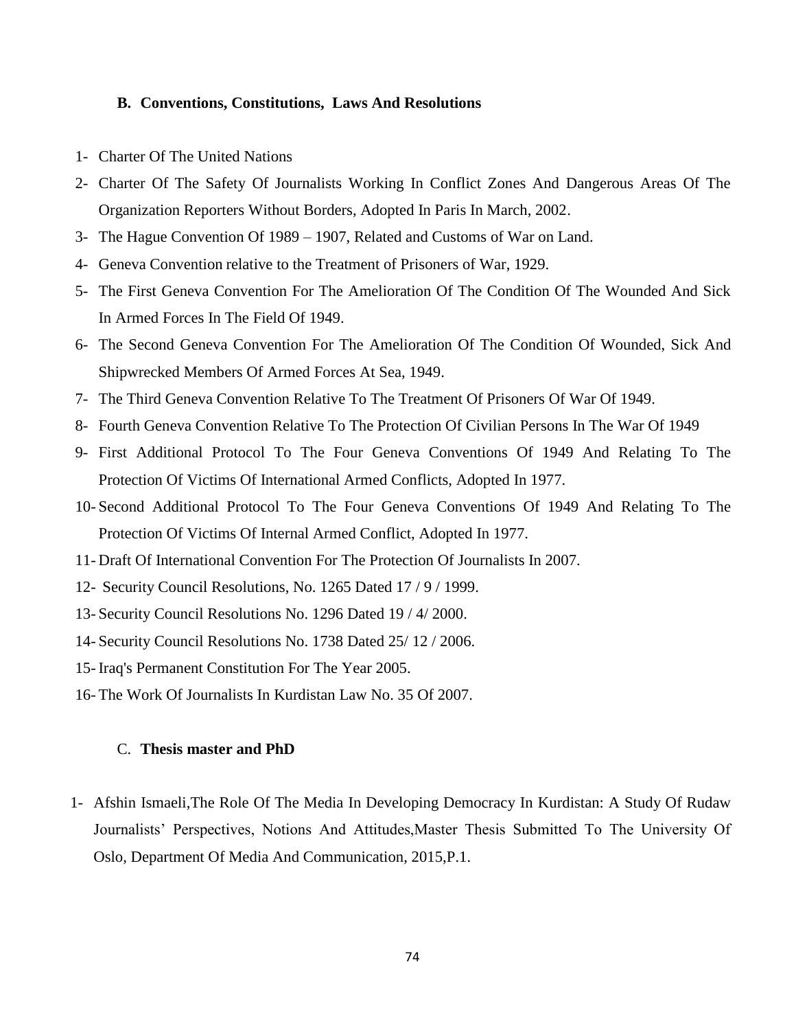### **B. Conventions, Constitutions, Laws And Resolutions**

- 1- Charter Of The United Nations
- 2- Charter Of The Safety Of Journalists Working In Conflict Zones And Dangerous Areas Of The Organization Reporters Without Borders, Adopted In Paris In March, 2002.
- 3- The Hague Convention Of 1989 1907, Related and Customs of War on Land.
- 4- Geneva Convention relative to the Treatment of Prisoners of War, 1929.
- 5- The First Geneva Convention For The Amelioration Of The Condition Of The Wounded And Sick In Armed Forces In The Field Of 1949.
- 6- The Second Geneva Convention For The Amelioration Of The Condition Of Wounded, Sick And Shipwrecked Members Of Armed Forces At Sea, 1949.
- 7- The Third Geneva Convention Relative To The Treatment Of Prisoners Of War Of 1949.
- 8- Fourth Geneva Convention Relative To The Protection Of Civilian Persons In The War Of 1949
- 9- First Additional Protocol To The Four Geneva Conventions Of 1949 And Relating To The Protection Of Victims Of International Armed Conflicts, Adopted In 1977.
- 10- Second Additional Protocol To The Four Geneva Conventions Of 1949 And Relating To The Protection Of Victims Of Internal Armed Conflict, Adopted In 1977.
- 11- Draft Of International Convention For The Protection Of Journalists In 2007.
- 12- Security Council Resolutions, No. 1265 Dated 17 / 9 / 1999.
- 13- Security Council Resolutions No. 1296 Dated 19 / 4/ 2000.
- 14- Security Council Resolutions No. 1738 Dated 25/ 12 / 2006.
- 15- Iraq's Permanent Constitution For The Year 2005.
- 16- The Work Of Journalists In Kurdistan Law No. 35 Of 2007.

### C. **Thesis master and PhD**

1- Afshin Ismaeli,The Role Of The Media In Developing Democracy In Kurdistan: A Study Of Rudaw Journalists' Perspectives, Notions And Attitudes,Master Thesis Submitted To The University Of Oslo, Department Of Media And Communication, 2015,P.1.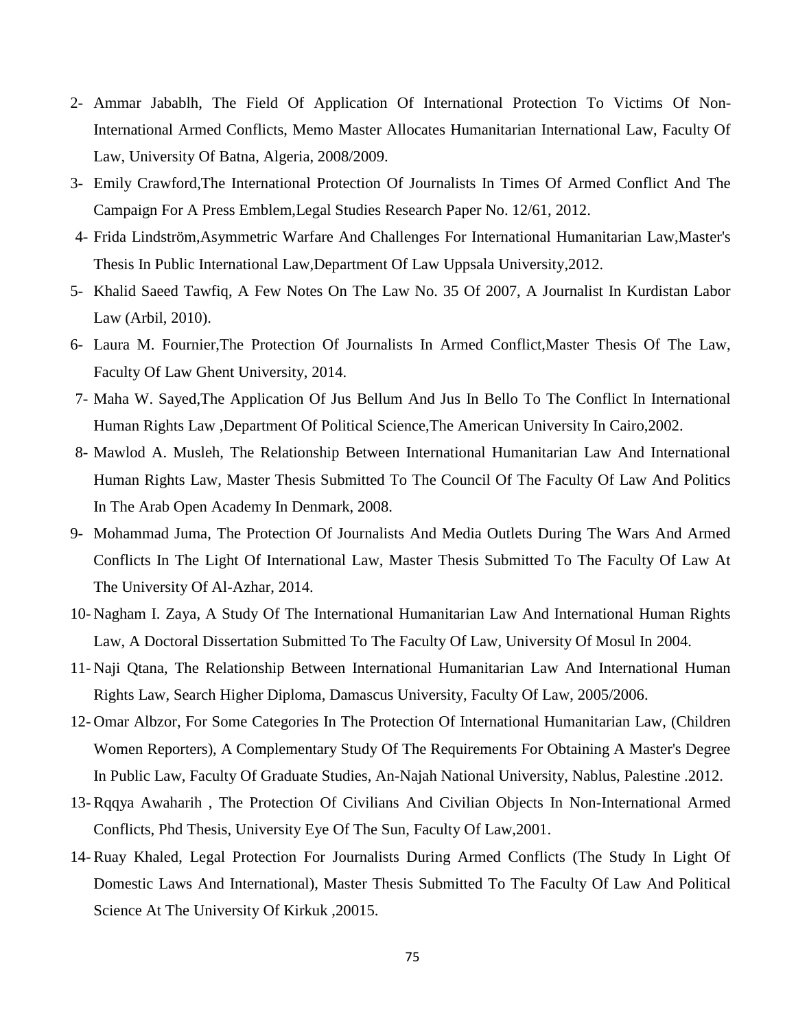- 2- Ammar Jabablh, The Field Of Application Of International Protection To Victims Of Non-International Armed Conflicts, Memo Master Allocates Humanitarian International Law, Faculty Of Law, University Of Batna, Algeria, 2008/2009.
- 3- Emily Crawford,The International Protection Of Journalists In Times Of Armed Conflict And The Campaign For A Press Emblem,Legal Studies Research Paper No. 12/61, 2012.
- 4- Frida Lindström,Asymmetric Warfare And Challenges For International Humanitarian Law,Master's Thesis In Public International Law,Department Of Law Uppsala University,2012.
- 5- Khalid Saeed Tawfiq, A Few Notes On The Law No. 35 Of 2007, A Journalist In Kurdistan Labor Law (Arbil, 2010).
- 6- Laura M. Fournier,The Protection Of Journalists In Armed Conflict,Master Thesis Of The Law, Faculty Of Law Ghent University, 2014.
- 7- Maha W. Sayed,The Application Of Jus Bellum And Jus In Bello To The Conflict In International Human Rights Law ,Department Of Political Science,The American University In Cairo,2002.
- 8- Mawlod A. Musleh, The Relationship Between International Humanitarian Law And International Human Rights Law, Master Thesis Submitted To The Council Of The Faculty Of Law And Politics In The Arab Open Academy In Denmark, 2008.
- 9- Mohammad Juma, The Protection Of Journalists And Media Outlets During The Wars And Armed Conflicts In The Light Of International Law, Master Thesis Submitted To The Faculty Of Law At The University Of Al-Azhar, 2014.
- 10- Nagham I. Zaya, A Study Of The International Humanitarian Law And International Human Rights Law, A Doctoral Dissertation Submitted To The Faculty Of Law, University Of Mosul In 2004.
- 11- Naji Qtana, The Relationship Between International Humanitarian Law And International Human Rights Law, Search Higher Diploma, Damascus University, Faculty Of Law, 2005/2006.
- 12- Omar Albzor, For Some Categories In The Protection Of International Humanitarian Law, (Children Women Reporters), A Complementary Study Of The Requirements For Obtaining A Master's Degree In Public Law, Faculty Of Graduate Studies, An-Najah National University, Nablus, Palestine .2012.
- 13- Rqqya Awaharih , The Protection Of Civilians And Civilian Objects In Non-International Armed Conflicts, Phd Thesis, University Eye Of The Sun, Faculty Of Law,2001.
- 14- Ruay Khaled, Legal Protection For Journalists During Armed Conflicts (The Study In Light Of Domestic Laws And International), Master Thesis Submitted To The Faculty Of Law And Political Science At The University Of Kirkuk ,20015.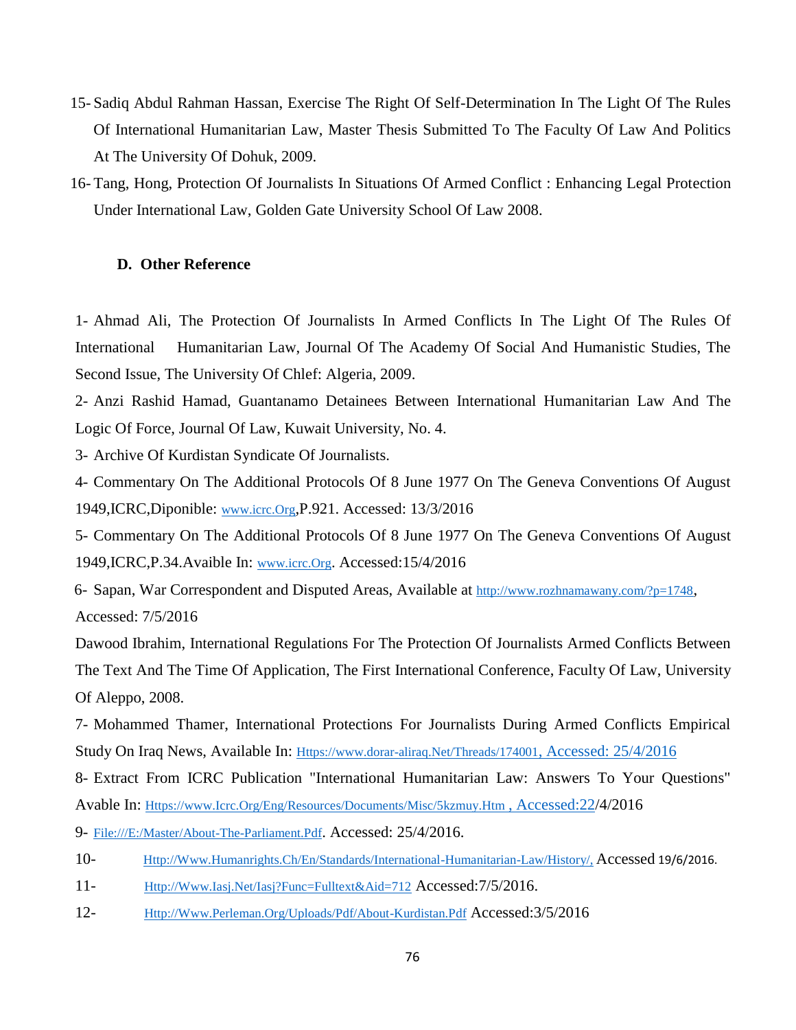- 15- Sadiq Abdul Rahman Hassan, Exercise The Right Of Self-Determination In The Light Of The Rules Of International Humanitarian Law, Master Thesis Submitted To The Faculty Of Law And Politics At The University Of Dohuk, 2009.
- 16- Tang, Hong, Protection Of Journalists In Situations Of Armed Conflict : Enhancing Legal Protection Under International Law, Golden Gate University School Of Law 2008.

# **D. Other Reference**

1- Ahmad Ali, The Protection Of Journalists In Armed Conflicts In The Light Of The Rules Of International Humanitarian Law, Journal Of The Academy Of Social And Humanistic Studies, The Second Issue, The University Of Chlef: Algeria, 2009.

2- Anzi Rashid Hamad, Guantanamo Detainees Between International Humanitarian Law And The Logic Of Force, Journal Of Law, Kuwait University, No. 4.

3- Archive Of Kurdistan Syndicate Of Journalists.

4- Commentary On The Additional Protocols Of 8 June 1977 On The Geneva Conventions Of August 1949,ICRC,Diponible: [www.icrc.Org](http://www.icrc.org/),P.921. Accessed: 13/3/2016

5- Commentary On The Additional Protocols Of 8 June 1977 On The Geneva Conventions Of August 1949,ICRC,P.34.Avaible In: [www.icrc.Org](http://www.icrc.org/). Accessed:15/4/2016

6- Sapan, War Correspondent and Disputed Areas, Available at <http://www.rozhnamawany.com/?p=1748>, Accessed: 7/5/2016

Dawood Ibrahim, International Regulations For The Protection Of Journalists Armed Conflicts Between The Text And The Time Of Application, The First International Conference, Faculty Of Law, University Of Aleppo, 2008.

7- Mohammed Thamer, International Protections For Journalists During Armed Conflicts Empirical Study On Iraq News, Available In: [Https://www.dorar-aliraq.Net/Threads/174001](https://www.dorar-aliraq.net/Threads/174001,%20Accessed:%2025/4/2016), Accessed: 25/4/2016

8- Extract From ICRC Publication "International Humanitarian Law: Answers To Your Questions" Avable In: [Https://www.Icrc.Org/Eng/Resources/Documents/Misc/5kzmuy.Htm](https://www.icrc.org/Eng/Resources/Documents/Misc/5kzmuy.Htm%20,%20Accessed:22) , Accessed:22/4/2016

9- [File:///E:/Master/About-The-Parliament.Pdf](file:///E:/master/About-the-Parliament.pdf). Accessed: 25/4/2016.

- 10- [Http://Www.Humanrights.Ch/En/Standards/International-Humanitarian-Law/History/,](http://www.humanrights.ch/en/standards/international-humanitarian-law/history/) Accessed 19/6/2016.
- 11- [Http://Www.Iasj.Net/Iasj?Func=Fulltext&Aid=712](http://www.iasj.net/iasj?func=fulltext&aId=712) Accessed:7/5/2016.
- 12- [Http://Www.Perleman.Org/Uploads/Pdf/About-Kurdistan.Pdf](http://www.perleman.org/uploads/pdf/About-Kurdistan.pdf) Accessed:3/5/2016